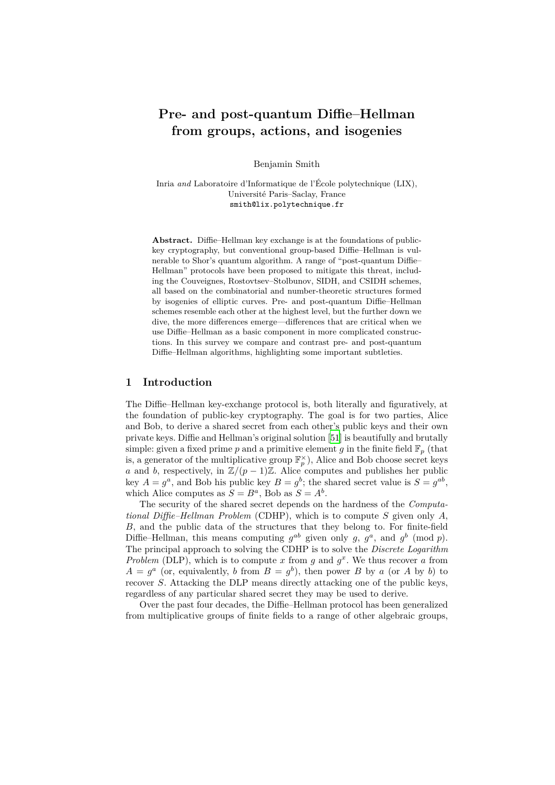# **Pre- and post-quantum Diffie–Hellman from groups, actions, and isogenies**

Benjamin Smith

Inria *and* Laboratoire d'Informatique de l'École polytechnique (LIX), Université Paris–Saclay, France smith@lix.polytechnique.fr

**Abstract.** Diffie–Hellman key exchange is at the foundations of publickey cryptography, but conventional group-based Diffie–Hellman is vulnerable to Shor's quantum algorithm. A range of "post-quantum Diffie– Hellman" protocols have been proposed to mitigate this threat, including the Couveignes, Rostovtsev–Stolbunov, SIDH, and CSIDH schemes, all based on the combinatorial and number-theoretic structures formed by isogenies of elliptic curves. Pre- and post-quantum Diffie–Hellman schemes resemble each other at the highest level, but the further down we dive, the more differences emerge—differences that are critical when we use Diffie–Hellman as a basic component in more complicated constructions. In this survey we compare and contrast pre- and post-quantum Diffie–Hellman algorithms, highlighting some important subtleties.

# **1 Introduction**

The Diffie–Hellman key-exchange protocol is, both literally and figuratively, at the foundation of public-key cryptography. The goal is for two parties, Alice and Bob, to derive a shared secret from each other's public keys and their own private keys. Diffie and Hellman's original solution [51] is beautifully and brutally simple: given a fixed prime p and a primitive element g in the finite field  $\mathbb{F}_p$  (that is, a generator of the multiplicative group  $\mathbb{F}_p^{\times}$ ), Alice and Bob choose secret keys *a* and *b*, respectively, in  $\mathbb{Z}/(p-1)\mathbb{Z}$ . Alice computes and publishes her public key  $A = g^a$ , and Bob his public key  $B = g^b$ ; the s[har](#page-34-0)ed secret value is  $S = g^{ab}$ , which Alice computes as  $S = B^a$ , Bob as  $S = A^b$ .

The security of the shared secret depends on the hardness of the *Computational Diffie–Hellman Problem* (CDHP), which is to compute *S* given only *A*, *B*, and the public data of the structures that they belong to. For finite-field Diffie–Hellman, this means computing  $g^{ab}$  given only g,  $g^a$ , and  $g^b$  (mod p). The principal approach to solving the CDHP is to solve the *Discrete Logarithm Problem* (DLP), which is to compute x from  $g$  and  $g^x$ . We thus recover  $a$  from  $A = g^a$  (or, equivalently, *b* from  $B = g^b$ ), then power *B* by *a* (or *A* by *b*) to recover *S*. Attacking the DLP means directly attacking one of the public keys, regardless of any particular shared secret they may be used to derive.

Over the past four decades, the Diffie–Hellman protocol has been generalized from multiplicative groups of finite fields to a range of other algebraic groups,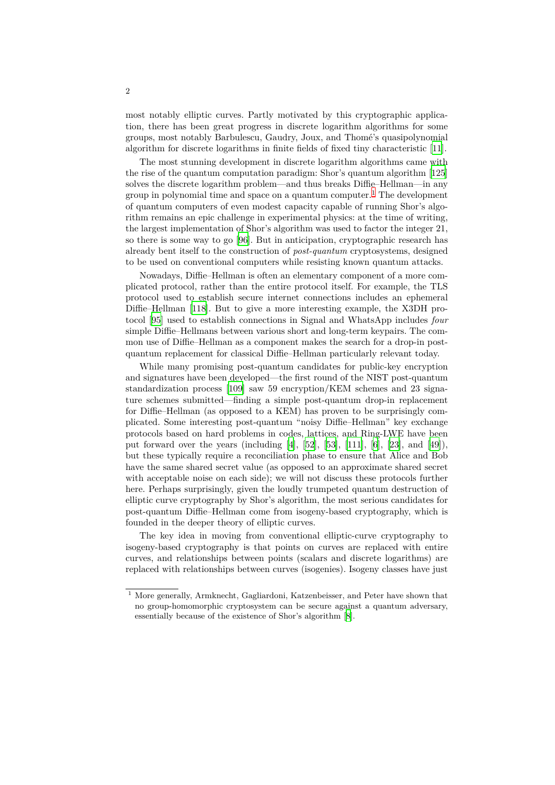most notably elliptic curves. Partly motivated by this cryptographic application, there has been great progress in discrete logarithm algorithms for some groups, most notably Barbulescu, Gaudry, Joux, and Thomé's quasipolynomial algorithm for discrete logarithms in finite fields of fixed tiny characteristic [11].

The most stunning development in discrete logarithm algorithms came with the rise of the quantum computation paradigm: Shor's quantum algorithm [125] solves the discrete logarithm problem—and thus breaks Diffie–Hellman—in any group in polynomial time and space on a quantum computer.<sup>1</sup> The develop[men](#page-31-0)t of quantum computers of even modest capacity capable of running Shor's algorithm remains an epic challenge in experimental physics: at the time of wri[ting,](#page-38-0) the largest implementation of Shor's algorithm was used to factor the integer 21, so there is some way to go [96]. But in anticipation, cryptog[ra](#page-1-0)phic research has already bent itself to the construction of *post-quantum* cryptosystems, designed to be used on conventional computers while resisting known quantum attacks.

Nowadays, Diffie–Hellman is often an elementary component of a more complicated protocol, rather th[an](#page-36-0) the entire protocol itself. For example, the TLS protocol used to establish secure internet connections includes an ephemeral Diffie–Hellman [118]. But to give a more interesting example, the X3DH protocol [95] used to establish connections in Signal and WhatsApp includes *four* simple Diffie–Hellmans between various short and long-term keypairs. The common use of Diffie–Hellman as a component makes the search for a drop-in postquantum replac[emen](#page-38-1)t for classical Diffie–Hellman particularly relevant today.

W[hile](#page-36-1) many promising post-quantum candidates for public-key encryption and signatures have been developed—the first round of the NIST post-quantum standardization process [109] saw 59 encryption/KEM schemes and 23 signature schemes submitted—finding a simple post-quantum drop-in replacement for Diffie–Hellman (as opposed to a KEM) has proven to be surprisingly complicated. Some interesting post-quantum "noisy Diffie–Hellman" key exchange protocols based on hard [prob](#page-37-0)lems in codes, lattices, and Ring-LWE have been put forward over the years (including [4], [52], [53], [111], [6], [23], and [49]), but these typically require a reconciliation phase to ensure that Alice and Bob have the same shared secret value (as opposed to an approximate shared secret with acceptable noise on each side); we will not discuss these protocols further here. Perhaps surprisingly, given the lo[ud](#page-30-0)ly [tru](#page-34-1)[mpe](#page-34-2)te[d qu](#page-37-1)an[tu](#page-31-1)m [de](#page-32-0)structi[on](#page-34-3) of elliptic curve cryptography by Shor's algorithm, the most serious candidates for post-quantum Diffie–Hellman come from isogeny-based cryptography, which is founded in the deeper theory of elliptic curves.

The key idea in moving from conventional elliptic-curve cryptography to isogeny-based cryptography is that points on curves are replaced with entire curves, and relationships between points (scalars and discrete logarithms) are replaced with relationships between curves (isogenies). Isogeny classes have just

<span id="page-1-0"></span><sup>&</sup>lt;sup>1</sup> More generally, Armknecht, Gagliardoni, Katzenbeisser, and Peter have shown that no group-homomorphic cryptosystem can be secure against a quantum adversary, essentially because of the existence of Shor's algorithm [8].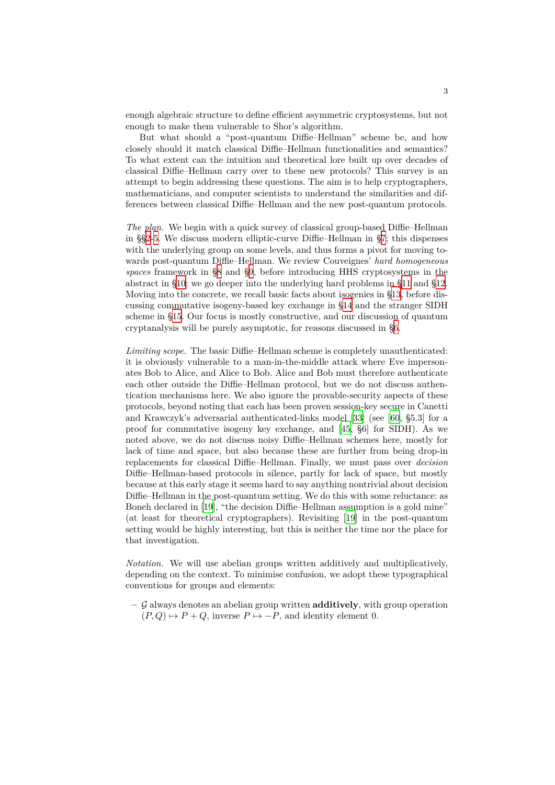enough algebraic structure to define efficient asymmetric cryptosystems, but not enough to make them vulnerable to Shor's algorithm.

But what should a "post-quantum Diffie–Hellman" scheme be, and how closely should it match classical Diffie–Hellman functionalities and semantics? To what extent can the intuition and theoretical lore built up over decades of classical Diffie–Hellman carry over to these new protocols? This survey is an attempt to begin addressing these questions. The aim is to help cryptographers, mathematicians, and computer scientists to understand the similarities and differences between classical Diffie–Hellman and the new post-quantum protocols.

*The plan.* We begin with a quick survey of classical group-based Diffie–Hellman in §§2-5. We discuss modern elliptic-curve Diffie–Hellman in §7; this dispenses with the underlying group on some levels, and thus forms a pivot for moving towards post-quantum Diffie–Hellman. We review Couveignes' *hard homogeneous spaces* framework in §8 and §9, before introducing HHS cryptosystems in the abst[ra](#page-3-0)[ct](#page-7-0) in §10; we go deeper into the underlying hard problem[s](#page-10-0) in §11 and §12. Moving into the concrete, we recall basic facts about isogenies in §13, before discussing commutative isogeny-based key exchange in §14 and the stranger SIDH scheme in §15. Our fo[cu](#page-13-0)s is m[os](#page-14-0)tly constructive, and our discussion of quantum cryptanalysi[s w](#page-15-0)ill be purely asymptotic, for reasons discussed in §6.

*Limiting scope.* The basic Diffie–Hellman scheme is co[mp](#page-24-0)letely un[aut](#page-20-0)henticated: it is obvio[usly](#page-27-0) vulnerable to a man-in-the-middle attack where Eve impersonates Bob to Alice, and Alice to Bob. Alice and Bob must therefor[e a](#page-9-0)uthenticate each other outside the Diffie–Hellman protocol, but we do not discuss authentication mechanisms here. We also ignore the provable-security aspects of these protocols, beyond noting that each has been proven session-key secure in Canetti and Krawczyk's adversarial authenticated-links model [33] (see [60, §5.3] for a proof for commutative isogeny key exchange, and [45, §6] for SIDH). As we noted above, we do not discuss noisy Diffie–Hellman schemes here, mostly for lack of time and space, but also because these are further from being drop-in replacements for classical Diffie–Hellman. Finally, we [mus](#page-33-0)t pas[s ov](#page-34-4)er *decision* Diffie–Hellman-based protocols in silence, partly for [la](#page-33-1)ck of space, but mostly because at this early stage it seems hard to say anything nontrivial about decision Diffie–Hellman in the post-quantum setting. We do this with some reluctance: as Boneh declared in [19], "the decision Diffie–Hellman assumption is a gold mine" (at least for theoretical cryptographers). Revisiting [19] in the post-quantum setting would be highly interesting, but this is neither the time nor the place for that investigation.

*Notation.* We will [us](#page-32-1)e abelian groups written additi[vel](#page-32-1)y and multiplicatively, depending on the context. To minimise confusion, we adopt these typographical conventions for groups and elements:

<span id="page-2-0"></span>**–** *G* always denotes an abelian group written **additively**, with group operation  $(P, Q) \mapsto P + Q$ , inverse  $P \mapsto -P$ , and identity element 0.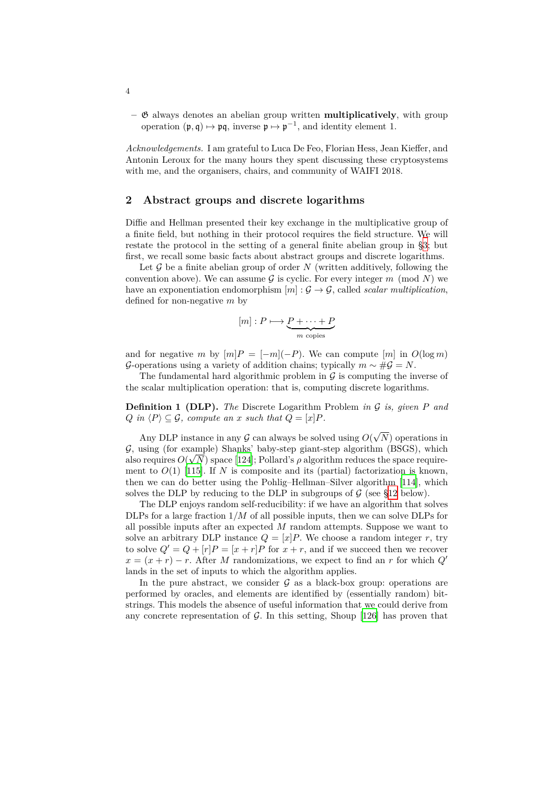**–** G always denotes an abelian group written **multiplicatively**, with group operation  $(\mathfrak{p}, \mathfrak{q}) \mapsto \mathfrak{p}\mathfrak{q}$ , inverse  $\mathfrak{p} \mapsto \mathfrak{p}^{-1}$ , and identity element 1.

*Acknowledgements.* I am grateful to Luca De Feo, Florian Hess, Jean Kieffer, and Antonin Leroux for the many hours they spent discussing these cryptosystems with me, and the organisers, chairs, and community of WAIFI 2018.

## **2 Abstract groups and discrete logarithms**

<span id="page-3-0"></span>Diffie and Hellman presented their key exchange in the multiplicative group of a finite field, but nothing in their protocol requires the field structure. We will restate the protocol in the setting of a general finite abelian group in §3; but first, we recall some basic facts about abstract groups and discrete logarithms.

Let G be a finite abelian group of order N (written additively, following the convention above). We can assume  $G$  is cyclic. For every integer  $m \pmod{N}$  we have an exponentiation endomorphism  $[m]: \mathcal{G} \to \mathcal{G}$  $[m]: \mathcal{G} \to \mathcal{G}$  $[m]: \mathcal{G} \to \mathcal{G}$ , called *scalar multiplication*, defined for non-negative *m* by

$$
[m] : P \longmapsto \underbrace{P + \cdots + P}_{m \text{ copies}}
$$

and for negative *m* by  $[m]P = [-m](-P)$ . We can compute  $[m]$  in  $O(\log m)$ *G*-operations using a variety of addition chains; typically  $m \sim #G = N$ .

The fundamental hard algorithmic problem in  $\mathcal G$  is computing the inverse of the scalar multiplication operation: that is, computing discrete logarithms.

**Definition 1 (DLP).** *The* Discrete Logarithm Problem *in G is, given P and*  $Q$  *in*  $\langle P \rangle \subseteq \mathcal{G}$ *, compute an x such that*  $Q = [x]P$ *.* 

Any DLP instance in any  $G$  can always be solved using  $O(\sqrt{N})$  operations in *G*, using (for example) Shanks' baby-step giant-step algorithm (BSGS), which also requires  $O(\sqrt{N})$  space [124]; Pollard's  $\rho$  algorithm reduces the space requirement to  $O(1)$  [115]. If *N* is composite and its (partial) factorization is known, then we can do better using the Pohlig–Hellman–Silver algorithm [114], which solves the DLP by reducing to the DLP in subgroups of  $\mathcal G$  (see §12 below).

The DLP enjoys rando[m sel](#page-38-2)f-reducibility: if we have an algorithm that solves DLPs for a lar[ge fr](#page-37-2)action 1*/M* of all possible inputs, then we can solve DLPs for all possible inputs after an expected *M* random attempts. Suppose [we](#page-37-3) want to solve an arbitrary DLP instance  $Q = [x]P$ . We choose a rando[m in](#page-19-0)teger *r*, try to solve  $Q' = Q + [r]P = [x + r]P$  for  $x + r$ , and if we succeed then we recover  $x = (x + r) - r$ . After *M* randomizations, we expect to find an *r* for which *Q'* lands in the set of inputs to which the algorithm applies.

In the pure abstract, we consider  $\mathcal G$  as a black-box group: operations are performed by oracles, and elements are identified by (essentially random) bitstrings. This models the absence of useful information that we could derive from any concrete representation of *G*. In this setting, Shoup [126] has proven that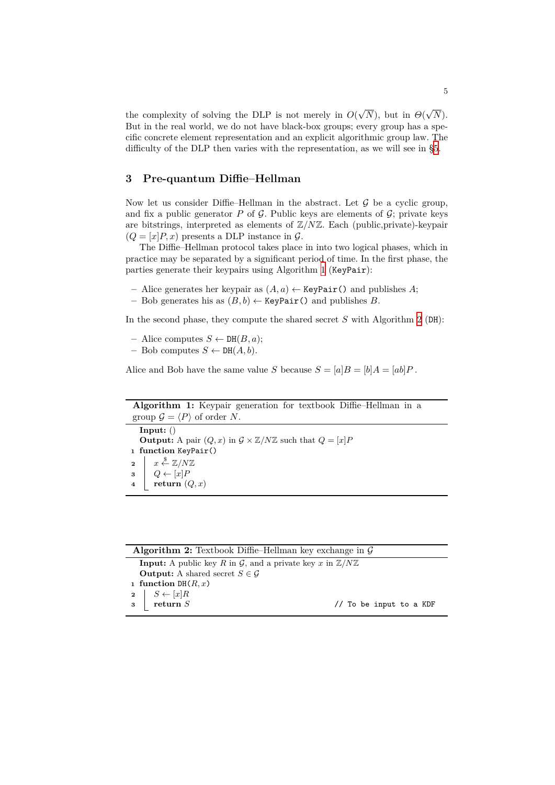the complexity of solving the DLP is not merely in  $O(\sqrt{N})$ , but in  $\Theta(\sqrt{N})$ . But in the real world, we do not have black-box groups; every group has a specific concrete element representation and an explicit algorithmic group law. The difficulty of the DLP then varies with the representation, as we will see in §5.

## **3 Pre-quantum Diffie–Hellman**

<span id="page-4-0"></span>Now let us consider Diffie–Hellman in the abstract. Let *G* be a cyclic gr[ou](#page-7-0)p, and fix a public generator  $P$  of  $G$ . Public keys are elements of  $G$ ; private keys are bitstrings, interpreted as elements of Z*/N*Z. Each (public,private)-keypair  $(Q = [x]P, x)$  presents a DLP instance in  $\mathcal{G}$ .

The Diffie–Hellman protocol takes place in into two logical phases, which in practice may be separated by a significant period of time. In the first phase, the parties generate their keypairs using Algorithm 1 (KeyPair):

- **–** Alice generates her keypair as (*A, a*) *←* KeyPair() and publishes *A*;
- **–** Bob generates his as (*B, b*) *←* KeyPair() and publishes *B*.

In the second phase, they compute the shared s[ec](#page-4-1)ret *S* with Algorithm 2 (DH):

**–** Alice computes *S ←* DH(*B, a*);

**–** Bob computes *S ←* DH(*A, b*).

Alice and Bob have the same value *S* because  $S = [a]B = [b]A = [ab]P$ .

**Algorithm 1:** Keypair generation for textbook Diffie–Hellman in a group  $\mathcal{G} = \langle P \rangle$  of order *N*.

<span id="page-4-1"></span>**Input:** () **Output:** A pair  $(Q, x)$  in  $\mathcal{G} \times \mathbb{Z}/N\mathbb{Z}$  such that  $Q = [x]P$  **function** KeyPair() *x* \$ *←* Z*/N*Z  $\left| Q \leftarrow [x]P \right|$ **return** (*Q, x*)

<span id="page-4-2"></span>

| <b>Algorithm 2:</b> Textbook Diffie–Hellman key exchange in $\mathcal{G}$                        |                         |  |
|--------------------------------------------------------------------------------------------------|-------------------------|--|
| <b>Input:</b> A public key R in G, and a private key x in $\mathbb{Z}/N\mathbb{Z}$               |                         |  |
| <b>Output:</b> A shared secret $S \in \mathcal{G}$                                               |                         |  |
| 1 function DH $(R, x)$                                                                           |                         |  |
|                                                                                                  |                         |  |
| $\begin{array}{c c} \mathbf{2} & S \leftarrow [x]R \\ \mathbf{3} & \text{return } S \end{array}$ | // To be input to a KDF |  |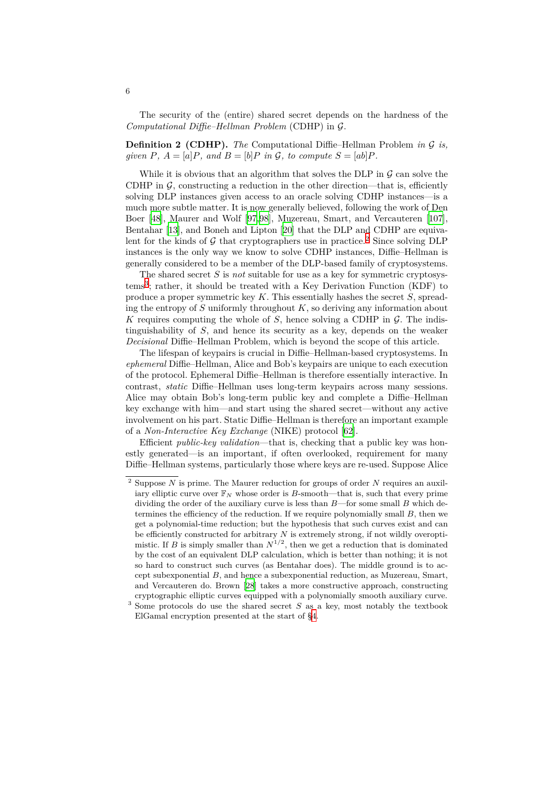The security of the (entire) shared secret depends on the hardness of the *Computational Diffie–Hellman Problem* (CDHP) in *G*.

**Definition 2 (CDHP).** *The* Computational Diffie–Hellman Problem *in G is, given*  $P$ *,*  $A = [a]P$ *,* and  $B = [b]P$  *in*  $\mathcal{G}$ *,* to compute  $S = [ab]P$ *.* 

While it is obvious that an algorithm that solves the DLP in  $\mathcal G$  can solve the CDHP in  $G$ , constructing a reduction in the other direction—that is, efficiently solving DLP instances given access to an oracle solving CDHP instances—is a much more subtle matter. It is now generally believed, following the work of Den Boer [48], Maurer and Wolf [97,98], Muzereau, Smart, and Vercauteren [107], Bentahar [13], and Boneh and Lipton [20] that the DLP and CDHP are equivalent for the kinds of  $G$  that cryptographers use in practice.<sup>2</sup> Since solving DLP instances is the only way we know to solve CDHP instances, Diffie–Hellman is gener[ally](#page-33-2) considered to be a [mem](#page-36-2)[be](#page-36-3)r of the DLP-based family of cryptosys[tems](#page-37-4).

The sh[are](#page-31-2)d secret *S* is *not* suitable [for](#page-32-2) use as a key for symmetric cryptosystems<sup>3</sup> ; rather, it should be treated with a Key Derivation [F](#page-5-0)unction (KDF) to produce a proper symmetric key *K*. This essentially hashes the secret *S*, spreading the entropy of *S* uniformly throughout *K*, so deriving any information about *K* requires computing the whole of *S*, hence solving a CDHP in *G*. The indisting[ui](#page-5-1)shability of *S*, and hence its security as a key, depends on the weaker *Decisional* Diffie–Hellman Problem, which is beyond the scope of this article.

The lifespan of keypairs is crucial in Diffie–Hellman-based cryptosystems. In *ephemeral* Diffie–Hellman, Alice and Bob's keypairs are unique to each execution of the protocol. Ephemeral Diffie–Hellman is therefore essentially interactive. In contrast, *static* Diffie–Hellman uses long-term keypairs across many sessions. Alice may obtain Bob's long-term public key and complete a Diffie–Hellman key exchange with him—and start using the shared secret—without any active involvement on his part. Static Diffie–Hellman is therefore an important example of a *Non-Interactive Key Exchange* (NIKE) protocol [62].

Efficient *public-key validation*—that is, checking that a public key was honestly generated—is an important, if often overlooked, requirement for many Diffie–Hellman systems, particularly those where keys are re-used. Suppose Alice

<span id="page-5-0"></span><sup>2</sup> Suppose *N* is prime. The Maurer reduction for groups [of o](#page-34-5)rder *N* requires an auxiliary elliptic curve over  $\mathbb{F}_N$  whose order is *B*-smooth—that is, such that every prime dividing the order of the auxiliary curve is less than *B*—for some small *B* which determines the efficiency of the reduction. If we require polynomially small *B*, then we get a polynomial-time reduction; but the hypothesis that such curves exist and can be efficiently constructed for arbitrary *N* is extremely strong, if not wildly overoptimistic. If *B* is simply smaller than  $N^{1/2}$ , then we get a reduction that is dominated by the cost of an equivalent DLP calculation, which is better than nothing; it is not so hard to construct such curves (as Bentahar does). The middle ground is to accept subexponential *B*, and hence a subexponential reduction, as Muzereau, Smart, and Vercauteren do. Brown [28] takes a more constructive approach, constructing cryptographic elliptic curves equipped with a polynomially smooth auxiliary curve.

<span id="page-5-1"></span><sup>&</sup>lt;sup>3</sup> Some protocols do use the shared secret *S* as a key, most notably the textbook ElGamal encryption presented at the start of §4.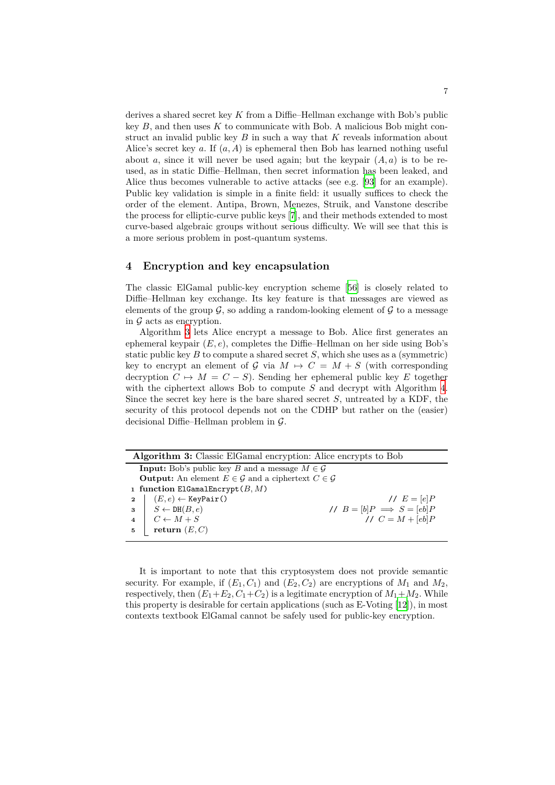derives a shared secret key *K* from a Diffie–Hellman exchange with Bob's public key *B*, and then uses *K* to communicate with Bob. A malicious Bob might construct an invalid public key *B* in such a way that *K* reveals information about Alice's secret key *a*. If (*a, A*) is ephemeral then Bob has learned nothing useful about *a*, since it will never be used again; but the keypair  $(A, a)$  is to be reused, as in static Diffie–Hellman, then secret information has been leaked, and Alice thus becomes vulnerable to active attacks (see e.g. [93] for an example). Public key validation is simple in a finite field: it usually suffices to check the order of the element. Antipa, Brown, Menezes, Struik, and Vanstone describe the process for elliptic-curve public keys [7], and their methods extended to most curve-based algebraic groups without serious difficulty. W[e w](#page-36-4)ill see that this is a more serious problem in post-quantum systems.

#### **4 Encryption and key encap[su](#page-31-3)lation**

The classic ElGamal public-key encryption scheme [56] is closely related to Diffie–Hellman key exchange. Its key feature is that messages are viewed as elements of the group  $\mathcal{G}$ , so adding a random-looking element of  $\mathcal{G}$  to a message in *G* acts as encryption.

Algorithm 3 lets Alice encrypt a message to Bob[. A](#page-34-6)lice first generates an ephemeral keypair (*E, e*), completes the Diffie–Hellman on her side using Bob's static public key *B* to compute a shared secret *S*, which she uses as a (symmetric) key to encrypt an element of  $G$  via  $M \mapsto C = M + S$  (with corresponding decryption  $C \mapsto M = C - S$ ). Sending her ephemeral public key *E* together with the ciphertext allows Bob to compute *S* and decrypt with Algorithm 4. Since the secret key here is the bare shared secret *S*, untreated by a KDF, the security of this protocol depends not on the CDHP but rather on the (easier) decisional Diffie–Hellman problem in *G*.

| <b>Algorithm 3:</b> Classic ElGamal encryption: Alice encrypts to Bob              |                                                                                                                                                                                  |                                  |
|------------------------------------------------------------------------------------|----------------------------------------------------------------------------------------------------------------------------------------------------------------------------------|----------------------------------|
| <b>Input:</b> Bob's public key B and a message $M \in \mathcal{G}$                 |                                                                                                                                                                                  |                                  |
| <b>Output:</b> An element $E \in \mathcal{G}$ and a ciphertext $C \in \mathcal{G}$ |                                                                                                                                                                                  |                                  |
| 1 function ElGamalEncrypt $(B, M)$                                                 |                                                                                                                                                                                  |                                  |
|                                                                                    |                                                                                                                                                                                  | // $E =  e P$                    |
|                                                                                    |                                                                                                                                                                                  | // $B = [b]P \implies S = [eb]P$ |
|                                                                                    |                                                                                                                                                                                  | // $C = M + [eb]P$               |
|                                                                                    | $\begin{tabular}{c c} $a$ & $(E,e) \leftarrow \mathtt{KeyPair}()$ \\ $a$ & $S \leftarrow \mathtt{DH}(B,e)$ \\ $4$ & $C \leftarrow M+S$ \\ $5$ & return $(E,C)$ \\ \end{tabular}$ |                                  |
|                                                                                    |                                                                                                                                                                                  |                                  |

<span id="page-6-0"></span>It is important to note that this cryptosystem does not provide semantic security. For example, if  $(E_1, C_1)$  and  $(E_2, C_2)$  are encryptions of  $M_1$  and  $M_2$ , respectively, then  $(E_1+E_2, C_1+C_2)$  is a legitimate encryption of  $M_1+M_2$ . While this property is desirable for certain applications (such as E-Voting [12]), in most contexts textbook ElGamal cannot be safely used for public-key encryption.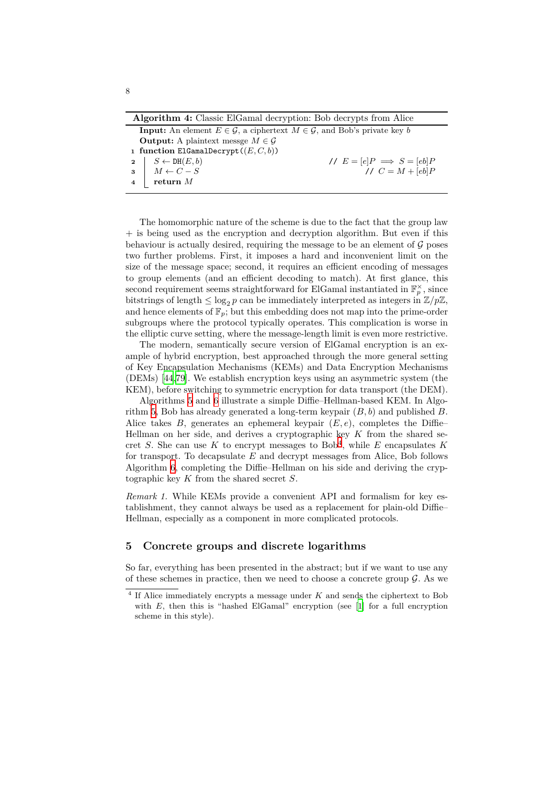**Algorithm 4:** Classic ElGamal decryption: Bob decrypts from Alice

| <b>Input:</b> An element $E \in \mathcal{G}$ , a ciphertext $M \in \mathcal{G}$ , and Bob's private key b                                          |  |                                  |
|----------------------------------------------------------------------------------------------------------------------------------------------------|--|----------------------------------|
| <b>Output:</b> A plaintext messe $M \in \mathcal{G}$                                                                                               |  |                                  |
| 1 function ElGamalDecrypt $((E, C, b))$                                                                                                            |  |                                  |
|                                                                                                                                                    |  | // $E = [e]P \implies S = [eb]P$ |
|                                                                                                                                                    |  | // $C = M + [eb]P$               |
| $\begin{array}{c c} \textbf{2} & S \leftarrow \texttt{DH}(E, b) \\ \textbf{3} & M \leftarrow C - S \\ \textbf{4} & \textbf{return } M \end{array}$ |  |                                  |
|                                                                                                                                                    |  |                                  |

The homomorphic nature of the scheme is due to the fact that the group law + is being used as the encryption and decryption algorithm. But even if this behaviour is actually desired, requiring the message to be an element of  $\mathcal G$  poses two further problems. First, it imposes a hard and inconvenient limit on the size of the message space; second, it requires an efficient encoding of messages to group elements (and an efficient decoding to match). At first glance, this second requirement seems straightforward for ElGamal instantiated in  $\mathbb{F}_p^{\times}$ , since bitstrings of length  $\leq \log_2 p$  can be immediately interpreted as integers in  $\mathbb{Z}/p\mathbb{Z}$ , and hence elements of  $\mathbb{F}_p$ ; but this embedding does not map into the prime-order subgroups where the protocol typically operates. This complication is worse in the elliptic curve setting, where the message-length limit is even more restrictive.

The modern, semantically secure version of ElGamal encryption is an example of hybrid encryption, best approached through the more general setting of Key Encapsulation Mechanisms (KEMs) and Data Encryption Mechanisms (DEMs) [44,79]. We establish encryption keys using an asymmetric system (the KEM), before switching to symmetric encryption for data transport (the DEM).

Algorithms 5 and 6 illustrate a simple Diffie–Hellman-based KEM. In Algorithm 5, Bob has already generated a long-term keypair (*B, b*) and published *B*. Alice tak[es](#page-33-3) *[B](#page-35-0)*, generates an ephemeral keypair  $(E, e)$ , completes the Diffie– Hellman on her side, and derives a cryptographic key *K* from the shared secret *S*. She ca[n](#page-8-0) use *[K](#page-8-1)* to encrypt messages to  $Bob<sup>4</sup>$ , while *E* encapsulates *K* for tr[an](#page-8-0)sport. To decapsulate *E* and decrypt messages from Alice, Bob follows Algorithm 6, completing the Diffie–Hellman on his side and deriving the cryptographic key *K* from the shared secret *S*.

*Remark 1.* While KEMs provide a convenient API [a](#page-7-1)nd formalism for key establishment, they cannot always be used as a replacement for plain-old Diffie– Hellman, e[sp](#page-8-1)ecially as a component in more complicated protocols.

## **5 Concrete groups and discrete logarithms**

So far, everything has been presented in the abstract; but if we want to use any of these schemes in practice, then we need to choose a concrete group  $\mathcal G$ . As we

<span id="page-7-1"></span><span id="page-7-0"></span><sup>4</sup> If Alice immediately encrypts a message under *K* and sends the ciphertext to Bob with *E*, then this is "hashed ElGamal" encryption (see [1] for a full encryption scheme in this style).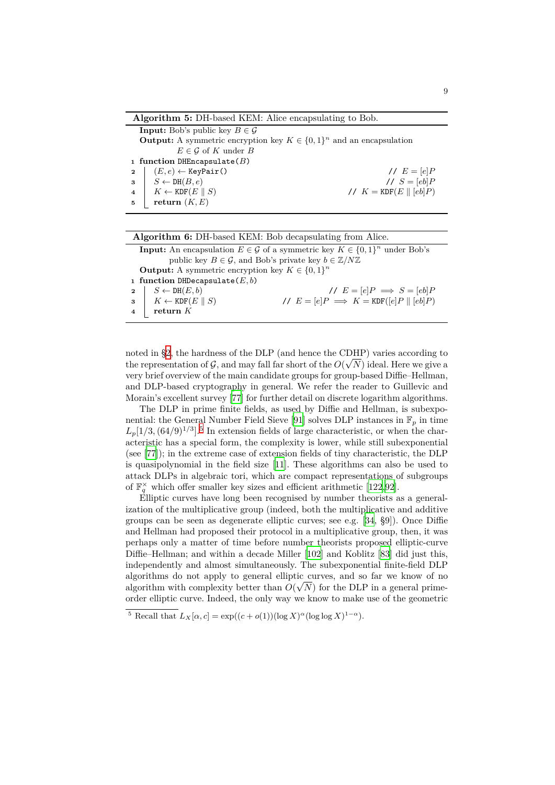**Algorithm 5:** DH-based KEM: Alice encapsulating to Bob.

<span id="page-8-0"></span>**Input:** Bob's public key  $B \in \mathcal{G}$ **Output:** A symmetric encryption key  $K \in \{0,1\}^n$  and an encapsulation  $E \in \mathcal{G}$  of *K* under *B* **<sup>1</sup> function** DHEncapsulate(*B*)  $2 \mid (E, e) \leftarrow$  KeyPair()  $\qquad \qquad \text{if } E = [e]P$ **3**  $S \leftarrow \text{DH}(B, e)$  //  $S = [eb]P$ **4**  $K \leftarrow \text{KDF}(E \parallel S)$  //  $K = \text{KDF}(E \parallel [eb]P)$  $\mathbf{5}$  | **return**  $(K, E)$ 

| Algorithm 6: DH-based KEM: Bob decapsulating from Alice.                                            |                                            |                                               |
|-----------------------------------------------------------------------------------------------------|--------------------------------------------|-----------------------------------------------|
| <b>Input:</b> An encapsulation $E \in \mathcal{G}$ of a symmetric key $K \in \{0,1\}^n$ under Bob's |                                            |                                               |
| public key $B \in \mathcal{G}$ , and Bob's private key $b \in \mathbb{Z}/N\mathbb{Z}$               |                                            |                                               |
| <b>Output:</b> A symmetric encryption key $K \in \{0,1\}^n$                                         |                                            |                                               |
| 1 function DHDecapsulate( $E, b$ )                                                                  |                                            |                                               |
| $\mathbf{2}$                                                                                        | $S \leftarrow \text{DH}(E, b)$             | // $E = [e]P \implies S = [eb]P$              |
|                                                                                                     | $3 \mid K \leftarrow \text{KDF}(E \mid S)$ | // $E = [e]P \implies K = KDF([e]P    [eb]P)$ |
| $\overline{4}$                                                                                      | return $K$                                 |                                               |
|                                                                                                     |                                            |                                               |

<span id="page-8-1"></span>noted in §2, the hardness of the DLP (and hence the CDHP) varies according to the representation of  $G$ , and may fall far short of the  $O(\sqrt{N})$  ideal. Here we give a very brief overview of the main candidate groups for group-based Diffie–Hellman, and DLP-based cryptography in general. We refer the reader to Guillevic and Morain's [ex](#page-3-0)cellent survey [77] for further detail on discrete logarithm algorithms.

The DLP in prime finite fields, as used by Diffie and Hellman, is subexponential: the General Number Field Sieve [91] solves DLP instances in  $\mathbb{F}_p$  in time  $L_p[1/3,(64/9)^{1/3}]$ <sup>5</sup> In extension fields of large characteristic, or when the characteristic has a special for[m,](#page-35-1) the complexity is lower, while still subexponential (see [77]); in the extreme case of extension fields of tiny characteristic, the DLP is quasipolynomial in the field size [11]. [Th](#page-36-5)ese algorithms can also be used to attack DLPs in al[g](#page-8-2)ebraic tori, which are compact representations of subgroups of  $\mathbb{F}_q^{\times}$  which offer smaller key sizes and efficient arithmetic [122,92].

E[llip](#page-35-1)tic curves have long been recognised by number theorists as a generalization of the multiplicative group (i[nde](#page-31-0)ed, both the multiplicative and additive groups can be seen as degenerate elliptic curves; see e.g. [34, §9]). Once Diffie and Hellman had proposed their protocol in a multiplicativ[e gro](#page-38-3)[up](#page-36-6), then, it was perhaps only a matter of time before number theorists proposed elliptic-curve Diffie–Hellman; and within a decade Miller [102] and Koblitz [83] did just this, independently and almost simultaneously. The subexpone[ntia](#page-33-4)l finite-field DLP algorithms do not apply to general elliptic curves, and so far we know of no algorithm with complexity better than  $O(\sqrt{N})$  for the DLP in a general primeorder elliptic curve. Indeed, the only way we [kno](#page-37-5)w to make use [of](#page-36-7) the geometric

<span id="page-8-2"></span><sup>&</sup>lt;sup>5</sup> Recall that  $L_X[\alpha, c] = \exp((c + o(1))(\log X)^{\alpha}(\log \log X)^{1-\alpha}).$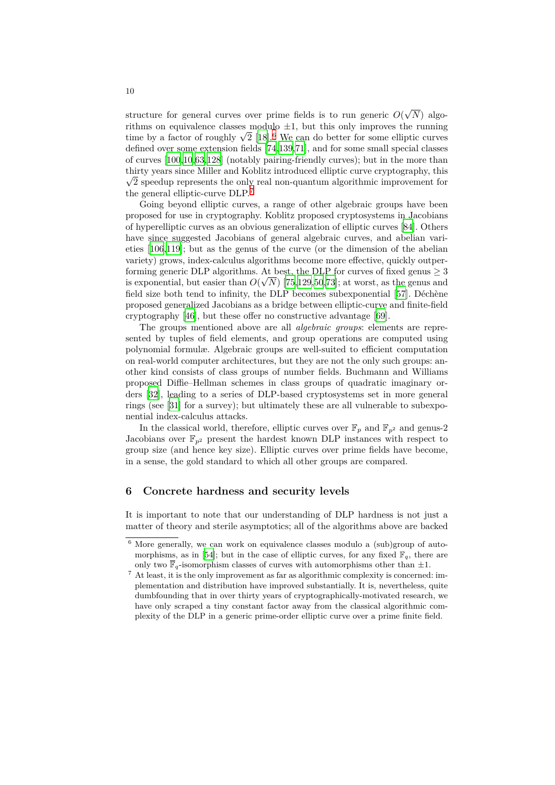structure for general curves over prime fields is to run generic  $O(\sqrt{N})$  algorithms on equivalence classes modulo *±*1, but this only improves the running time by a factor of roughly  $\sqrt{2}$  [18].<sup>6</sup> We can do better for some elliptic curves defined over some extension fields [74,139,71], and for some small special classes of curves [100,10,63,128] (notably pairing-friendly curves); but in the more than thirty years since Miller and Koblitz introduced elliptic curve cryptography, this  $\sqrt{2}$  speedup represents the only [rea](#page-32-3)l [n](#page-9-1)on-quantum algorithmic improvement for the general elliptic-curve DLP.<sup>7</sup>

Going [bey](#page-37-6)[on](#page-31-4)[d e](#page-34-7)[llipt](#page-38-4)ic curves, [a r](#page-35-2)[ange](#page-39-0) [of](#page-35-3) other algebraic groups have been proposed for use in cryptography. Koblitz proposed cryptosystems in Jacobians of hyperelliptic curves as an obvious generalization of elliptic curves [84]. Others have since suggested Jacobia[ns](#page-9-2) of general algebraic curves, and abelian varieties [106,119]; but as the genus of the curve (or the dimension of the abelian variety) grows, index-calculus algorithms become more effective, quickly outperforming generic DLP algorithms. At best, the DLP for curves of fixe[d ge](#page-36-8)nus  $\geq 3$ is exponential, but easier than  $O(\sqrt{N})$  [75,129,50,73]; at worst, as the genus and field s[ize](#page-37-7) [both](#page-38-5) tend to infinity, the DLP becomes subexponential [57]. Déchène proposed generalized Jacobians as a bridge between elliptic-curve and finite-field cryptography [46], but these offer no constructive advantage [69].

The groups mentioned above are a[ll](#page-35-4) *[alge](#page-38-6)[bra](#page-34-8)[ic g](#page-35-5)roups*: elements are represented by tuples of field elements, and group operations are co[mpu](#page-34-9)ted using polynomial formulæ. Algebraic groups are well-suited to efficient computation on real-world c[om](#page-33-5)puter architectures, but they are not the onl[y s](#page-35-6)uch groups: another kind consists of class groups of number fields. Buchmann and Williams proposed Diffie–Hellman schemes in class groups of quadratic imaginary orders [32], leading to a series of DLP-based cryptosystems set in more general rings (see [31] for a survey); but ultimately these are all vulnerable to subexponential index-calculus attacks.

In the classical world, therefore, elliptic curves over  $\mathbb{F}_p$  and  $\mathbb{F}_{p^2}$  and genus-2 Jacob[ian](#page-32-4)s over  $\mathbb{F}_{p^2}$  present the hardest known DLP instances with respect to group size [\(an](#page-32-5)d hence key size). Elliptic curves over prime fields have become, in a sense, the gold standard to which all other groups are compared.

## **6 Concrete hardness and security levels**

It is important to note that our understanding of DLP hardness is not just a matter of theory and sterile asymptotics; all of the algorithms above are backed

<span id="page-9-0"></span><sup>6</sup> More generally, we can work on equivalence classes modulo a (sub)group of automorphisms, as in [54]; but in the case of elliptic curves, for any fixed  $\mathbb{F}_q$ , there are only two  $\overline{\mathbb{F}}_q$ -isomorphism classes of curves with automorphisms other than  $\pm 1$ .

<span id="page-9-2"></span><span id="page-9-1"></span> $7$  At least, it is the only improvement as far as algorithmic complexity is concerned: implementation and distribution have improved substantially. It is, nevertheless, quite dumbfounding tha[t in](#page-34-10) over thirty years of cryptographically-motivated research, we have only scraped a tiny constant factor away from the classical algorithmic complexity of the DLP in a generic prime-order elliptic curve over a prime finite field.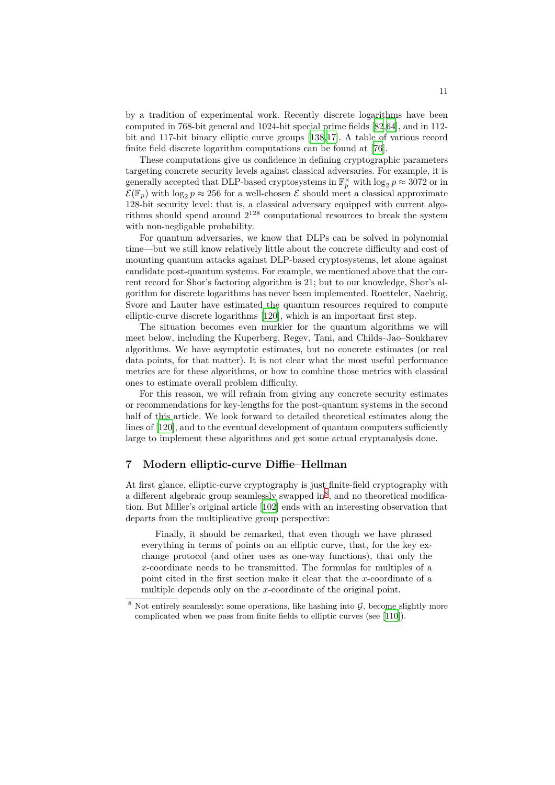by a tradition of experimental work. Recently discrete logarithms have been computed in 768-bit general and 1024-bit special prime fields [82,64], and in 112 bit and 117-bit binary elliptic curve groups [138,17]. A table of various record finite field discrete logarithm computations can be found at [76].

These computations give us confidence in defining cryptographic parameters targeting concrete security levels against classical adversaries[. F](#page-36-9)[or e](#page-35-7)xample, it is generally accepted that DLP-based cryptosys[tems](#page-39-1) [in](#page-32-6)  $\mathbb{F}_p^{\times}$  with  $\log_2 p \approx 3072$  or in  $\mathcal{E}(\mathbb{F}_p)$  with  $\log_2 p \approx 256$  for a well-chosen  $\mathcal E$  should meet a cla[ssi](#page-35-8)cal approximate 128-bit security level: that is, a classical adversary equipped with current algorithms should spend around  $2^{128}$  computational resources to break the system with non-negligable probability.

For quantum adversaries, we know that DLPs can be solved in polynomial time—but we still know relatively little about the concrete difficulty and cost of mounting quantum attacks against DLP-based cryptosystems, let alone against candidate post-quantum systems. For example, we mentioned above that the current record for Shor's factoring algorithm is 21; but to our knowledge, Shor's algorithm for discrete logarithms has never been implemented. Roetteler, Naehrig, Svore and Lauter have estimated the quantum resources required to compute elliptic-curve discrete logarithms [120], which is an important first step.

The situation becomes even murkier for the quantum algorithms we will meet below, including the Kuperberg, Regev, Tani, and Childs–Jao–Soukharev algorithms. We have asymptotic estimates, but no concrete estimates (or real data points, for that matter). It i[s no](#page-38-7)t clear what the most useful performance metrics are for these algorithms, or how to combine those metrics with classical ones to estimate overall problem difficulty.

For this reason, we will refrain from giving any concrete security estimates or recommendations for key-lengths for the post-quantum systems in the second half of this article. We look forward to detailed theoretical estimates along the lines of [120], and to the eventual development of quantum computers sufficiently large to implement these algorithms and get some actual cryptanalysis done.

# **7 M[ode](#page-38-7)rn elliptic-curve Diffie–Hellman**

<span id="page-10-0"></span>At first glance, elliptic-curve cryptography is just finite-field cryptography with a different algebraic group seamlessly swapped  $\text{in}^8$ , and no theoretical modification. But Miller's original article [102] ends with an interesting observation that departs from the multiplicative group perspective:

Finally, it should be remarked, that even though we have phrased everything in terms of points on an elliptic [cu](#page-10-1)rve, that, for the key exchange protocol (and other [uses](#page-37-5) as one-way functions), that only the *x*-coordinate needs to be transmitted. The formulas for multiples of a point cited in the first section make it clear that the *x*-coordinate of a multiple depends only on the *x*-coordinate of the original point.

<span id="page-10-1"></span>Not entirely seamlessly: some operations, like hashing into  $G$ , become slightly more complicated when we pass from finite fields to elliptic curves (see [110]).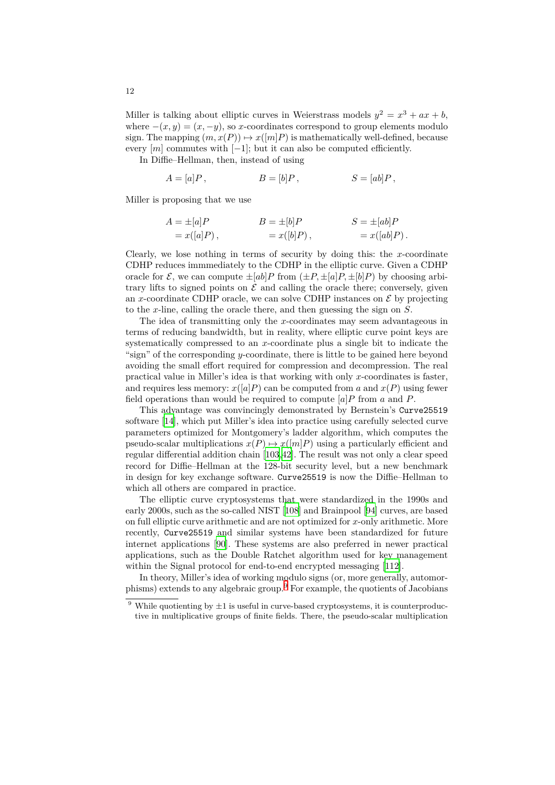Miller is talking about elliptic curves in Weierstrass models  $y^2 = x^3 + ax + b$ , where  $-(x, y) = (x, -y)$ , so *x*-coordinates correspond to group elements modulo sign. The mapping  $(m, x(P)) \mapsto x([m]P)$  is mathematically well-defined, because every  $[m]$  commutes with  $[-1]$ ; but it can also be computed efficiently.

In Diffie–Hellman, then, instead of using

$$
A = [a]P, \qquad \qquad B = [b]P, \qquad \qquad S = [ab]P,
$$

Miller is proposing that we use

$$
A = \pm[a]P
$$
  
\n
$$
B = \pm[b]P
$$
  
\n
$$
S = \pm[ab]P
$$
  
\n
$$
S = \pm[ab]P
$$
  
\n
$$
S = \pm[a\overline{b}]P
$$
  
\n
$$
= x([ab]P).
$$

Clearly, we lose nothing in terms of security by doing this: the *x*-coordinate CDHP reduces immmediately to the CDHP in the elliptic curve. Given a CDHP oracle for  $\mathcal{E}$ , we can compute  $\pm [ab]P$  from  $(\pm P, \pm [a]P, \pm [b]P)$  by choosing arbitrary lifts to signed points on  $\mathcal E$  and calling the oracle there; conversely, given an *x*-coordinate CDHP oracle, we can solve CDHP instances on  $\mathcal E$  by projecting to the *x*-line, calling the oracle there, and then guessing the sign on *S*.

The idea of transmitting only the *x*-coordinates may seem advantageous in terms of reducing bandwidth, but in reality, where elliptic curve point keys are systematically compressed to an *x*-coordinate plus a single bit to indicate the "sign" of the corresponding *y*-coordinate, there is little to be gained here beyond avoiding the small effort required for compression and decompression. The real practical value in Miller's idea is that working with only *x*-coordinates is faster, and requires less memory:  $x([a]P)$  can be computed from a and  $x(P)$  using fewer field operations than would be required to compute [*a*]*P* from *a* and *P*.

This advantage was convincingly demonstrated by Bernstein's Curve25519 software [14], which put Miller's idea into practice using carefully selected curve parameters optimized for Montgomery's ladder algorithm, which computes the pseudo-scalar multiplications  $x(P) \mapsto x([m]P)$  using a particularly efficient and regular differential addition chain [103,42]. The result was not only a clear speed record fo[r D](#page-31-5)iffie–Hellman at the 128-bit security level, but a new benchmark in design for key exchange software. Curve25519 is now the Diffie–Hellman to which all others are compared in practice.

The elliptic curve cryptosyste[ms t](#page-37-8)[ha](#page-33-6)t were standardized in the 1990s and early 2000s, such as the so-called NIST [108] and Brainpool [94] curves, are based on full elliptic curve arithmetic and are not optimized for *x*-only arithmetic. More recently, Curve25519 and similar systems have been standardized for future internet applications [90]. These systems are also preferred in newer practical applications, such as the Double Ratc[het](#page-37-9) algorithm used [for](#page-36-10) key management within the Signal protocol for end-to-end encrypted messaging [112].

In theory, Miller's idea of working modulo signs (or, more generally, automorphisms) extends to an[y al](#page-36-11)gebraic group.<sup>9</sup> For example, the quotients of Jacobians

<sup>&</sup>lt;sup>9</sup> While quotienting by  $\pm 1$  is useful in curve-based cryptosystems, it is counterproductive in multiplicative groups of finite fields. There, the pseudo-sca[lar m](#page-37-10)ultiplication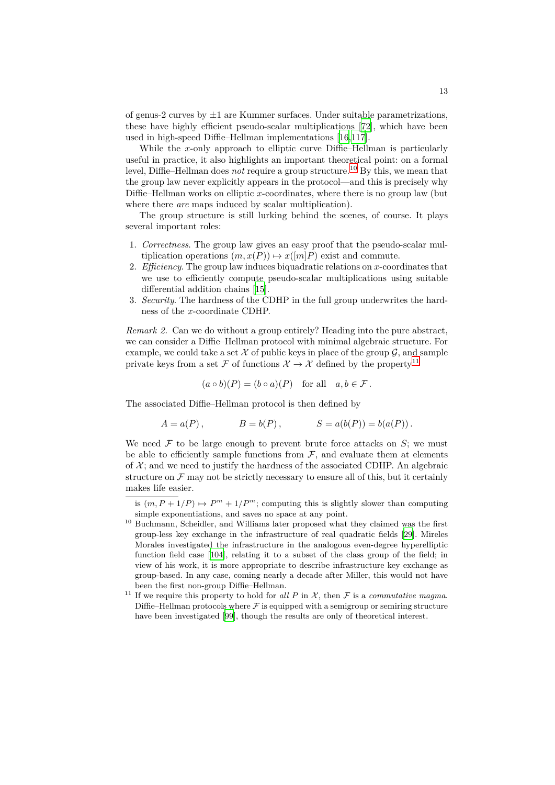of genus-2 curves by *±*1 are Kummer surfaces. Under suitable parametrizations, these have highly efficient pseudo-scalar multiplications [72], which have been used in high-speed Diffie–Hellman implementations [16,117].

While the *x*-only approach to elliptic curve Diffie–Hellman is particularly useful in practice, it also highlights an important theoretical point: on a formal level, Diffie–Hellman does *not* require a group structure.<sup>10</sup> [By](#page-35-9) this, we mean that the group law never explicitly appears in the protoco[l—](#page-31-6)[and](#page-37-11) this is precisely why Diffie–Hellman works on elliptic *x*-coordinates, where there is no group law (but where there *are* maps induced by scalar multiplication).

The group structure is still lurking behind the sc[en](#page-12-0)es, of course. It plays several important roles:

- 1. *Correctness*. The group law gives an easy proof that the pseudo-scalar multiplication operations  $(m, x(P)) \mapsto x([m]P)$  exist and commute.
- 2. *Efficiency*. The group law induces biquadratic relations on *x*-coordinates that we use to efficiently compute pseudo-scalar multiplications using suitable differential addition chains [15].
- 3. *Security*. The hardness of the CDHP in the full group underwrites the hardness of the *x*-coordinate CDHP.

*Remark 2.* Can we do without [a gr](#page-31-7)oup entirely? Heading into the pure abstract, we can consider a Diffie–Hellman protocol with minimal algebraic structure. For example, we could take a set  $\mathcal X$  of public keys in place of the group  $\mathcal G$ , and sample private keys from a set  $\mathcal F$  of functions  $\mathcal X \to \mathcal X$  defined by the property<sup>11</sup>

$$
(a \circ b)(P) = (b \circ a)(P)
$$
 for all  $a, b \in \mathcal{F}$ .

The associated Diffie–Hellman protocol is then defined by

$$
A = a(P)
$$
,  $B = b(P)$ ,  $S = a(b(P)) = b(a(P))$ .

We need  $\mathcal F$  to be large enough to prevent brute force attacks on  $S$ ; we must be able to efficiently sample functions from  $\mathcal{F}$ , and evaluate them at elements of  $X$ ; and we need to justify the hardness of the associated CDHP. An algebraic structure on  $\mathcal F$  may not be strictly necessary to ensure all of this, but it certainly makes life easier.

is  $(m, P + 1/P) \mapsto P^m + 1/P^m$ ; computing this is slightly slower than computing simple exponentiations, and saves no space at any point.

 $^{10}$  Buchmann, Scheidler, and Williams later proposed what they claimed was the first group-less key exchange in the infrastructure of real quadratic fields [29]. Mireles Morales investigated the infrastructure in the analogous even-degree hyperelliptic function field case [104], relating it to a subset of the class group of the field; in view of his work, it is more appropriate to describe infrastructure key exchange as group-based. In any case, coming nearly a decade after Miller, this wo[uld](#page-32-7) not have been the first non-group Diffie–Hellman.

<span id="page-12-0"></span><sup>&</sup>lt;sup>11</sup> If we require this pr[ope](#page-37-12)rty to hold for *all P* in *X*, then *F* is a *commutative magma*. Diffie–Hellman protocols where  $F$  is equipped with a semigroup or semiring structure have been investigated [99], though the results are only of theoretical interest.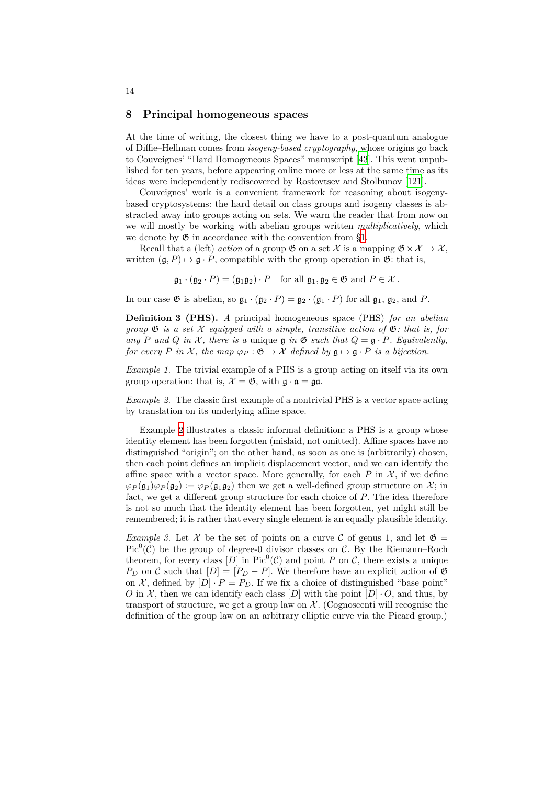#### **8 Principal homogeneous spaces**

<span id="page-13-0"></span>At the time of writing, the closest thing we have to a post-quantum analogue of Diffie–Hellman comes from *isogeny-based cryptography*, whose origins go back to Couveignes' "Hard Homogeneous Spaces" manuscript [43]. This went unpublished for ten years, before appearing online more or less at the same time as its ideas were independently rediscovered by Rostovtsev and Stolbunov [121].

Couveignes' work is a convenient framework for reasoning about isogenybased cryptosystems: the hard detail on class groups an[d is](#page-33-7)ogeny classes is abstracted away into groups acting on sets. We warn the reader that from now on we will mostly be working with abelian groups written *multiplicativ[ely](#page-38-8)*, which we denote by  $\mathfrak G$  in accordance with the convention from §1.

Recall that a (left) *action* of a group  $\mathfrak{G}$  on a set  $\mathcal{X}$  is a mapping  $\mathfrak{G} \times \mathcal{X} \to \mathcal{X}$ , written  $(\mathfrak{g}, P) \mapsto \mathfrak{g} \cdot P$ , compatible with the group operation in  $\mathfrak{G}$ : that is,

$$
\mathfrak{g}_1 \cdot (\mathfrak{g}_2 \cdot P) = (\mathfrak{g}_1 \mathfrak{g}_2) \cdot P
$$
 for all  $\mathfrak{g}_1, \mathfrak{g}_2 \in \mathfrak{G}$  and  $P \in \mathcal{X}$ .

In our case  $\mathfrak{G}$  is abelian, so  $\mathfrak{g}_1 \cdot (\mathfrak{g}_2 \cdot P) = \mathfrak{g}_2 \cdot (\mathfrak{g}_1 \cdot P)$  for all  $\mathfrak{g}_1$ ,  $\mathfrak{g}_2$ , and P.

**Definition 3 (PHS).** *A* principal homogeneous space (PHS) *for an abelian group*  $\mathfrak{G}$  *is a set*  $\mathcal{X}$  *equipped with a simple, transitive action of*  $\mathfrak{G}$ *: that is, for any P* and *Q* in *X*, there is a unique  $\mathfrak{g}$  in  $\mathfrak{G}$  such that  $Q = \mathfrak{g} \cdot P$ *. Equivalently, for every P in X*, *the map*  $\varphi_P : \mathfrak{G} \to \mathcal{X}$  *defined by*  $\mathfrak{g} \mapsto \mathfrak{g} \cdot P$  *is a bijection.* 

*Example 1.* The trivial example of a PHS is a group acting on itself via its own group operation: that is,  $\mathcal{X} = \mathfrak{G}$ , with  $\mathfrak{g} \cdot \mathfrak{a} = \mathfrak{g} \mathfrak{a}$ .

<span id="page-13-2"></span>*Example 2.* The classic first example of a nontrivial PHS is a vector space acting by translation on its underlying affine space.

<span id="page-13-1"></span>Example 2 illustrates a classic informal definition: a PHS is a group whose identity element has been forgotten (mislaid, not omitted). Affine spaces have no distinguished "origin"; on the other hand, as soon as one is (arbitrarily) chosen, then each point defines an implicit displacement vector, and we can identify the affine space [wi](#page-13-1)th a vector space. More generally, for each  $P$  in  $\mathcal{X}$ , if we define  $\varphi$ *P*( $\mathfrak{g}_1$ ) $\varphi$ *P*( $\mathfrak{g}_2$ ) :=  $\varphi$ *P*( $\mathfrak{g}_1$  $\mathfrak{g}_2$ ) then we get a well-defined group structure on X; in fact, we get a different group structure for each choice of *P*. The idea therefore is not so much that the identity element has been forgotten, yet might still be remembered; it is rather that every single element is an equally plausible identity.

<span id="page-13-3"></span>*Example 3.* Let X be the set of points on a curve C of genus 1, and let  $\mathfrak{G} =$ Pic<sup>0</sup>( $\mathcal{C}$ ) be the group of degree-0 divisor classes on  $\mathcal{C}$ . By the Riemann–Roch theorem, for every class  $[D]$  in Pic<sup>0</sup>( $C$ ) and point  $P$  on  $C$ , there exists a unique *P<sub>D</sub>* on *C* such that  $[D] = [P_D - P]$ . We therefore have an explicit action of  $\mathfrak{G}$ on *X*, defined by  $[D] \cdot P = P_D$ . If we fix a choice of distinguished "base point" *O* in *X*, then we can identify each class  $[D]$  with the point  $[D] \cdot O$ , and thus, by transport of structure, we get a group law on  $\mathcal{X}$ . (Cognoscenti will recognise the definition of the group law on an arbitrary elliptic curve via the Picard group.)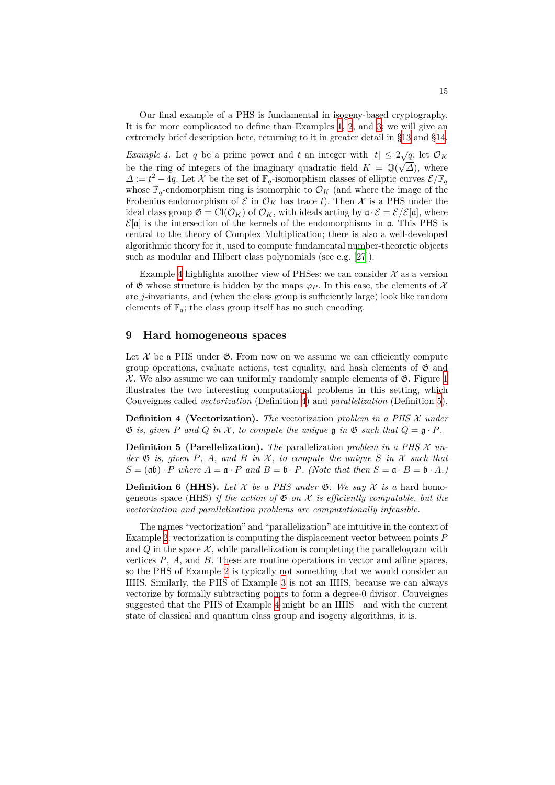Our final example of a PHS is fundamental in isogeny-based cryptography. It is far more complicated to define than Examples 1, 2, and 3; we will give an extremely brief description here, returning to it in greater detail in §13 and §14.

<span id="page-14-1"></span>*Example 4.* Let *q* be a prime power and *t* an integer with  $|t| \leq 2\sqrt{q}$ ; let  $\mathcal{O}_K$ be the ring of integers of the imaginary quadratic [fi](#page-13-2)[el](#page-13-1)d  $K = \mathbb{Q}(\sqrt{\Delta})$  $K = \mathbb{Q}(\sqrt{\Delta})$  $K = \mathbb{Q}(\sqrt{\Delta})$ , where *∆* :=  $t^2 - 4q$ . Let *X* be the set of  $\mathbb{F}_q$  $\mathbb{F}_q$  $\mathbb{F}_q$ -isomorphism classes of elliptic [cur](#page-20-0)ves  $\mathcal{E}/\mathbb{F}_q$ whose  $\mathbb{F}_q$ -endomorphism ring is isomorphic to  $\mathcal{O}_K$  (and where the image of the Frobenius endomorphism of  $\mathcal{E}$  in  $\mathcal{O}_K$  has trace t). Then  $\mathcal{X}$  is a PHS under the ideal class group  $\mathfrak{G} = \text{Cl}(\mathcal{O}_K)$  of  $\mathcal{O}_K$ , with ideals acting by  $\mathfrak{a} \cdot \mathcal{E} = \mathcal{E}/\mathcal{E}[\mathfrak{a}]$ , where  $\mathcal{E}[\mathfrak{a}]$  is the intersection of the kernels of the endomorphisms in  $\mathfrak{a}$ . This PHS is central to the theory of Complex Multiplication; there is also a well-developed algorithmic theory for it, used to compute fundamental number-theoretic objects such as modular and Hilbert class polynomials (see e.g. [27]).

Example 4 highlights another view of PHSes: we can consider  $\mathcal X$  as a version of  $\mathfrak G$  whose structure is hidden by the maps  $\varphi_P$ . In this case, the elements of  $\mathcal X$ are *j*-invariants, and (when the class group is sufficiently large) look like random elements of  $\mathbb{F}_q$  $\mathbb{F}_q$ ; the class group itself has no such encodi[ng.](#page-32-8)

#### **9 Hard homogeneous spaces**

<span id="page-14-0"></span>Let  $X$  be a PHS under  $\mathfrak{G}$ . From now on we assume we can efficiently compute group operations, evaluate actions, test equality, and hash elements of  $\mathfrak{G}$  and  $X$ . We also assume we can uniformly randomly sample elements of  $\mathfrak{G}$ . Figure 1 illustrates the two interesting computational problems in this setting, which Couveignes called *vectorization* (Definition 4) and *parallelization* (Definition 5).

**Definition 4 (Vectorization).** *The* vectorization *problem in a PHS X und[er](#page-15-1)*  $\mathfrak{G}$  *is, given P* and *Q in*  $\mathcal{X}$ *, to compute the unique*  $\mathfrak{g}$  *in*  $\mathfrak{G}$  *such that*  $Q = \mathfrak{g} \cdot P$ *.* 

<span id="page-14-2"></span>**Definition 5 (Parellelization).** *The* par[al](#page-14-2)lelization *problem in a PHS X [un](#page-14-3)der*  $\mathfrak{G}$  *is, given*  $P$ *,*  $A$ *, and*  $B$  *in*  $\mathcal{X}$ *, to compute the unique*  $S$  *in*  $\mathcal{X}$  *such that*  $S = (\mathfrak{a}\mathfrak{b}) \cdot P$  *where*  $A = \mathfrak{a} \cdot P$  *and*  $B = \mathfrak{b} \cdot P$ *. (Note that then*  $S = \mathfrak{a} \cdot B = \mathfrak{b} \cdot A$ *)* 

<span id="page-14-3"></span>**Definition 6** (**HHS**). Let  $X$  be a PHS under  $\mathfrak{G}$ . We say  $X$  is a hard homogeneous space (HHS) *if the action of*  $\mathfrak{G}$  *on*  $\mathcal{X}$  *is efficiently computable, but the vectorization and parallelization problems are computationally infeasible.*

The names "vectorization" and "parallelization" are intuitive in the context of Example 2: vectorization is computing the displacement vector between points *P* and  $Q$  in the space  $X$ , while parallelization is completing the parallelogram with vertices  $P$ ,  $A$ , and  $B$ . These are routine operations in vector and affine spaces, so the PHS of Example 2 is typically not something that we would consider an HHS. Si[mi](#page-13-1)larly, the PHS of Example 3 is not an HHS, because we can always vectorize by formally subtracting points to form a degree-0 divisor. Couveignes suggested that the PHS of Example 4 might be an HHS—and with the current state of classical and qu[an](#page-13-1)tum class group and isogeny algorithms, it is.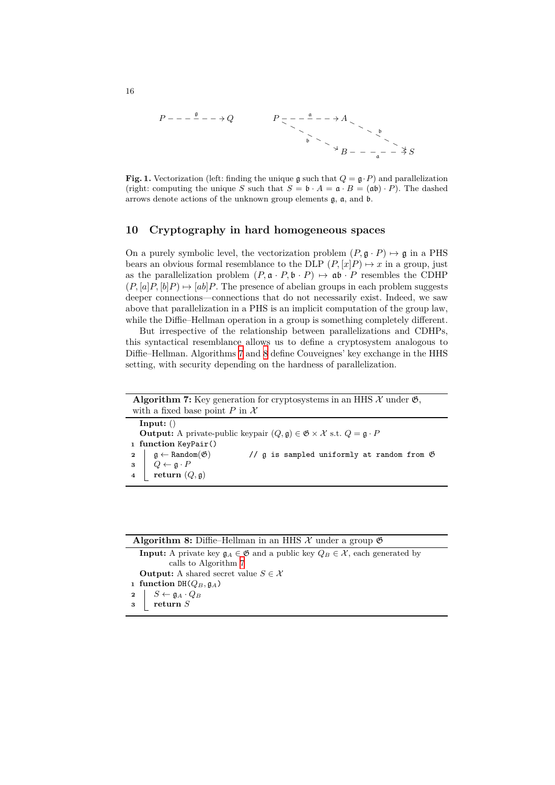$$
P - - - \xrightarrow{\mathfrak{g}} - - \rightarrow Q
$$
\n
$$
P = - - \xrightarrow{\mathfrak{a}} - - \rightarrow A
$$
\n
$$
\xrightarrow{\mathfrak{b}} \xrightarrow{\mathfrak{b}} B - - -\xrightarrow{\mathfrak{a}} - \xrightarrow{\mathfrak{d}} S
$$

**Fig. 1.** Vectorization (left: finding the unique g such that  $Q = \mathfrak{g} \cdot P$ ) and parallelization (right: computing the unique *S* such that  $S = \mathfrak{b} \cdot A = \mathfrak{a} \cdot B = (\mathfrak{ab}) \cdot P$ ). The dashed arrows denote actions of the unknown group elements g, a, and b.

# <span id="page-15-1"></span>**10 Cryptography in hard homogeneous spaces**

<span id="page-15-0"></span>On a purely symbolic level, the vectorization problem  $(P, \mathfrak{g} \cdot P) \mapsto \mathfrak{g}$  in a PHS bears an obvious formal resemblance to the DLP  $(P, [x]P) \mapsto x$  in a group, just as the parallelization problem  $(P, \mathfrak{a} \cdot P, \mathfrak{b} \cdot P) \mapsto \mathfrak{a} \mathfrak{b} \cdot P$  resembles the CDHP  $(P, [a]P, [b]P) \mapsto [ab]P$ . The presence of abelian groups in each problem suggests deeper connections—connections that do not necessarily exist. Indeed, we saw above that parallelization in a PHS is an implicit computation of the group law, while the Diffie–Hellman operation in a group is something completely different.

But irrespective of the relationship between parallelizations and CDHPs, this syntactical resemblance allows us to define a cryptosystem analogous to Diffie–Hellman. Algorithms 7 and 8 define Couveignes' key exchange in the HHS setting, with security depending on the hardness of parallelization.

| <b>Algorithm 7:</b> Key generation for cryptosystems in an HHS $\mathcal{X}$ under $\mathfrak{G}$ ,                             |                                                                                                                                                                                                      |                                                               |  |
|---------------------------------------------------------------------------------------------------------------------------------|------------------------------------------------------------------------------------------------------------------------------------------------------------------------------------------------------|---------------------------------------------------------------|--|
| with a fixed base point P in $\mathcal X$                                                                                       |                                                                                                                                                                                                      |                                                               |  |
| Input: $()$                                                                                                                     |                                                                                                                                                                                                      |                                                               |  |
| <b>Output:</b> A private-public keypair $(Q, \mathfrak{g}) \in \mathfrak{G} \times \mathcal{X}$ s.t. $Q = \mathfrak{g} \cdot P$ |                                                                                                                                                                                                      |                                                               |  |
|                                                                                                                                 | 1 function KeyPair()                                                                                                                                                                                 |                                                               |  |
|                                                                                                                                 |                                                                                                                                                                                                      | // $\alpha$ is sampled uniformly at random from $\mathfrak G$ |  |
|                                                                                                                                 |                                                                                                                                                                                                      |                                                               |  |
|                                                                                                                                 | $\begin{array}{c c} \texttt{2} & \texttt{g} \leftarrow \texttt{Random}(\mathfrak{G}) \\ \texttt{3} & Q \leftarrow \texttt{g} \cdot P \\ \texttt{4} & \texttt{return}\ (Q, \mathfrak{g}) \end{array}$ |                                                               |  |
|                                                                                                                                 |                                                                                                                                                                                                      |                                                               |  |

<span id="page-15-3"></span><span id="page-15-2"></span>

| <b>Algorithm 8:</b> Diffie-Hellman in an HHS $\mathcal{X}$ under a group $\mathfrak{G}$                                  |  |  |
|--------------------------------------------------------------------------------------------------------------------------|--|--|
| <b>Input:</b> A private key $\mathfrak{g}_A \in \mathfrak{G}$ and a public key $Q_B \in \mathcal{X}$ , each generated by |  |  |
| calls to Algorithm 7                                                                                                     |  |  |
| <b>Output:</b> A shared secret value $S \in \mathcal{X}$                                                                 |  |  |
| 1 function DH( $Q_B$ , $\mathfrak{g}_A$ )                                                                                |  |  |
| $S \leftarrow \mathfrak{g}_A \cdot Q_B \ \mathbf{return}\ S$<br>$\mathbf{2}$                                             |  |  |
| 3                                                                                                                        |  |  |
|                                                                                                                          |  |  |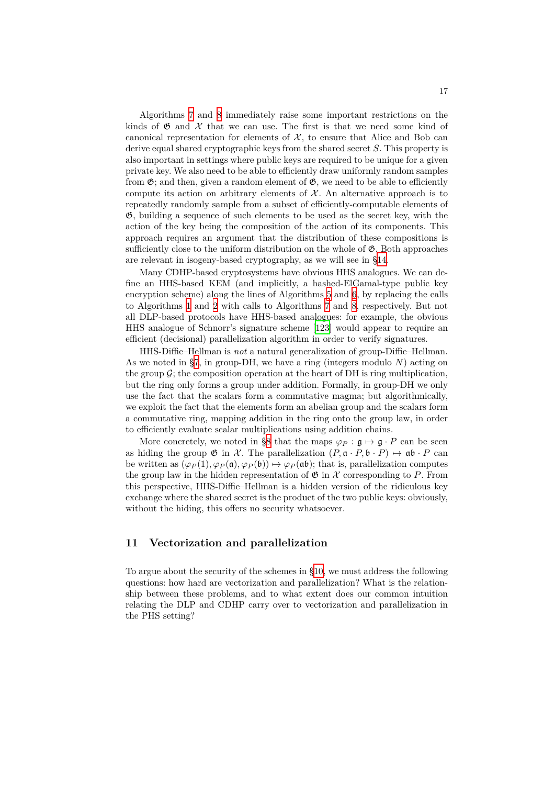Algorithms 7 and 8 immediately raise some important restrictions on the kinds of  $\mathfrak G$  and  $\mathcal X$  that we can use. The first is that we need some kind of canonical representation for elements of  $X$ , to ensure that Alice and Bob can derive equal shared cryptographic keys from the shared secret *S*. This property is also important [in](#page-15-2) setti[ng](#page-15-3)s where public keys are required to be unique for a given private key. We also need to be able to efficiently draw uniformly random samples from  $\mathfrak{G}$ ; and then, given a random element of  $\mathfrak{G}$ , we need to be able to efficiently compute its action on arbitrary elements of  $X$ . An alternative approach is to repeatedly randomly sample from a subset of efficiently-computable elements of G, building a sequence of such elements to be used as the secret key, with the action of the key being the composition of the action of its components. This approach requires an argument that the distribution of these compositions is sufficiently close to the uniform distribution on the whole of  $\mathfrak{G}$ . Both approaches are relevant in isogeny-based cryptography, as we will see in §14.

Many CDHP-based cryptosystems have obvious HHS analogues. We can define an HHS-based KEM (and implicitly, a hashed-ElGamal-type public key encryption scheme) along the lines of Algorithms 5 and 6, by replacing the calls to Algorithms 1 and 2 with calls to Algorithms 7 and 8, res[pec](#page-24-0)tively. But not all DLP-based protocols have HHS-based analogues: for example, the obvious HHS analogue of Schnorr's signature scheme [123] would appear to require an efficient (decisional) parallelization algorithm in [ord](#page-8-0)er t[o](#page-8-1) verify signatures.

HHS-Diffie[–H](#page-4-1)ellm[an](#page-4-2) is *not* a natural generaliz[at](#page-15-2)ion [of](#page-15-3) group-Diffie–Hellman. As we noted in §7, in group-DH, we have a ring (integers modulo *N*) acting on the group  $\mathcal{G}$ ; the composition operation at the [hear](#page-38-9)t of DH is ring multiplication, but the ring only forms a group under addition. Formally, in group-DH we only use the fact that the scalars form a commutative magma; but algorithmically, we exploit the fa[ct](#page-10-0) that the elements form an abelian group and the scalars form a commutative ring, mapping addition in the ring onto the group law, in order to efficiently evaluate scalar multiplications using addition chains.

More concretely, we noted in §8 that the maps  $\varphi_P : \mathfrak{g} \mapsto \mathfrak{g} \cdot P$  can be seen as hiding the group  $\mathfrak{G}$  in  $\mathcal{X}$ . The parallelization  $(P, \mathfrak{a} \cdot P, \mathfrak{b} \cdot P) \mapsto \mathfrak{a} \mathfrak{b} \cdot P$  can be written as  $(\varphi_P(1), \varphi_P(\mathfrak{a}), \varphi_P(\mathfrak{b})) \mapsto \varphi_P(\mathfrak{a}\mathfrak{b})$ ; that is, parallelization computes the group law in the hidden representation of  $\mathfrak{G}$  in  $\mathcal X$  corresponding to P. From this perspective, HHS-Diffie–Hell[ma](#page-13-0)n is a hidden version of the ridiculous key exchange where the shared secret is the product of the two public keys: obviously, without the hiding, this offers no security whatsoever.

# **11 Vectorization and parallelization**

To argue about the security of the schemes in §10, we must address the following questions: how hard are vectorization and parallelization? What is the relationship between these problems, and to what extent does our common intuition relating the DLP and CDHP carry over to vectorization and parallelization in the PHS setting?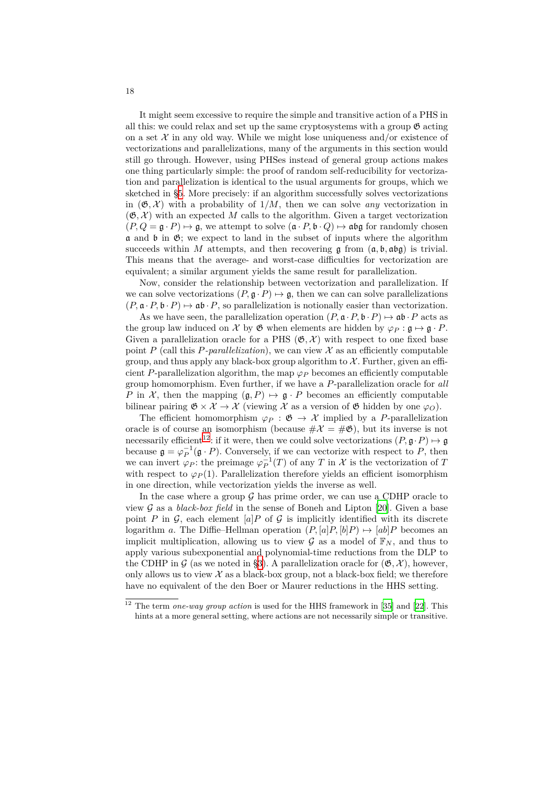It might seem excessive to require the simple and transitive action of a PHS in all this: we could relax and set up the same cryptosystems with a group  $\mathfrak{G}$  acting on a set  $\mathcal X$  in any old way. While we might lose uniqueness and/or existence of vectorizations and parallelizations, many of the arguments in this section would still go through. However, using PHSes instead of general group actions makes one thing particularly simple: the proof of random self-reducibility for vectorization and parallelization is identical to the usual arguments for groups, which we sketched in §5. More precisely: if an algorithm successfully solves vectorizations in  $(\mathfrak{G}, \mathcal{X})$  with a probability of  $1/M$ , then we can solve *any* vectorization in  $(\mathfrak{G}, \mathcal{X})$  with an expected M calls to the algorithm. Given a target vectorization  $(P, Q = \mathfrak{g} \cdot P) \mapsto \mathfrak{g}$ , we attempt to solve  $(\mathfrak{a} \cdot P, \mathfrak{b} \cdot Q) \mapsto \mathfrak{ab}\mathfrak{g}$  for randomly chosen  $\alpha$  and  $\beta$  in  $\mathfrak{G}$  $\mathfrak{G}$  $\mathfrak{G}$ ; we expect to land in the subset of inputs where the algorithm succeeds within *M* attempts, and then recovering  $\mathfrak g$  from  $(\mathfrak a, \mathfrak b, \mathfrak a \mathfrak b \mathfrak g)$  is trivial. This means that the average- and worst-case difficulties for vectorization are equivalent; a similar argument yields the same result for parallelization.

Now, consider the relationship between vectorization and parallelization. If we can solve vectorizations  $(P, \mathfrak{g} \cdot P) \mapsto \mathfrak{g}$ , then we can can solve parallelizations  $(P, \mathfrak{a} \cdot P, \mathfrak{b} \cdot P) \mapsto \mathfrak{a} \mathfrak{b} \cdot P$ , so parallelization is notionally easier than vectorization.

As we have seen, the parallelization operation  $(P, \mathfrak{a} \cdot P, \mathfrak{b} \cdot P) \mapsto \mathfrak{a} \mathfrak{b} \cdot P$  acts as the group law induced on *X* by  $\mathfrak{G}$  when elements are hidden by  $\varphi_P : \mathfrak{g} \mapsto \mathfrak{g} \cdot P$ . Given a parallelization oracle for a PHS  $(\mathfrak{G}, \mathcal{X})$  with respect to one fixed base point *P* (call this *P*-parallelization), we can view  $\mathcal X$  as an efficiently computable group, and thus apply any black-box group algorithm to  $\mathcal{X}$ . Further, given an efficient *P*-parallelization algorithm, the map  $\varphi_P$  becomes an efficiently computable group homomorphism. Even further, if we have a *P*-parallelization oracle for *all P* in *X*, then the mapping  $(g, P) \mapsto g \cdot P$  becomes an efficiently computable bilinear pairing  $\mathfrak{G} \times \mathcal{X} \to \mathcal{X}$  (viewing  $\mathcal{X}$  as a version of  $\mathfrak{G}$  hidden by one  $\varphi_O$ ).

The efficient homomorphism  $\varphi_P : \mathfrak{G} \to \mathcal{X}$  implied by a *P*-parallelization oracle is of course an isomorphism (because  $\#\mathcal{X} = \#\mathfrak{G}$ ), but its inverse is not necessarily efficient<sup>12</sup>: if it were, then we could solve vectorizations  $(P, \mathfrak{g} \cdot P) \mapsto \mathfrak{g}$ because  $\mathfrak{g} = \varphi_P^{-1}(\mathfrak{g} \cdot P)$ . Conversely, if we can vectorize with respect to *P*, then we can invert  $\varphi_P$ : the preimage  $\varphi_P^{-1}(T)$  of any *T* in *X* is the vectorization of *T* with respect to  $\varphi_P(1)$ . Parallelization therefore yields an efficient isomorphism in one direction, w[hil](#page-17-0)e vectorization yields the inverse as well.

In the case where a group  $\mathcal G$  has prime order, we can use a CDHP oracle to view *G* as a *black-box field* in the sense of Boneh and Lipton [20]. Given a base point *P* in  $G$ , each element [*a*]*P* of  $G$  is implicitly identified with its discrete logarithm *a*. The Diffie–Hellman operation  $(P, [a]P, [b]P) \mapsto [ab]P$  becomes an implicit multiplication, allowing us to view  $\mathcal G$  as a model of  $\mathbb F_N$ , and thus to apply various subexponential and polynomial-time reductions [fro](#page-32-2)m the DLP to the CDHP in  $G$  (as we noted in §3). A parallelization oracle for  $(\mathfrak{G}, \mathcal{X})$ , however, only allows us to view  $\mathcal X$  as a black-box group, not a black-box field; we therefore have no equivalent of the den Boer or Maurer reductions in the HHS setting.

<span id="page-17-0"></span><sup>12</sup> The term *one-way group action* i[s u](#page-4-0)sed for the HHS framework in [35] and [22]. This hints at a more general setting, where actions are not necessarily simple or transitive.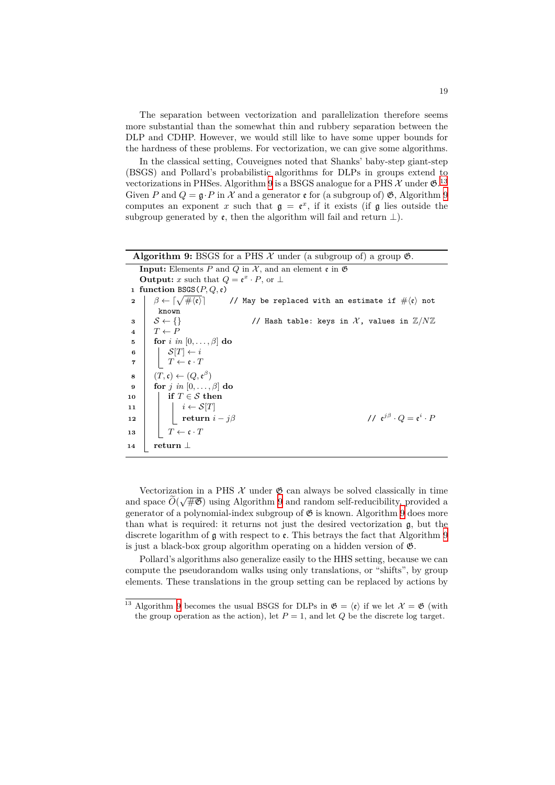The separation between vectorization and parallelization therefore seems more substantial than the somewhat thin and rubbery separation between the DLP and CDHP. However, we would still like to have some upper bounds for the hardness of these problems. For vectorization, we can give some algorithms.

In the classical setting, Couveignes noted that Shanks' baby-step giant-step (BSGS) and Pollard's probabilistic algorithms for DLPs in groups extend to vectorizations in PHSes. Algorithm 9 is a BSGS analogue for a PHS  $\mathcal X$  under  $\mathfrak G$ .<sup>13</sup> Given *P* and  $Q = \mathfrak{g} \cdot P$  in  $\mathcal X$  and a generator  $\mathfrak{e}$  for (a subgroup of)  $\mathfrak{G}$ , Algorithm 9 computes an exponent *x* such that  $g = e^x$ , if it exists (if g lies outside the subgroup generated by  $\varepsilon$ , then the algorithm will fail and return  $\perp$ ).

<span id="page-18-0"></span>

| <b>Algorithm 9:</b> BSGS for a PHS $\mathcal X$ under (a subgroup of) a group $\mathfrak G$ . |                                                                                                                                    |                                                                                                                                                    |  |
|-----------------------------------------------------------------------------------------------|------------------------------------------------------------------------------------------------------------------------------------|----------------------------------------------------------------------------------------------------------------------------------------------------|--|
|                                                                                               | <b>Input:</b> Elements P and Q in X, and an element c in $\mathfrak{G}$                                                            |                                                                                                                                                    |  |
|                                                                                               | <b>Output:</b> x such that $Q = \mathfrak{e}^x \cdot P$ , or $\perp$                                                               |                                                                                                                                                    |  |
|                                                                                               | 1 function BSGS $(P,Q,\varepsilon)$                                                                                                |                                                                                                                                                    |  |
| $\mathbf{2}$                                                                                  |                                                                                                                                    | $\beta \leftarrow \lceil \sqrt{\#\langle \mathfrak{e} \rangle} \rceil$ // May be replaced with an estimate if $\#\langle \mathfrak{e} \rangle$ not |  |
|                                                                                               | known                                                                                                                              |                                                                                                                                                    |  |
|                                                                                               | $3 \mid S \leftarrow \{\}$                                                                                                         | // Hash table: keys in X, values in $\mathbb{Z}/N\mathbb{Z}$                                                                                       |  |
|                                                                                               | 4   $T \leftarrow P$                                                                                                               |                                                                                                                                                    |  |
| 5                                                                                             | for $i$ in $[0,\ldots,\beta]$ do                                                                                                   |                                                                                                                                                    |  |
| 6                                                                                             | $\begin{array}{c}\n\begin{array}{ c c }\n\hline\nS[T] \leftarrow i \\ T \leftarrow \mathfrak{e} \cdot T\n\end{array}\n\end{array}$ |                                                                                                                                                    |  |
| $\overline{7}$                                                                                |                                                                                                                                    |                                                                                                                                                    |  |
| 8                                                                                             | $(T,\mathfrak{c}) \leftarrow (Q,\mathfrak{e}^{\beta})$                                                                             |                                                                                                                                                    |  |
| 9                                                                                             | for j in $[0,\ldots,\beta]$ do                                                                                                     |                                                                                                                                                    |  |
| 10                                                                                            | if $T \in \mathcal{S}$ then                                                                                                        |                                                                                                                                                    |  |
| 11                                                                                            |                                                                                                                                    |                                                                                                                                                    |  |
| 12                                                                                            | $\begin{array}{ c c } \hline & i \leftarrow \mathcal{S}[T] \ \hline & \textbf{return} \; i - j \beta \end{array}$                  | // $e^{j\beta} \cdot Q = e^i \cdot P$                                                                                                              |  |
| 13                                                                                            | $\vert T \leftarrow \mathfrak{c} \cdot T$                                                                                          |                                                                                                                                                    |  |
| 14                                                                                            | return $\perp$                                                                                                                     |                                                                                                                                                    |  |

Vectorization in a PHS  $\mathcal X$  under  $\mathfrak G$  can always be solved classically in time and space  $\widetilde{O}(\sqrt{\#\mathfrak{G}})$  using Algorithm 9 and random self-reducibility, provided a generator of a polynomial-index subgroup of  $\mathfrak{G}$  is known. Algorithm 9 does more than what is required: it returns not just the desired vectorization g, but the discrete logarithm of  $\alpha$  with respect to  $\epsilon$ . This betrays the fact that Algorithm 9 is just a black-box group algorithm o[pe](#page-18-0)rating on a hidden version of  $\mathfrak{G}$ .

Pollard's algorithms also generalize easily to the HHS setting, be[ca](#page-18-0)use we can compute the pseudorandom walks using only translations, or "shifts", by group elements. These translations in the group setting can be replaced by actions b[y](#page-18-0)

 $\frac{13}{13}$  Algorithm 9 becomes the usual BSGS for DLPs in  $\mathfrak{G} = \langle \mathfrak{e} \rangle$  if we let  $\mathcal{X} = \mathfrak{G}$  (with the group operation as the action), let  $P = 1$ , and let  $Q$  be the discrete log target.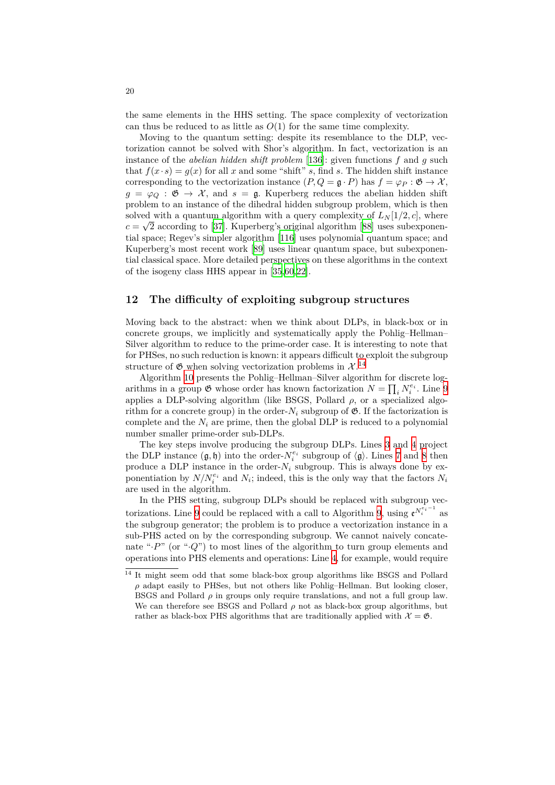the same elements in the HHS setting. The space complexity of vectorization can thus be reduced to as little as  $O(1)$  for the same time complexity.

Moving to the quantum setting: despite its resemblance to the DLP, vectorization cannot be solved with Shor's algorithm. In fact, vectorization is an instance of the *abelian hidden shift problem* [136]: given functions *f* and *g* such that  $f(x \cdot s) = g(x)$  for all x and some "shift" *s*, find *s*. The hidden shift instance corresponding to the vectorization instance  $(P, Q = \mathfrak{g} \cdot P)$  has  $f = \varphi_P : \mathfrak{G} \to \mathcal{X}$ ,  $g = \varphi_{\mathcal{O}} : \mathfrak{G} \to \mathcal{X}$ , and  $s = \mathfrak{g}$ . Kuperberg reduces the abelian hidden shift problem to an instance of the dihedral hidde[n su](#page-39-2)bgroup problem, which is then solved with a quantum algorithm with a query complexity of  $L<sub>N</sub>[1/2, c]$ , where  $c = \sqrt{2}$  according to [37]. Kuperberg's original algorithm [88] uses subexponential space; Regev's simpler algorithm [116] uses polynomial quantum space; and Kuperberg's most recent work [89] uses linear quantum space, but subexponential classical space. More detailed perspectives on these algorithms in the context of the isogeny class H[HS](#page-33-8) appear in [35,60,22].

# **12 The difficulty of e[xpl](#page-36-12)oiting subgroup structures**

<span id="page-19-0"></span>Moving back to the abstract: when [w](#page-33-9)[e t](#page-34-4)[hin](#page-32-9)k about DLPs, in black-box or in concrete groups, we implicitly and systematically apply the Pohlig–Hellman– Silver algorithm to reduce to the prime-order case. It is interesting to note that for PHSes, no such reduction is known: it appears difficult to exploit the subgroup structure of  $\mathfrak G$  when solving vectorization problems in  $\mathcal X$ .<sup>14</sup>

Algorithm 10 presents the Pohlig–Hellman–Silver algorithm for discrete logarithms in a group  $\mathfrak{G}$  whose order has known factorization  $N = \prod_i N_i^{e_i}$ . Line 9 applies a DLP-solving algorithm (like BSGS, Pollard  $\rho$ , or a specialized algorithm for a concrete group) in the order- $N_i$  subgroup of  $\mathfrak{G}$ [. I](#page-19-1)f the factorization is complete and [the](#page-20-1)  $N_i$  are prime, then the global DLP is reduced to a polynomial number smaller prime-order sub-DLPs.

The key steps involve producing the subgroup DLPs. Lines 3 and 4 proje[ct](#page-20-2) the DLP instance  $(\mathfrak{g}, \mathfrak{h})$  into the order- $N_i^{e_i}$  subgroup of  $\langle \mathfrak{g} \rangle$ . Lines 7 and 8 then produce a DLP instance in the order- $N_i$  subgroup. This is always done by exponentiation by  $N/N_i^{e_i}$  and  $N_i$ ; indeed, this is the only way that the factors  $N_i$ are used in the algorithm.

In the PHS setting, subgroup DLPs should be replaced wit[h](#page-20-3) s[ub](#page-20-5)g[ro](#page-20-4)[up](#page-20-6) vectorizations. Line 9 could be replaced with a call to Algorithm 9, using  $e^{N_i^{e_i-1}}$  as the subgroup generator; the problem is to produce a vectorization instance in a sub-PHS acted on by the corresponding subgroup. We cannot naively concatenate " $\cdot$ *P*" (or " $\cdot$ *Q*") to most lines of the algorithm to turn group elements and operations into P[H](#page-20-2)S elements and operations: Line 4, for exam[p](#page-18-0)le, would require

<span id="page-19-1"></span><sup>&</sup>lt;sup>14</sup> It might seem odd that some black-box group algorithms like BSGS and Pollard  $ρ$  adapt easily to PHSes, but not others like Pohlig–Hellman. But looking closer, BSGS and Pollard  $\rho$  in groups only require translations, and not a full group law. We can therefore see BSGS and Pol[la](#page-20-4)rd  $\rho$  not as black-box group algorithms, but rather as black-box PHS algorithms that are traditionally applied with  $\mathcal{X} = \mathfrak{G}$ .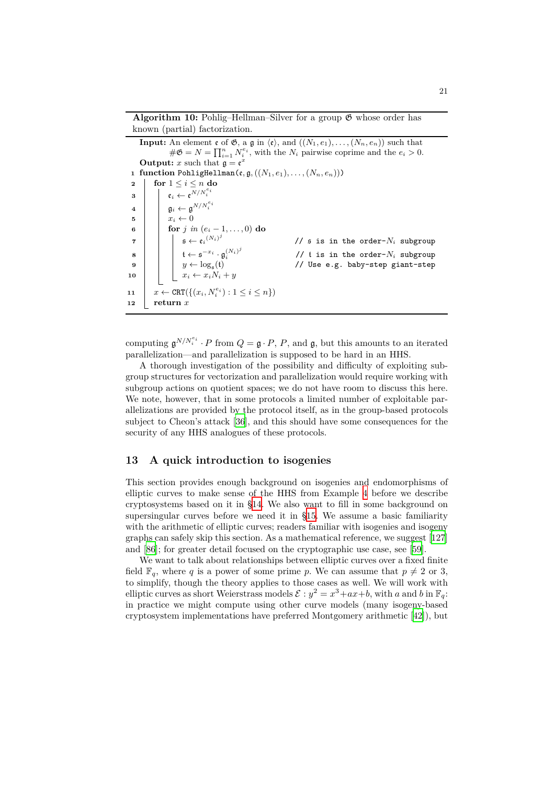**Algorithm 10:** Pohlig–Hellman–Silver for a group G whose order has known (partial) factorization.

<span id="page-20-3"></span><span id="page-20-1"></span>**Input:** An element  $\mathfrak{e}$  of  $\mathfrak{G}$ , a  $\mathfrak{g}$  in  $\langle \mathfrak{e} \rangle$ , and  $((N_1, e_1), \ldots, (N_n, e_n))$  such that  $\#\mathfrak{G} = N = \prod_{i=1}^n N_i^{e_i}$ , with the  $N_i$  pairwise coprime and the  $e_i > 0$ . **Output:** *x* such that  $\mathfrak{g} = \mathfrak{e}^x$ **<sup>1</sup> function** PohligHellman(e*,* g*,*((*N*1*, e*1)*, . . . ,*(*Nn, en*))) **2 for**  $1 \leq i \leq n$  **do**  $\mathbf{a} \quad \begin{array}{|c|c|c|c|}\n\hline\n\mathbf{a} & \mathbf{e}_i & \mathbf{e} & \mathbf{e}^{N/N_i^{e_i}}\n\end{array}$  $\mathfrak{g}_i \leftarrow \mathfrak{g}^{N/N_i^{e_i}}$ **5**  $x_i \leftarrow 0$ **6 for** *j in*  $(e_i - 1, \ldots, 0)$  **do**  $\begin{array}{|c|c|c|c|}\hline \texttt{7} & & \end{array} \begin{array}{|c|c|c|c|}\hline \texttt{5} & \leftarrow \mathfrak{e}_i \end{array} \begin{array}{|c|c|c|}\hline \texttt{6} & & \end{array}$ // s is in the order-*N<sup>i</sup>* subgroup  $\mathbf{g} \quad \begin{array}{|c} \hline \end{array} \quad \begin{array}{|c} \hline \end{array} \quad \mathbf{t} \leftarrow \mathbf{\mathfrak{s}}^{-x_i} \cdot \mathbf{\mathfrak{g}}_i^{(N_i)^j}$ **9**  $y \leftarrow \log_{\mathfrak{s}}(\mathfrak{t})$ //  $t$  is in the order- $N_i$  subgroup // Use e.g. baby-step giant-step **10**  $\vert$   $\vert$   $\vert$   $x_i \leftarrow x_i N_i + y$ **11**  $x \leftarrow \text{CRT}(\{(x_i, N_i^{e_i}) : 1 \leq i \leq n\})$ **<sup>12</sup> return** *x*

<span id="page-20-6"></span><span id="page-20-5"></span><span id="page-20-4"></span><span id="page-20-2"></span>computing  $\mathfrak{g}^{N/N_i^{e_i}} \cdot P$  from  $Q = \mathfrak{g} \cdot P$ ,  $P$ , and  $\mathfrak{g}$ , but this amounts to an iterated parallelization—and parallelization is supposed to be hard in an HHS.

A thorough investigation of the possibility and difficulty of exploiting subgroup structures for vectorization and parallelization would require working with subgroup actions on quotient spaces; we do not have room to discuss this here. We note, however, that in some protocols a limited number of exploitable parallelizations are provided by the protocol itself, as in the group-based protocols subject to Cheon's attack [36], and this should have some consequences for the security of any HHS analogues of these protocols.

# **13 A quick introd[uct](#page-33-10)ion to isogenies**

<span id="page-20-0"></span>This section provides enough background on isogenies and endomorphisms of elliptic curves to make sense of the HHS from Example 4 before we describe cryptosystems based on it in §14. We also want to fill in some background on supersingular curves before we need it in §15. We assume a basic familiarity with the arithmetic of elliptic curves; readers familiar with isogenies and isogeny graphs can safely skip this section. As a mathematical refer[en](#page-14-1)ce, we suggest [127] and [86]; for greater detail focu[sed](#page-24-0) on the cryptographic use case, see [59].

We want to talk about relationships betw[een](#page-27-0) elliptic curves over a fixed finite field  $\mathbb{F}_q$ , where *q* is a power of some prime *p*. We can assume that  $p \neq 2$  or 3, to simplify, though the theory applies to those cases as well. We will work [with](#page-38-10) ellipt[ic c](#page-36-13)urves as short Weierstrass mo[d](#page-34-11)els  $\mathcal{E}: y^2 = x^3 + ax + b$ , with *a* and *b* in  $\mathbb{F}_q$ : in practice we might compute using other curve models (many isogeny-based cryptosystem implementations have preferred Montgomery arithmetic [42]), but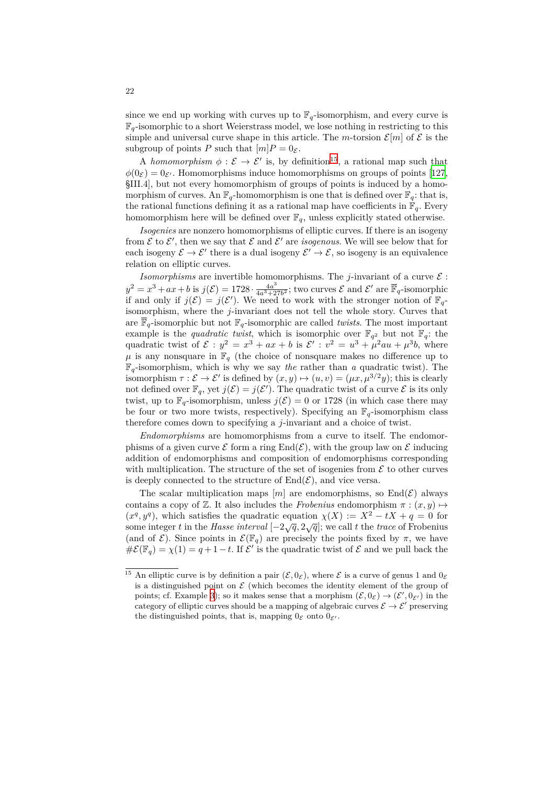since we end up working with curves up to  $\mathbb{F}_q$ -isomorphism, and every curve is  $\mathbb{F}_q$ -isomorphic to a short Weierstrass model, we lose nothing in restricting to this simple and universal curve shape in this article. The *m*-torsion  $\mathcal{E}[m]$  of  $\mathcal E$  is the subgroup of points *P* such that  $[m]P = 0_{\mathcal{E}}$ .

A *homomorphism*  $\phi : \mathcal{E} \to \mathcal{E}'$  is, by definition<sup>15</sup>, a rational map such that  $\phi(0_{\mathcal{E}}) = 0_{\mathcal{E}'}$ . Homomorphisms induce homomorphisms on groups of points [127, §III.4], but not every homomorphism of groups of points is induced by a homomorphism of curves. An  $\mathbb{F}_q$ -homomorphism is one that is defined over  $\mathbb{F}_q$ : that is, the rational functions defining it as a rational map [ha](#page-21-0)ve coefficients in  $\mathbb{F}_q$ . Every homomorphism here will be defined over  $\mathbb{F}_q$ , unless explicitly stated other[wise.](#page-38-10)

*Isogenies* are nonzero homomorphisms of elliptic curves. If there is an isogeny from  $\mathcal{E}$  to  $\mathcal{E}'$ , then we say that  $\mathcal{E}$  and  $\mathcal{E}'$  are *isogenous*. We will see below that for each isogeny  $\mathcal{E} \to \mathcal{E}'$  there is a dual isogeny  $\mathcal{E}' \to \mathcal{E}$ , so isogeny is an equivalence relation on elliptic curves.

*Isomorphisms* are invertible homomorphisms. The *j*-invariant of a curve  $\mathcal{E}$ :  $y^2 = x^3 + ax + b$  is  $j(\mathcal{E}) = 1728 \cdot \frac{4a^3}{4a^3 + 2}$  $\frac{4a^3}{4a^3+27b^2}$ ; two curves  $\mathcal E$  and  $\mathcal E'$  are  $\mathbb F_q$ -isomorphic if and only if  $j(\mathcal{E}) = j(\mathcal{E}')$ . We need to work with the stronger notion of  $\mathbb{F}_q$ isomorphism, where the *j*-invariant does not tell the whole story. Curves that are  $\overline{\mathbb{F}}_q$ -isomorphic but not  $\mathbb{F}_q$ -isomorphic are called *twists*. The most important example is the *quadratic twist*, which is isomorphic over  $\mathbb{F}_{q^2}$  but not  $\mathbb{F}_q$ : the quadratic twist of  $\mathcal{E} : y^2 = x^3 + ax + b$  is  $\mathcal{E}' : v^2 = u^3 + \mu^2 a u + \mu^3 b$ , where  $\mu$  is any nonsquare in  $\mathbb{F}_q$  (the choice of nonsquare makes no difference up to  $\mathbb{F}_q$ -isomorphism, which is why we say *the* rather than *a* quadratic twist). The isomorphism  $\tau : \mathcal{E} \to \mathcal{E}'$  is defined by  $(x, y) \mapsto (u, v) = (\mu x, \mu^{3/2} y)$ ; this is clearly not defined over  $\mathbb{F}_q$ , yet  $j(\mathcal{E}) = j(\mathcal{E}')$ . The quadratic twist of a curve  $\mathcal{E}$  is its only twist, up to  $\mathbb{F}_q$ -isomorphism, unless  $j(\mathcal{E}) = 0$  or 1728 (in which case there may be four or two more twists, respectively). Specifying an  $\mathbb{F}_q$ -isomorphism class therefore comes down to specifying a *j*-invariant and a choice of twist.

*Endomorphisms* are homomorphisms from a curve to itself. The endomorphisms of a given curve  $\mathcal E$  form a ring  $\text{End}(\mathcal E)$ , with the group law on  $\mathcal E$  inducing addition of endomorphisms and composition of endomorphisms corresponding with multiplication. The structure of the set of isogenies from  $\mathcal E$  to other curves is deeply connected to the structure of  $End(\mathcal{E})$ , and vice versa.

The scalar multiplication maps  $[m]$  are endomorphisms, so  $\text{End}(\mathcal{E})$  always contains a copy of Z. It also includes the *Frobenius* endomorphism  $\pi$  :  $(x, y) \mapsto$  $(x^q, y^q)$ , which satisfies the quadratic equation  $\chi(X) := X^2 - tX + q = 0$  for some integer *t* in the *Hasse interval*  $[-2\sqrt{q}, 2\sqrt{q}]$ ; we call *t* the *trace* of Frobenius (and of  $\mathcal{E}$ ). Since points in  $\mathcal{E}(\mathbb{F}_q)$  are precisely the points fixed by  $\pi$ , we have  $\#\mathcal{E}(\mathbb{F}_q) = \chi(1) = q + 1 - t$ . If  $\mathcal{E}'$  is the quadratic twist of  $\mathcal{E}$  and we pull back the

<span id="page-21-0"></span><sup>&</sup>lt;sup>15</sup> An elliptic curve is by definition a pair  $(\mathcal{E}, 0_{\mathcal{E}})$ , where  $\mathcal{E}$  is a curve of genus 1 and  $0_{\mathcal{E}}$ is a distinguished point on  $\mathcal E$  (which becomes the identity element of the group of points; cf. Example 3); so it makes sense that a morphism  $(\mathcal{E}, 0_{\mathcal{E}}) \to (\mathcal{E}', 0_{\mathcal{E}'})$  in the category of elliptic curves should be a mapping of algebraic curves  $\mathcal{E} \to \mathcal{E}'$  preserving the distinguished points, that is, mapping  $0_{\mathcal{E}}$  onto  $0_{\mathcal{E}'}$ .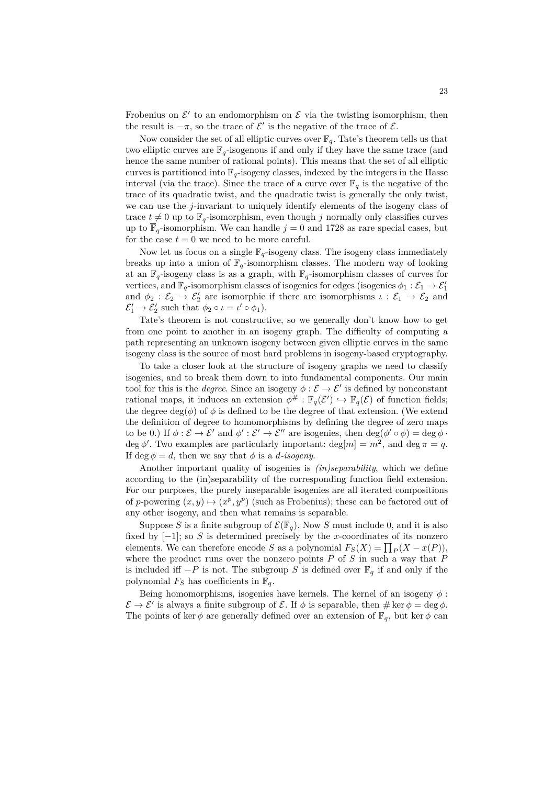Frobenius on  $\mathcal{E}'$  to an endomorphism on  $\mathcal E$  via the twisting isomorphism, then the result is  $-\pi$ , so the trace of  $\mathcal{E}'$  is the negative of the trace of  $\mathcal{E}$ .

Now consider the set of all elliptic curves over  $\mathbb{F}_q$ . Tate's theorem tells us that two elliptic curves are  $\mathbb{F}_q$ -isogenous if and only if they have the same trace (and hence the same number of rational points). This means that the set of all elliptic curves is partitioned into  $\mathbb{F}_q$ -isogeny classes, indexed by the integers in the Hasse interval (via the trace). Since the trace of a curve over  $\mathbb{F}_q$  is the negative of the trace of its quadratic twist, and the quadratic twist is generally the only twist, we can use the *j*-invariant to uniquely identify elements of the isogeny class of trace  $t \neq 0$  up to  $\mathbb{F}_q$ -isomorphism, even though *j* normally only classifies curves up to  $\overline{\mathbb{F}}_q$ -isomorphism. We can handle  $j = 0$  and 1728 as rare special cases, but for the case  $t = 0$  we need to be more careful.

Now let us focus on a single  $\mathbb{F}_q$ -isogeny class. The isogeny class immediately breaks up into a union of  $\mathbb{F}_q$ -isomorphism classes. The modern way of looking at an  $\mathbb{F}_q$ -isogeny class is as a graph, with  $\mathbb{F}_q$ -isomorphism classes of curves for vertices, and  $\mathbb{F}_q$ -isomorphism classes of isogenies for edges (isogenies  $\phi_1 : \mathcal{E}_1 \to \mathcal{E}'_1$ and  $\phi_2 : \mathcal{E}_2 \to \mathcal{E}'_2$  are isomorphic if there are isomorphisms  $\iota : \mathcal{E}_1 \to \mathcal{E}_2$  and  $\mathcal{E}'_1 \to \mathcal{E}'_2$  such that  $\phi_2 \circ \iota = \iota' \circ \phi_1$ ).

Tate's theorem is not constructive, so we generally don't know how to get from one point to another in an isogeny graph. The difficulty of computing a path representing an unknown isogeny between given elliptic curves in the same isogeny class is the source of most hard problems in isogeny-based cryptography.

To take a closer look at the structure of isogeny graphs we need to classify isogenies, and to break them down to into fundamental components. Our main tool for this is the *degree*. Since an isogeny  $\phi : \mathcal{E} \to \mathcal{E}'$  is defined by nonconstant rational maps, it induces an extension  $\phi^{\#}: \mathbb{F}_q(\mathcal{E}') \hookrightarrow \mathbb{F}_q(\mathcal{E})$  of function fields; the degree deg( $\phi$ ) of  $\phi$  is defined to be the degree of that extension. (We extend the definition of degree to homomorphisms by defining the degree of zero maps to be 0.) If  $\phi : \mathcal{E} \to \mathcal{E}'$  and  $\phi' : \mathcal{E}' \to \mathcal{E}''$  are isogenies, then  $\deg(\phi' \circ \phi) = \deg \phi \cdot$ deg  $\phi'$ . Two examples are particularly important: deg[ $m$ ] =  $m^2$ , and deg  $\pi = q$ . If deg  $\phi = d$ , then we say that  $\phi$  is a *d*-isogeny.

Another important quality of isogenies is *(in)separability*, which we define according to the (in)separability of the corresponding function field extension. For our purposes, the purely inseparable isogenies are all iterated compositions of *p*-powering  $(x, y) \mapsto (x^p, y^p)$  (such as Frobenius); these can be factored out of any other isogeny, and then what remains is separable.

Suppose *S* is a finite subgroup of  $\mathcal{E}(\overline{\mathbb{F}}_q)$ . Now *S* must include 0, and it is also fixed by [*−*1]; so *S* is determined precisely by the *x*-coordinates of its nonzero elements. We can therefore encode *S* as a polynomial  $F_S(X) = \prod_P (X - x(P)),$ where the product runs over the nonzero points *P* of *S* in such a way that *P* is included iff  $-P$  is not. The subgroup *S* is defined over  $\mathbb{F}_q$  if and only if the polynomial  $F_S$  has coefficients in  $\mathbb{F}_q$ .

Being homomorphisms, isogenies have kernels. The kernel of an isogeny  $\phi$  :  $\mathcal{E} \to \mathcal{E}'$  is always a finite subgroup of  $\mathcal{E}$ . If  $\phi$  is separable, then  $\# \ker \phi = \deg \phi$ . The points of ker  $\phi$  are generally defined over an extension of  $\mathbb{F}_q$ , but ker  $\phi$  can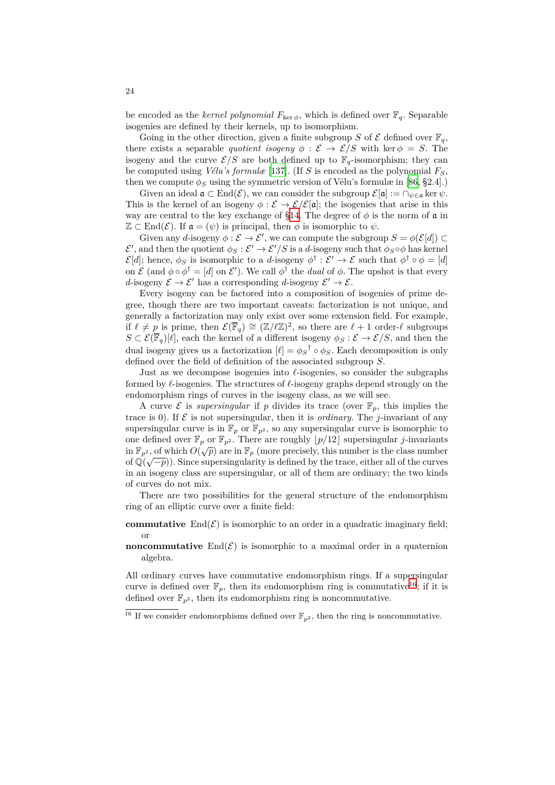be encoded as the *kernel polynomial*  $F_{\text{ker }\phi}$ , which is defined over  $\mathbb{F}_q$ . Separable isogenies are defined by their kernels, up to isomorphism.

Going in the other direction, given a finite subgroup *S* of  $\mathcal E$  defined over  $\mathbb F_q$ , there exists a separable *quotient isogeny*  $\phi : \mathcal{E} \to \mathcal{E}/S$  with ker  $\phi = S$ . The isogeny and the curve  $\mathcal{E}/S$  are both defined up to  $\mathbb{F}_q$ -isomorphism; they can be computed using *Vélu's formulæ* [137]. (If *S* is encoded as the polynomial *FS*, then we compute  $\phi_S$  using the symmetric version of Vélu's formulæ in [86, §2.4].)

Given an ideal  $\mathfrak{a} \subset \text{End}(\mathcal{E})$ , we can consider the subgroup  $\mathcal{E}[\mathfrak{a}] := \cap_{\psi \in \mathfrak{a}} \ker \psi$ . This is the kernel of an isogeny  $\phi : \mathcal{E} \to \mathcal{E}/\mathcal{E}[\mathfrak{a}]$ ; the isogenies that arise in this way are central to the key exchang[e of](#page-39-3) §14. The degree of  $\phi$  is the norm of  $\alpha$  in  $\mathbb{Z} \subset \text{End}(\mathcal{E})$ . If  $\mathfrak{a} = (\psi)$  is principal, then  $\phi$  is isomorphic to  $\psi$ .

Given any *d*-isogeny  $\phi : \mathcal{E} \to \mathcal{E}'$ , we can compute the subgroup  $S = \phi(\mathcal{E}[d]) \subset$  $\mathcal{E}'$ , and then the quotient  $\phi_S : \mathcal{E}' \to \mathcal{E}'/S$  is a *d*-isogeny such that  $\phi_S \circ \phi$  has kernel *E*[*d*]; hence,  $\phi_S$  is isomorphic to a *d*-iso[gen](#page-24-0)y  $\phi^{\dagger} : \mathcal{E}' \to \mathcal{E}$  such that  $\phi^{\dagger} \circ \phi = [d]$ on  $\mathcal{E}$  (and  $\phi \circ \phi^{\dagger} = [d]$  on  $\mathcal{E}'$ ). We call  $\phi^{\dagger}$  the *dual* of  $\phi$ . The upshot is that every *d*-isogeny  $\mathcal{E} \to \mathcal{E}'$  has a corresponding *d*-isogeny  $\mathcal{E}' \to \mathcal{E}$ .

Every isogeny can be factored into a composition of isogenies of prime degree, though there are two important caveats: factorization is not unique, and generally a factorization may only exist over some extension field. For example, if  $\ell \neq p$  is prime, then  $\mathcal{E}(\overline{\mathbb{F}}_q) \cong (\mathbb{Z}/\ell\mathbb{Z})^2$ , so there are  $\ell + 1$  order- $\ell$  subgroups *S* ⊂  $\mathcal{E}(\overline{\mathbb{F}}_q)[\ell]$ , each the kernel of a different isogeny  $\phi_S : \mathcal{E} \to \mathcal{E}/S$ , and then the dual isogeny gives us a factorization  $[\ell] = \phi_S^{\dagger} \circ \phi_S$ . Each decomposition is only defined over the field of definition of the associated subgroup *S*.

Just as we decompose isogenies into *ℓ*-isogenies, so consider the subgraphs formed by *ℓ*-isogenies. The structures of *ℓ*-isogeny graphs depend strongly on the endomorphism rings of curves in the isogeny class, as we will see.

A curve  $\mathcal E$  is *supersingular* if  $p$  divides its trace (over  $\mathbb F_p$ , this implies the trace is 0). If  $\mathcal E$  is not supersingular, then it is *ordinary*. The *j*-invariant of any supersingular curve is in  $\mathbb{F}_p$  or  $\mathbb{F}_{p^2}$ , so any supersingular curve is isomorphic to one defined over  $\mathbb{F}_p$  or  $\mathbb{F}_{p^2}$ . There are roughly  $\lfloor p/12 \rfloor$  supersingular *j*-invariants in  $\mathbb{F}_{p^2}$ , of which  $O(\sqrt{p})$  are in  $\mathbb{F}_p$  (more precisely, this number is the class number of  $\mathbb{Q}(\sqrt{-p})$ ). Since supersingularity is defined by the trace, either all of the curves in an isogeny class are supersingular, or all of them are ordinary; the two kinds of curves do not mix.

There are two possibilities for the general structure of the endomorphism ring of an elliptic curve over a finite field:

- **commutative**  $\text{End}(\mathcal{E})$  is isomorphic to an order in a quadratic imaginary field; or
- **noncommutative** End $(\mathcal{E})$  is isomorphic to a maximal order in a quaternion algebra.

All ordinary curves have commutative endomorphism rings. If a supersingular curve is defined over  $\mathbb{F}_p$ , then its endomorphism ring is commutative<sup>16</sup>; if it is defined over  $\mathbb{F}_{p^2}$ , then its endomorphism ring is noncommutative.

<sup>&</sup>lt;sup>16</sup> If we consider endomorphisms defined over  $\mathbb{F}_{p^2}$ , then the ring is noncommutative.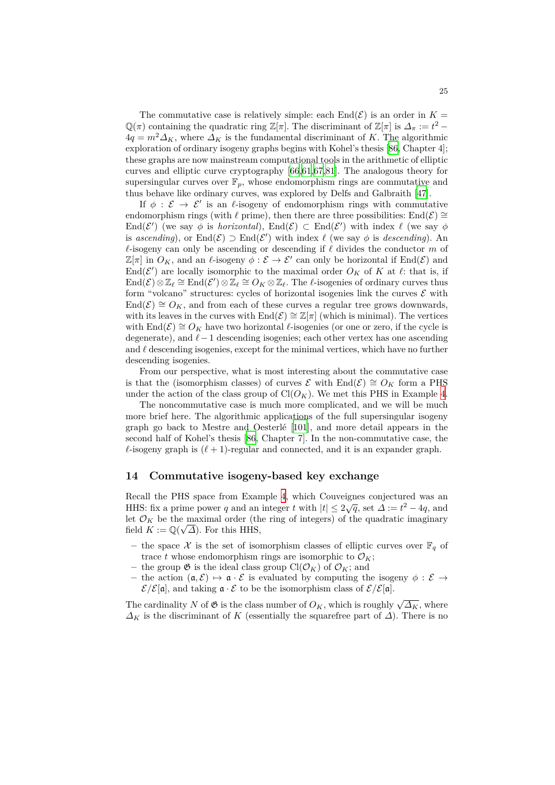The commutative case is relatively simple: each  $\text{End}(\mathcal{E})$  is an order in  $K =$  $\mathbb{Q}(\pi)$  containing the quadratic ring  $\mathbb{Z}[\pi]$ . The discriminant of  $\mathbb{Z}[\pi]$  is  $\Delta_{\pi} := t^2 4q = m^2 \Delta_K$ , where  $\Delta_K$  is the fundamental discriminant of K. The algorithmic exploration of ordinary isogeny graphs begins with Kohel's thesis [86, Chapter 4]; these graphs are now mainstream computational tools in the arithmetic of elliptic curves and elliptic curve cryptography [66,61,67,81]. The analogous theory for supersingular curves over  $\mathbb{F}_p$ , whose endomorphism rings are commutative and thus behave like ordinary curves, was explored by Delfs and Gal[bra](#page-36-13)ith [47].

If  $\phi$  :  $\mathcal{E} \rightarrow \mathcal{E}'$  is an *ℓ*-isogeny of endomorphism rings with commutative endomorphism rings (with  $\ell$  prime), the[n th](#page-35-10)[er](#page-34-12)[e ar](#page-35-11)[e t](#page-35-12)hree possibilities: End $(\mathcal{E}) \cong$ End $(\mathcal{E}')$  (we say  $\phi$  is *horizontal*), End $(\mathcal{E}) \subset$  End $(\mathcal{E}')$  with index  $\ell$  (we say  $\phi$ is *ascendi[ng](#page-33-11)*), or  $\text{End}(\mathcal{E}) \supset \text{End}(\mathcal{E}')$  with index  $\ell$  (we say  $\phi$  is *descending*). An *ℓ*-isogeny can only be ascending or descending if *ℓ* divides the conductor *m* of  $\mathbb{Z}[\pi]$  in  $O_K$ , and an  $\ell$ -isogeny  $\phi : \mathcal{E} \to \mathcal{E}'$  can only be horizontal if  $\text{End}(\mathcal{E})$  and End( $\mathcal{E}'$ ) are locally isomorphic to the maximal order  $O_K$  of  $K$  at  $\ell$ : that is, if  $\text{End}(\mathcal{E}) \otimes \mathbb{Z}_{\ell} \cong \text{End}(\mathcal{E}') \otimes \mathbb{Z}_{\ell} \cong O_K \otimes \mathbb{Z}_{\ell}$ . The  $\ell$ -isogenies of ordinary curves thus form "volcano" structures: cycles of horizontal isogenies link the curves  $\mathcal E$  with  $\text{End}(\mathcal{E}) \cong O_K$ , and from each of these curves a regular tree grows downwards, with its leaves in the curves with  $\text{End}(\mathcal{E}) \cong \mathbb{Z}[\pi]$  (which is minimal). The vertices with  $\text{End}(\mathcal{E}) \cong O_K$  have two horizontal *ℓ*-isogenies (or one or zero, if the cycle is degenerate), and *ℓ−*1 descending isogenies; each other vertex has one ascending and *ℓ* descending isogenies, except for the minimal vertices, which have no further descending isogenies.

From our perspective, what is most interesting about the commutative case is that the (isomorphism classes) of curves  $\mathcal{E}$  with End( $\mathcal{E}$ )  $\cong O_K$  form a PHS under the action of the class group of  $Cl(O_K)$ . We met this PHS in Example 4.

The noncommutative case is much more complicated, and we will be much more brief here. The algorithmic applications of the full supersingular isogeny graph go back to Mestre and Oesterlé [101], and more detail appears in the second half of Kohel's thesis [86, Chapter 7]. In the non-commutative case, t[he](#page-14-1)  $\ell$ -isogeny graph is  $(\ell + 1)$ -regular and connected, and it is an expander graph.

#### **14 Commutative iso[gen](#page-36-13)y-bas[ed k](#page-37-13)ey exchange**

<span id="page-24-0"></span>Recall the PHS space from Example 4, which Couveignes conjectured was an HHS: fix a prime power *q* and an integer *t* with  $|t| \leq 2\sqrt{q}$ , set  $\Delta := t^2 - 4q$ , and let  $\mathcal{O}_K$  be the maximal order (the ring of integers) of the quadratic imaginary field  $K := \mathbb{Q}(\sqrt{\Delta})$ . For this HHS,

- t[h](#page-14-1)e space  $\mathcal X$  is the set of isomorphism classes of elliptic curves over  $\mathbb{F}_q$  of trace *t* whose endomorphism rings are isomorphic to  $\mathcal{O}_K$ ;
- $-$  the group  $\mathfrak{G}$  is the ideal class group  $\text{Cl}(\mathcal{O}_K)$  of  $\mathcal{O}_K$ ; and
- $-$  the action (**a**, **E**)  $\mapsto$  **a** *·***E** is evaluated by computing the isogeny  $\phi$  : **E** →  $\mathcal{E}/\mathcal{E}[\mathfrak{a}]$ , and taking  $\mathfrak{a} \cdot \mathcal{E}$  to be the isomorphism class of  $\mathcal{E}/\mathcal{E}[\mathfrak{a}]$ .

The cardinality *N* of  $\mathfrak{G}$  is the class number of  $O_K$ , which is roughly  $\sqrt{\Delta_K}$ , where  $\Delta_K$  is the discriminant of *K* (essentially the squarefree part of  $\Delta$ ). There is no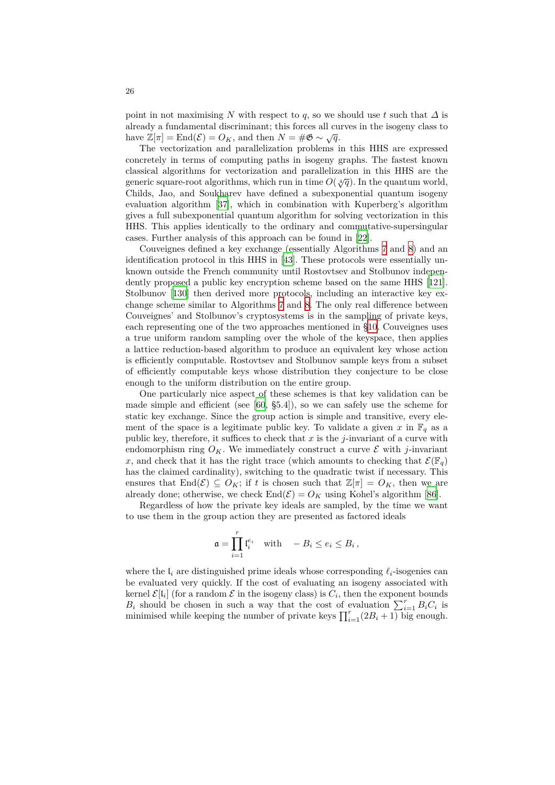point in not maximising *N* with respect to *q*, so we should use *t* such that  $\Delta$  is already a fundamental discriminant; this forces all curves in the isogeny class to have  $\mathbb{Z}[\pi] = \text{End}(\mathcal{E}) = O_K$ , and then  $N = \#\mathfrak{G} \sim \sqrt{q}$ .

The vectorization and parallelization problems in this HHS are expressed concretely in terms of computing paths in isogeny graphs. The fastest known classical algorithms for vectorization and parallelization in this HHS are the generic square-root algorithms, which run in time  $O(\sqrt[4]{q})$ . In the quantum world, Childs, Jao, and Soukharev have defined a subexponential quantum isogeny evaluation algorithm [37], which in combination with Kuperberg's algorithm gives a full subexponential quantum algorithm for solving vectorization in this HHS. This applies identically to the ordinary and commutative-supersingular cases. Further analysis of this approach can be found in [22].

Couveignes defined [a](#page-33-8) key exchange (essentially Algorithms 7 and 8) and an identification protocol in this HHS in [43]. These protocols were essentially unknown outside the French community until Rostovtsev and Stolbunov independently proposed a public key encryption scheme based o[n t](#page-32-9)he same HHS [121]. Stolbunov [130] then derived more protocols, including an in[te](#page-15-2)racti[ve](#page-15-3) key exchange scheme similar to Algorithms 7 [an](#page-33-7)d 8. The only real difference between Couveignes' and Stolbunov's cryptosystems is in the sampling of private keys, each representing one of the two approaches mentioned in §10. Couveignes [use](#page-38-8)s a true unif[orm](#page-38-11) random sampling over the whole of the keyspace, then applies a lattice reduction-based algorithm t[o](#page-15-2) prod[uc](#page-15-3)e an equivalent key whose action is efficiently computable. Rostovtsev and Stolbunov sample keys from a subset of efficiently computable keys whose distribution they co[njec](#page-15-0)ture to be close enough to the uniform distribution on the entire group.

One particularly nice aspect of these schemes is that key validation can be made simple and efficient (see [60, §5.4]), so we can safely use the scheme for static key exchange. Since the group action is simple and transitive, every element of the space is a legitimate public key. To validate a given x in  $\mathbb{F}_q$  as a public key, therefore, it suffices to check that *x* is the *j*-invariant of a curve with endomorphism ring  $O_K$ . We im[me](#page-34-4)diately construct a curve  $\mathcal E$  with *j*-invariant *x*, and check that it has the right trace (which amounts to checking that  $\mathcal{E}(\mathbb{F}_q)$ has the claimed cardinality), switching to the quadratic twist if necessary. This ensures that  $\text{End}(\mathcal{E}) \subseteq O_K$ ; if *t* is chosen such that  $\mathbb{Z}[\pi] = O_K$ , then we are already done; otherwise, we check  $\text{End}(\mathcal{E}) = O_K$  using Kohel's algorithm [86].

Regardless of how the private key ideals are sampled, by the time we want to use them in the group action they are presented as factored ideals

$$
\mathfrak{a} = \prod_{i=1}^r \mathfrak{l}_i^{e_i} \quad \text{with} \quad -B_i \le e_i \le B_i \,,
$$

where the  $I_i$  are distinguished prime ideals whose corresponding  $\ell_i$ -isogenies can be evaluated very quickly. If the cost of evaluating an isogeny associated with kernel  $\mathcal{E}[l_i]$  (for a random  $\mathcal E$  in the isogeny class) is  $C_i$ , then the exponent bounds *B*<sup>*i*</sup> should be chosen in such a way that the cost of evaluation  $\sum_{i=1}^{r} B_i C_i$  is minimised while keeping the number of private keys  $\prod_{i=1}^{r} (2B_i + 1)$  big enough.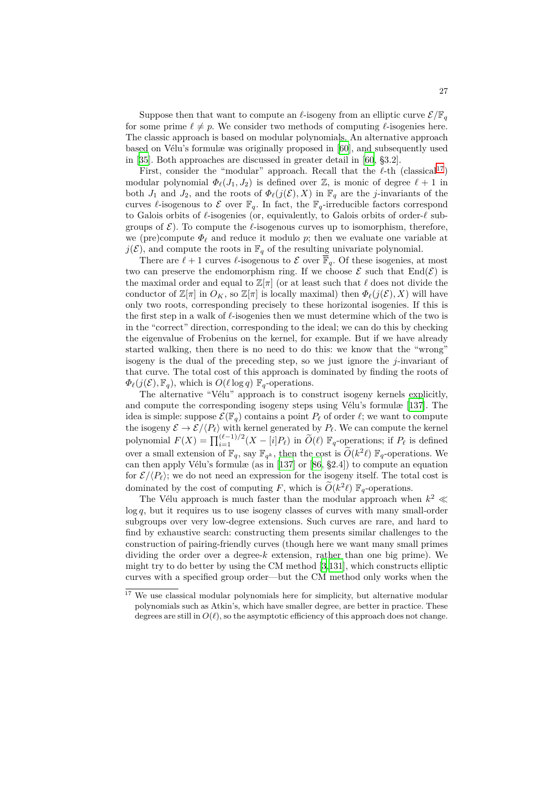Suppose then that want to compute an  $\ell$ -isogeny from an elliptic curve  $\mathcal{E}/\mathbb{F}_q$ for some prime  $\ell \neq p$ . We consider two methods of computing  $\ell$ -isogenies here. The classic approach is based on modular polynomials. An alternative approach based on Vélu's formulæ was originally proposed in [60], and subsequently used in [35]. Both approaches are discussed in greater detail in [60, §3.2].

First, consider the "modular" approach. Recall that the *ℓ*-th (classical17) modular polynomial  $\Phi_{\ell}(J_1, J_2)$  is defined over  $\mathbb{Z}$ , is monic of degree  $\ell + 1$  in both  $J_1$  and  $J_2$ , and the roots of  $\Phi_{\ell}(j(\mathcal{E}), X)$  in  $\mathbb{F}_q$  [ar](#page-34-4)e the *j*-invariants of the cur[ves](#page-33-9)  $\ell$ -isogenous to  $\mathcal E$  over  $\mathbb F_q$ . In fact, the  $\mathbb F_q$ -irreducib[le f](#page-34-4)actors correspond to Galois orbits of *ℓ*-isogenies (or, equivalently, to Galois orbits of order-*ℓ* s[ub](#page-26-0)groups of  $\mathcal{E}$ ). To compute the  $\ell$ -isogenous curves up to isomorphism, therefore, we (pre)compute  $\Phi$ <sup>*l*</sup> and reduce it modulo *p*; then we evaluate one variable at  $j(\mathcal{E})$ , and compute the roots in  $\mathbb{F}_q$  of the resulting univariate polynomial.

There are  $\ell + 1$  curves  $\ell$ -isogenous to  $\mathcal E$  over  $\overline{\mathbb F}_q$ . Of these isogenies, at most two can preserve the endomorphism ring. If we choose  $\mathcal E$  such that  $\text{End}(\mathcal E)$  is the maximal order and equal to  $\mathbb{Z}[\pi]$  (or at least such that  $\ell$  does not divide the conductor of  $\mathbb{Z}[\pi]$  in  $O_K$ , so  $\mathbb{Z}[\pi]$  is locally maximal) then  $\Phi_{\ell}(j(\mathcal{E}), X)$  will have only two roots, corresponding precisely to these horizontal isogenies. If this is the first step in a walk of *ℓ*-isogenies then we must determine which of the two is in the "correct" direction, corresponding to the ideal; we can do this by checking the eigenvalue of Frobenius on the kernel, for example. But if we have already started walking, then there is no need to do this: we know that the "wrong" isogeny is the dual of the preceding step, so we just ignore the *j*-invariant of that curve. The total cost of this approach is dominated by finding the roots of  $\Phi_{\ell}(j(\mathcal{E}), \mathbb{F}_q)$ , which is  $O(\ell \log q)$   $\mathbb{F}_q$ -operations.

The alternative "Vélu" approach is to construct isogeny kernels explicitly, and compute the corresponding isogeny steps using Vélu's formulæ [137]. The idea is simple: suppose  $\mathcal{E}(\mathbb{F}_q)$  contains a point  $P_\ell$  of order  $\ell$ ; we want to compute the isogeny  $\mathcal{E} \to \mathcal{E} / \langle P_\ell \rangle$  with kernel generated by  $P_\ell$ . We can compute the kernel polynomial  $F(X) = \prod_{i=1}^{(\ell-1)/2} (X - [i]P_{\ell})$  in  $\widetilde{O}(\ell)$   $\mathbb{F}_q$ -operations; if  $P_{\ell}$  is defined over a small extension of  $\mathbb{F}_q$ , say  $\mathbb{F}_{q^k}$ , then the cost is  $\tilde{O}(k^2\ell)$   $\mathbb{F}_q$ -oper[ation](#page-39-3)s. We can then apply Vélu's formulæ (as in [137] or [86, §2.4]) to compute an equation for  $\mathcal{E}/\langle P_{\ell} \rangle$ ; we do not need an expression for the isogeny itself. The total cost is dominated by the cost of computing *F*, which is  $\tilde{O}(k^2 \ell) \mathbb{F}_q$ -operations.

The Vélu approach is much faster than the modular approach when  $k^2 \ll$ log *q*, but it requires us to use isogen[y cla](#page-39-3)sses [of](#page-36-13) curves with many small-order subgroups over very low-degree extensions. Such curves are rare, and hard to find by exhaustive search: constructing them presents similar challenges to the construction of pairing-friendly curves (though here we want many small primes dividing the order over a degree- $k$  extension, rather than one big prime). We might try to do better by using the CM method [3,131], which constructs elliptic curves with a specified group order—but the CM method only works when the

<span id="page-26-0"></span> $17$  We use classical modular polynomials here for simplicity, but alternative modular polynomials such as Atkin's, which have smaller degree, are better in practice. These degrees are still in  $O(\ell)$ , so the as[y](#page-30-1)mptotic efficiency [of th](#page-38-12)is approach does not change.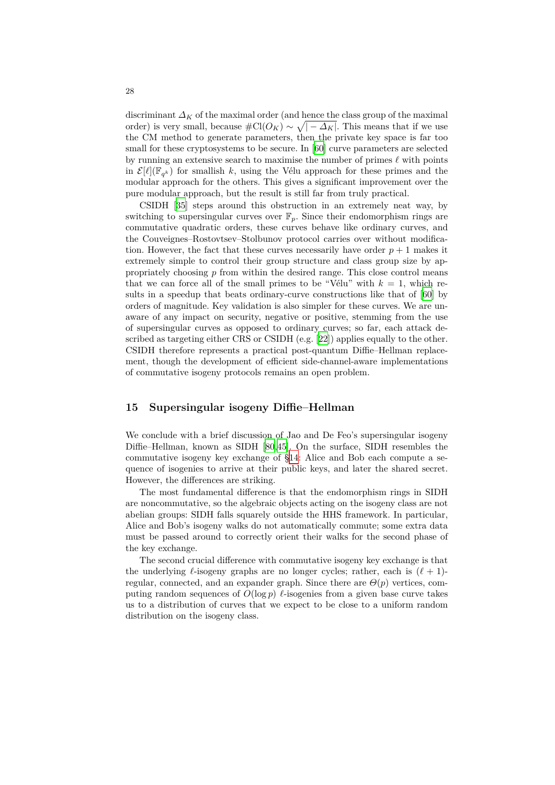discriminant $\varDelta_K$  of the maximal order (and hence the class group of the maximal order) is very small, because  $\#\mathrm{Cl}(O_K) \sim \sqrt{|-\Delta_K|}$ . This means that if we use the CM method to generate parameters, then the private key space is far too small for these cryptosystems to be secure. In [60] curve parameters are selected by running an extensive search to maximise the number of primes *ℓ* with points in  $\mathcal{E}[\ell](\mathbb{F}_{q^k})$  for smallish *k*, using the Vélu approach for these primes and the modular approach for the others. This gives a significant improvement over the pure modular approach, but the result is still [far](#page-34-4) from truly practical.

CSIDH [35] steps around this obstruction in an extremely neat way, by switching to supersingular curves over  $\mathbb{F}_p$ . Since their endomorphism rings are commutative quadratic orders, these curves behave like ordinary curves, and the Couveignes–Rostovtsev–Stolbunov protocol carries over without modification. Howev[er,](#page-33-9) the fact that these curves necessarily have order  $p + 1$  makes it extremely simple to control their group structure and class group size by appropriately choosing *p* from within the desired range. This close control means that we can force all of the small primes to be "Vélu" with  $k = 1$ , which results in a speedup that beats ordinary-curve constructions like that of [60] by orders of magnitude. Key validation is also simpler for these curves. We are unaware of any impact on security, negative or positive, stemming from the use of supersingular curves as opposed to ordinary curves; so far, each attack described as targeting either CRS or CSIDH (e.g. [22]) applies equally to the [ot](#page-34-4)her. CSIDH therefore represents a practical post-quantum Diffie–Hellman replacement, though the development of efficient side-channel-aware implementations of commutative isogeny protocols remains an open problem.

# **15 Supersingular isogeny Diffie–Hellman**

<span id="page-27-0"></span>We conclude with a brief discussion of Jao and De Feo's supersingular isogeny Diffie–Hellman, known as SIDH [80,45]. On the surface, SIDH resembles the commutative isogeny key exchange of §14: Alice and Bob each compute a sequence of isogenies to arrive at their public keys, and later the shared secret. However, the differences are striking.

The most fundamental differe[nce](#page-35-13) [is](#page-33-1) that the endomorphism rings in SIDH are noncommutative, so the algebraic ob[jec](#page-24-0)ts acting on the isogeny class are not abelian groups: SIDH falls squarely outside the HHS framework. In particular, Alice and Bob's isogeny walks do not automatically commute; some extra data must be passed around to correctly orient their walks for the second phase of the key exchange.

The second crucial difference with commutative isogeny key exchange is that the underlying  $\ell$ -isogeny graphs are no longer cycles; rather, each is  $(\ell + 1)$ regular, connected, and an expander graph. Since there are  $\Theta(p)$  vertices, computing random sequences of  $O(\log p)$  *l*-isogenies from a given base curve takes us to a distribution of curves that we expect to be close to a uniform random distribution on the isogeny class.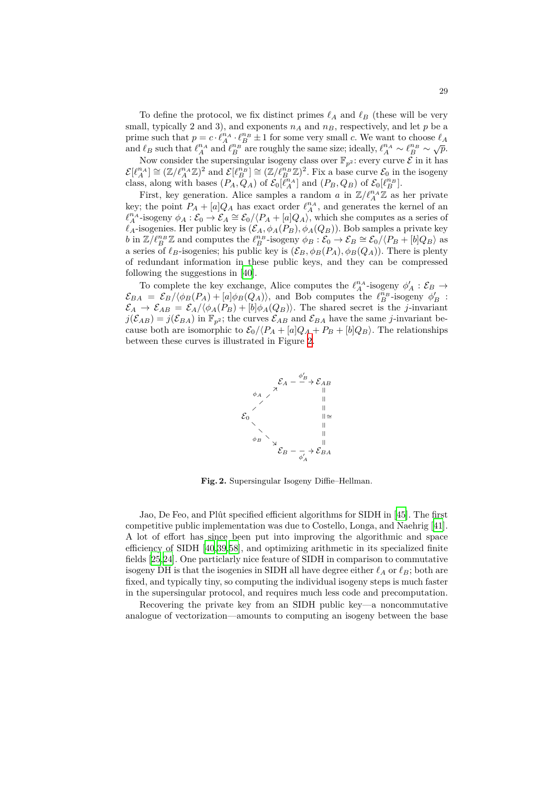To define the protocol, we fix distinct primes  $\ell_A$  and  $\ell_B$  (these will be very small, typically 2 and 3), and exponents  $n_A$  and  $n_B$ , respectively, and let  $p$  be a prime such that  $p = c \cdot \ell_A^{n_A} \cdot \ell_B^{n_B} \pm 1$  for some very small *c*. We want to choose  $\ell_A$ and  $\ell_B$  such that  $\ell_A^{n_A}$  and  $\ell_B^{n_B}$  are roughly the same size; ideally,  $\ell_A^{n_A} \sim \ell_B^{n_B} \sim \sqrt{p}$ .

Now consider the supersingular isogeny class over  $\mathbb{F}_{p^2}$ : every curve  $\mathcal{E}$  in it has  $\mathcal{E}[\ell_A^{n_A}] \cong (\mathbb{Z}/\ell_A^{n_A} \mathbb{Z})^2$  and  $\mathcal{E}[\ell_B^{n_B}] \cong (\mathbb{Z}/\ell_B^{n_B} \mathbb{Z})^2$ . Fix a base curve  $\mathcal{E}_0$  in the isogeny class, along with bases  $(P_A, Q_A)$  of  $\mathcal{E}_0[\ell_A^{n_A}]$  and  $(P_B, Q_B)$  of  $\mathcal{E}_0[\ell_B^{n_B}]$ .

First, key generation. Alice samples a random *a* in  $\mathbb{Z}/\ell_A^{n_A}\mathbb{Z}$  as her private key; the point  $P_A + [a]Q_A$  has exact order  $\ell_A^{n_A}$ , and generates the kernel of an  $\ell_A^{n_A}$ -isogeny  $\phi_A : \mathcal{E}_0 \to \mathcal{E}_A \cong \mathcal{E}_0 / \langle P_A + [a]Q_A \rangle$ , which she computes as a series of  $\ell_A$ -isogenies. Her public key is  $(\mathcal{E}_A, \phi_A(P_B), \phi_A(Q_B))$ . Bob samples a private key b in  $\mathbb{Z}/\ell_B^{n_B}\mathbb{Z}$  and computes the  $\ell_B^{n_B}$ -isogeny  $\phi_B:\mathcal{E}_0\to\mathcal{E}_B\cong\mathcal{E}_0/\langle P_B+[b]Q_B\rangle$  as a series of  $\ell_B$ -isogenies; his public key is  $(\mathcal{E}_B, \phi_B(P_A), \phi_B(Q_A))$ . There is plenty of redundant information in these public keys, and they can be compressed following the suggestions in [40].

To complete the key exchange, Alice computes the  $\ell_A^{n_A}$ -isogeny  $\phi'_A : \mathcal{E}_B \to$  $\mathcal{E}_{BA} = \mathcal{E}_B/\langle \phi_B(P_A) + [a] \phi_B(Q_A) \rangle$ , and Bob computes the  $\ell_B^{n_B}$ -isogeny  $\phi'_B$ :  $\mathcal{E}_A \to \mathcal{E}_{AB} = \mathcal{E}_A/\langle \phi_A(P_B) + [b] \phi_A(Q_B) \rangle$ . The shared secret is the *j*-invariant  $j(\mathcal{E}_{AB}) = j(\mathcal{E}_{BA})$  in  $\mathbb{F}_{p^2}$ ; the [cu](#page-33-12)rves  $\mathcal{E}_{AB}$  and  $\mathcal{E}_{BA}$  have the same *j*-invariant because both are isomorphic to  $\mathcal{E}_0 / \langle P_A + [a]Q_A + P_B + [b]Q_B \rangle$ . The relationships between these curves is illustrated in Figure 2.



<span id="page-28-0"></span>**Fig. 2.** Supersingular Isogeny Diffie–Hellman.

Jao, De Feo, and Plût specified efficient algorithms for SIDH in [45]. The first competitive public implementation was due to Costello, Longa, and Naehrig [41]. A lot of effort has since been put into improving the algorithmic and space efficiency of SIDH [40,39,58], and optimizing arithmetic in its specialized finite fields [25,24]. One particlarly nice feature of SIDH in comparison to [com](#page-33-1)mutative isogeny DH is that the isogenies in SIDH all have degree either  $\ell_A$  or  $\ell_B$ ; both [ar](#page-33-13)e fixed, and typically tiny, so computing the individual isogeny steps is much faster in the supersingula[r p](#page-33-12)[rot](#page-33-14)[oco](#page-34-13)l, and requires much less code and precomputation.

Re[cov](#page-32-10)[eri](#page-32-11)ng the private key from an SIDH public key—a noncommutative analogue of vectorization—amounts to computing an isogeny between the base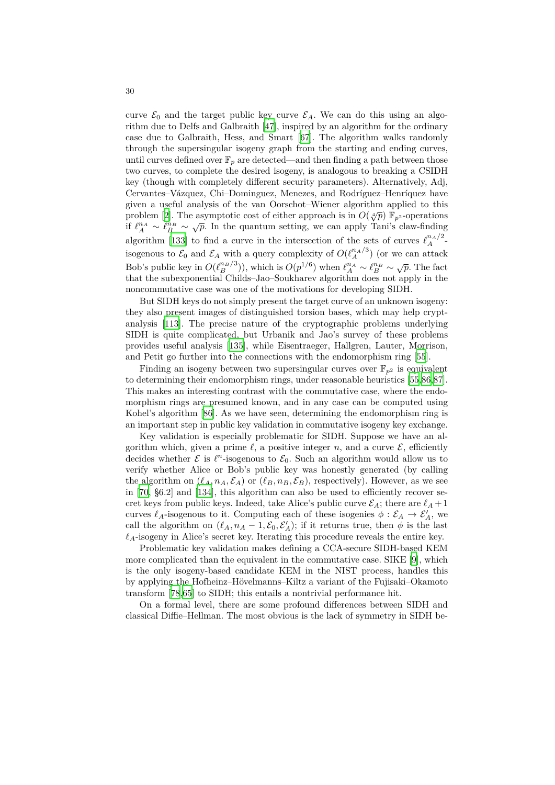curve  $\mathcal{E}_0$  and the target public key curve  $\mathcal{E}_A$ . We can do this using an algorithm due to Delfs and Galbraith [47], inspired by an algorithm for the ordinary case due to Galbraith, Hess, and Smart [67]. The algorithm walks randomly through the supersingular isogeny graph from the starting and ending curves, until curves defined over  $\mathbb{F}_p$  are detected—and then finding a path between those two curves, to complete the desir[ed i](#page-33-11)sogeny, is analogous to breaking a CSIDH key (though with completely different secu[rit](#page-35-11)y parameters). Alternatively, Adj, Cervantes–Vázquez, Chi–Dominguez, Menezes, and Rodríguez–Henríquez have given a useful analysis of the van Oorschot–Wiener algorithm applied to this problem [2]. The asymptotic cost of either approach is in  $O(\sqrt[4]{p})$   $\mathbb{F}_p^2$ -operations if  $\ell_A^{n_A} \sim \ell_B^{n_B} \sim \sqrt{p}$ . In the quantum setting, we can apply Tani's claw-finding algorithm [133] to find a curve in the intersection of the sets of curves  $\ell_A^{n_A/2}$ isogenous to  $\mathcal{E}_0$  and  $\mathcal{E}_A$  with a query complexity of  $O(\ell_A^{n_A/3})$  (or we can attack Bob's pu[bl](#page-30-2)ic key in  $O(\ell_B^{n_B/3})$ , which is  $O(p^{1/6})$  when  $\ell_A^{n_A} \sim \ell_B^{n_B} \sim \sqrt{p}$ . The fact that the subexponential Childs–Jao–Soukharev algorithm does not apply in the noncommu[tativ](#page-38-13)e case was one of the motivations for developing SIDH.

But SIDH keys do not simply present the target curve of an unknown isogeny: they also present images of distinguished torsion bases, which may help cryptanalysis [113]. The precise nature of the cryptographic problems underlying SIDH is quite complicated, but Urbanik and Jao's survey of these problems provides useful analysis [135], while Eisentraeger, Hallgren, Lauter, Morrison, and Petit go further into the connections with the endomorphism ring [55].

Findi[ng an](#page-37-14) isogeny between two supersingular curves over  $\mathbb{F}_{p^2}$  is equivalent to determining their endomorphism rings, under reasonable heuristics [55,86,87]. This makes an interestin[g con](#page-38-14)trast with the commutative case, where the endomorphism rings are presumed known, and in any case can be comput[ed](#page-34-14) using Kohel's algorithm [86]. As we have seen, determining the endomorphism ring is an important step in public key validation in commutative isogeny key [exc](#page-34-14)[ha](#page-36-13)[nge](#page-36-14).

Key validation is especially problematic for SIDH. Suppose we have an algorithm which, given a prime  $\ell$ , a positive integer *n*, and a curve  $\mathcal{E}$ , efficiently decides whether  $\mathcal{E}$  [is](#page-36-13)  $\ell^n$ -isogenous to  $\mathcal{E}_0$ . Such an algorithm would allow us to verify whether Alice or Bob's public key was honestly generated (by calling the algorithm on  $(\ell_A, n_A, \mathcal{E}_A)$  or  $(\ell_B, n_B, \mathcal{E}_B)$ , respectively). However, as we see in [70, §6.2] and [134], this algorithm can also be used to efficiently recover secret keys from public keys. Indeed, take Alice's public curve  $\mathcal{E}_A$ ; there are  $\ell_A + 1$ curves  $\ell_A$ -isogenous to it. Computing each of these isogenies  $\phi : \mathcal{E}_A \to \mathcal{E}'_A$ , we call the algorithm on  $(\ell_A, n_A - 1, \mathcal{E}_0, \mathcal{E}'_A)$ ; if it returns true, then  $\phi$  is the last  $\ell_A$ -[iso](#page-35-14)geny in Ali[ce's](#page-38-15) secret key. Iterating this procedure reveals the entire key.

Problematic key validation makes defining a CCA-secure SIDH-based KEM more complicated than the equivalent in the commutative case. SIKE [9], which is the only isogeny-based candidate KEM in the NIST process, handles this by applying the Hofheinz–Hövelmanns–Kiltz a variant of the Fujisaki–Okamoto transform [78,65] to SIDH; this entails a nontrivial performance hit.

On a formal level, there are some profound differences between S[ID](#page-31-8)H and classical Diffie–Hellman. The most obvious is the lack of symmetry in SIDH be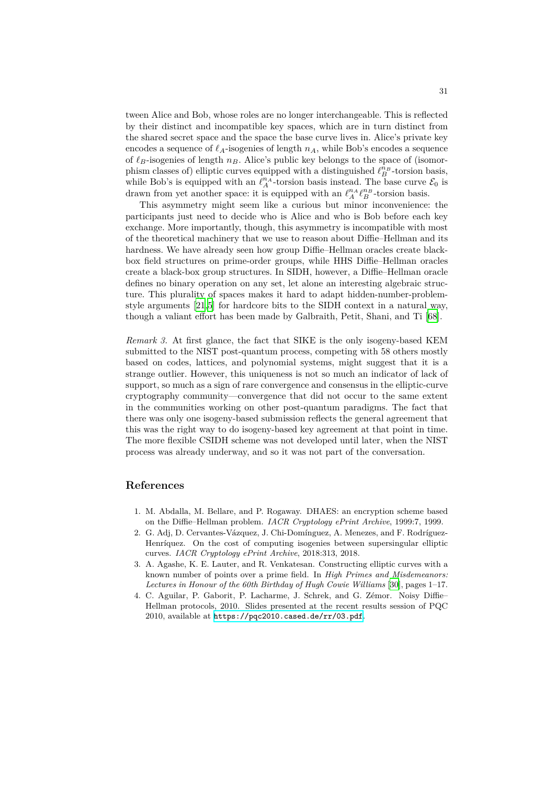tween Alice and Bob, whose roles are no longer interchangeable. This is reflected by their distinct and incompatible key spaces, which are in turn distinct from the shared secret space and the space the base curve lives in. Alice's private key encodes a sequence of  $\ell_A$ -isogenies of length  $n_A$ , while Bob's encodes a sequence of *ℓB*-isogenies of length *nB*. Alice's public key belongs to the space of (isomorphism classes of) elliptic curves equipped with a distinguished  $\ell_B^{n_B}$ -torsion basis, while Bob's is equipped with an  $\ell_A^{n_A}$ -torsion basis instead. The base curve  $\mathcal{E}_0$  is drawn from yet another space: it is equipped with an  $\ell_A^{n_A} \ell_B^{n_B}$ -torsion basis.

This asymmetry might seem like a curious but minor inconvenience: the participants just need to decide who is Alice and who is Bob before each key exchange. More importantly, though, this asymmetry is incompatible with most of the theoretical machinery that we use to reason about Diffie–Hellman and its hardness. We have already seen how group Diffie–Hellman oracles create blackbox field structures on prime-order groups, while HHS Diffie–Hellman oracles create a black-box group structures. In SIDH, however, a Diffie–Hellman oracle defines no binary operation on any set, let alone an interesting algebraic structure. This plurality of spaces makes it hard to adapt hidden-number-problemstyle arguments [21,5] for hardcore bits to the SIDH context in a natural way, though a valiant effort has been made by Galbraith, Petit, Shani, and Ti [68].

*Remark 3.* At first glance, the fact that SIKE is the only isogeny-based KEM submitted to the [NI](#page-32-12)[ST](#page-31-9) post-quantum process, competing with 58 others mostly based on codes, lattices, and polynomial systems, might suggest that i[t is](#page-35-15) a strange outlier. However, this uniqueness is not so much an indicator of lack of support, so much as a sign of rare convergence and consensus in the elliptic-curve cryptography community—convergence that did not occur to the same extent in the communities working on other post-quantum paradigms. The fact that there was only one isogeny-based submission reflects the general agreement that this was the right way to do isogeny-based key agreement at that point in time. The more flexible CSIDH scheme was not developed until later, when the NIST process was already underway, and so it was not part of the conversation.

# **References**

- 1. M. Abdalla, M. Bellare, and P. Rogaway. DHAES: an encryption scheme based on the Diffie–Hellman problem. *IACR Cryptology ePrint Archive*, 1999:7, 1999.
- 2. G. Adj, D. Cervantes-Vázquez, J. Chi-Domínguez, A. Menezes, and F. Rodríguez-Henríquez. On the cost of computing isogenies between supersingular elliptic curves. *IACR Cryptology ePrint Archive*, 2018:313, 2018.
- <span id="page-30-2"></span>3. A. Agashe, K. E. Lauter, and R. Venkatesan. Constructing elliptic curves with a known number of points over a prime field. In *High Primes and Misdemeanors: Lectures in Honour of the 60th Birthday of Hugh Cowie Williams* [30], pages 1–17.
- <span id="page-30-1"></span><span id="page-30-0"></span>4. C. Aguilar, P. Gaborit, P. Lacharme, J. Schrek, and G. Zémor. Noisy Diffie– Hellman protocols, 2010. Slides presented at the recent results session of PQC 2010, available at https://pqc2010.cased.de/rr/03.pdf.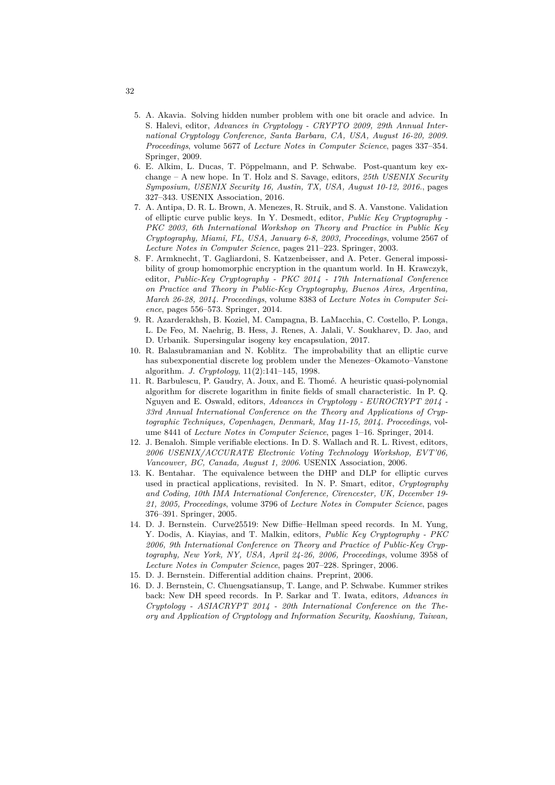- <span id="page-31-9"></span>5. A. Akavia. Solving hidden number problem with one bit oracle and advice. In S. Halevi, editor, *Advances in Cryptology - CRYPTO 2009, 29th Annual International Cryptology Conference, Santa Barbara, CA, USA, August 16-20, 2009. Proceedings*, volume 5677 of *Lecture Notes in Computer Science*, pages 337–354. Springer, 2009.
- <span id="page-31-1"></span>6. E. Alkim, L. Ducas, T. Pöppelmann, and P. Schwabe. Post-quantum key exchange – A new hope. In T. Holz and S. Savage, editors, *25th USENIX Security Symposium, USENIX Security 16, Austin, TX, USA, August 10-12, 2016.*, pages 327–343. USENIX Association, 2016.
- <span id="page-31-3"></span>7. A. Antipa, D. R. L. Brown, A. Menezes, R. Struik, and S. A. Vanstone. Validation of elliptic curve public keys. In Y. Desmedt, editor, *Public Key Cryptography - PKC 2003, 6th International Workshop on Theory and Practice in Public Key Cryptography, Miami, FL, USA, January 6-8, 2003, Proceedings*, volume 2567 of *Lecture Notes in Computer Science*, pages 211–223. Springer, 2003.
- 8. F. Armknecht, T. Gagliardoni, S. Katzenbeisser, and A. Peter. General impossibility of group homomorphic encryption in the quantum world. In H. Krawczyk, editor, *Public-Key Cryptography - PKC 2014 - 17th International Conference on Practice and Theory in Public-Key Cryptography, Buenos Aires, Argentina, March 26-28, 2014. Proceedings*, volume 8383 of *Lecture Notes in Computer Science*, pages 556–573. Springer, 2014.
- <span id="page-31-8"></span>9. R. Azarderakhsh, B. Koziel, M. Campagna, B. LaMacchia, C. Costello, P. Longa, L. De Feo, M. Naehrig, B. Hess, J. Renes, A. Jalali, V. Soukharev, D. Jao, and D. Urbanik. Supersingular isogeny key encapsulation, 2017.
- <span id="page-31-4"></span>10. R. Balasubramanian and N. Koblitz. The improbability that an elliptic curve has subexponential discrete log problem under the Menezes–Okamoto–Vanstone algorithm. *J. Cryptology*, 11(2):141–145, 1998.
- <span id="page-31-0"></span>11. R. Barbulescu, P. Gaudry, A. Joux, and E. Thomé. A heuristic quasi-polynomial algorithm for discrete logarithm in finite fields of small characteristic. In P. Q. Nguyen and E. Oswald, editors, *Advances in Cryptology - EUROCRYPT 2014 - 33rd Annual International Conference on the Theory and Applications of Cryptographic Techniques, Copenhagen, Denmark, May 11-15, 2014. Proceedings*, volume 8441 of *Lecture Notes in Computer Science*, pages 1–16. Springer, 2014.
- 12. J. Benaloh. Simple verifiable elections. In D. S. Wallach and R. L. Rivest, editors, *2006 USENIX/ACCURATE Electronic Voting Technology Workshop, EVT'06, Vancouver, BC, Canada, August 1, 2006*. USENIX Association, 2006.
- <span id="page-31-2"></span>13. K. Bentahar. The equivalence between the DHP and DLP for elliptic curves used in practical applications, revisited. In N. P. Smart, editor, *Cryptography and Coding, 10th IMA International Conference, Cirencester, UK, December 19- 21, 2005, Proceedings*, volume 3796 of *Lecture Notes in Computer Science*, pages 376–391. Springer, 2005.
- <span id="page-31-5"></span>14. D. J. Bernstein. Curve25519: New Diffie–Hellman speed records. In M. Yung, Y. Dodis, A. Kiayias, and T. Malkin, editors, *Public Key Cryptography - PKC 2006, 9th International Conference on Theory and Practice of Public-Key Cryptography, New York, NY, USA, April 24-26, 2006, Proceedings*, volume 3958 of *Lecture Notes in Computer Science*, pages 207–228. Springer, 2006.
- <span id="page-31-7"></span>15. D. J. Bernstein. Differential addition chains. Preprint, 2006.
- <span id="page-31-6"></span>16. D. J. Bernstein, C. Chuengsatiansup, T. Lange, and P. Schwabe. Kummer strikes back: New DH speed records. In P. Sarkar and T. Iwata, editors, *Advances in Cryptology - ASIACRYPT 2014 - 20th International Conference on the Theory and Application of Cryptology and Information Security, Kaoshiung, Taiwan,*

32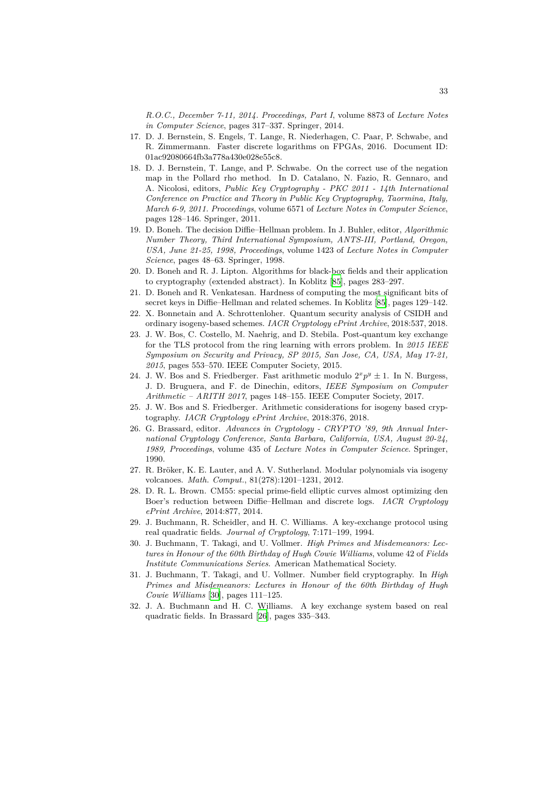*R.O.C., December 7-11, 2014. Proceedings, Part I*, volume 8873 of *Lecture Notes in Computer Science*, pages 317–337. Springer, 2014.

- 17. D. J. Bernstein, S. Engels, T. Lange, R. Niederhagen, C. Paar, P. Schwabe, and R. Zimmermann. Faster discrete logarithms on FPGAs, 2016. Document ID: 01ac92080664fb3a778a430e028e55c8.
- <span id="page-32-6"></span>18. D. J. Bernstein, T. Lange, and P. Schwabe. On the correct use of the negation map in the Pollard rho method. In D. Catalano, N. Fazio, R. Gennaro, and A. Nicolosi, editors, *Public Key Cryptography - PKC 2011 - 14th International Conference on Practice and Theory in Public Key Cryptography, Taormina, Italy, March 6-9, 2011. Proceedings*, volume 6571 of *Lecture Notes in Computer Science*, pages 128–146. Springer, 2011.
- <span id="page-32-3"></span>19. D. Boneh. The decision Diffie–Hellman problem. In J. Buhler, editor, *Algorithmic Number Theory, Third International Symposium, ANTS-III, Portland, Oregon, USA, June 21-25, 1998, Proceedings*, volume 1423 of *Lecture Notes in Computer Science*, pages 48–63. Springer, 1998.
- <span id="page-32-1"></span>20. D. Boneh and R. J. Lipton. Algorithms for black-box fields and their application to cryptography (extended abstract). In Koblitz [85], pages 283–297.
- 21. D. Boneh and R. Venkatesan. Hardness of computing the most significant bits of secret keys in Diffie–Hellman and related schemes. In Koblitz [85], pages 129–142.
- <span id="page-32-2"></span>22. X. Bonnetain and A. Schrottenloher. Quantum security analysis of CSIDH and ordinary isogeny-based schemes. *IACR Cryptology [eP](#page-36-15)rint Archive*, 2018:537, 2018.
- <span id="page-32-12"></span>23. J. W. Bos, C. Costello, M. Naehrig, and D. Stebila. Post-quantum key exchange for the TLS protocol from the ring learning with errors prob[lem](#page-36-15). In *2015 IEEE Symposium on Security and Privacy, SP 2015, San Jose, CA, USA, May 17-21, 2015*, pages 553–570. IEEE Computer Society, 2015.
- <span id="page-32-9"></span><span id="page-32-0"></span>24. J. W. Bos and S. Friedberger. Fast arithmetic modulo  $2^x p^y \pm 1$ . In N. Burgess, J. D. Bruguera, and F. de Dinechin, editors, *IEEE Symposium on Computer Arithmetic – ARITH 2017*, pages 148–155. IEEE Computer Society, 2017.
- 25. J. W. Bos and S. Friedberger. Arithmetic considerations for isogeny based cryptography. *IACR Cryptology ePrint Archive*, 2018:376, 2018.
- <span id="page-32-11"></span>26. G. Brassard, editor. *Advances in Cryptology - CRYPTO '89, 9th Annual International Cryptology Conference, Santa Barbara, California, USA, August 20-24, 1989, Proceedings*, volume 435 of *Lecture Notes in Computer Science*. Springer, 1990.
- <span id="page-32-13"></span><span id="page-32-10"></span>27. R. Bröker, K. E. Lauter, and A. V. Sutherland. Modular polynomials via isogeny volcanoes. *Math. Comput.*, 81(278):1201–1231, 2012.
- 28. D. R. L. Brown. CM55: special prime-field elliptic curves almost optimizing den Boer's reduction between Diffie–Hellman and discrete logs. *IACR Cryptology ePrint Archive*, 2014:877, 2014.
- <span id="page-32-8"></span>29. J. Buchmann, R. Scheidler, and H. C. Williams. A key-exchange protocol using real quadratic fields. *Journal of Cryptology*, 7:171–199, 1994.
- 30. J. Buchmann, T. Takagi, and U. Vollmer. *High Primes and Misdemeanors: Lectures in Honour of the 60th Birthday of Hugh Cowie Williams*, volume 42 of *Fields Institute Communications Series*. American Mathematical Society.
- <span id="page-32-7"></span>31. J. Buchmann, T. Takagi, and U. Vollmer. Number field cryptography. In *High Primes and Misdemeanors: Lectures in Honour of the 60th Birthday of Hugh Cowie Williams* [30], pages 111–125.
- <span id="page-32-5"></span><span id="page-32-4"></span>32. J. A. Buchmann and H. C. Williams. A key exchange system based on real quadratic fields. In Brassard [26], pages 335–343.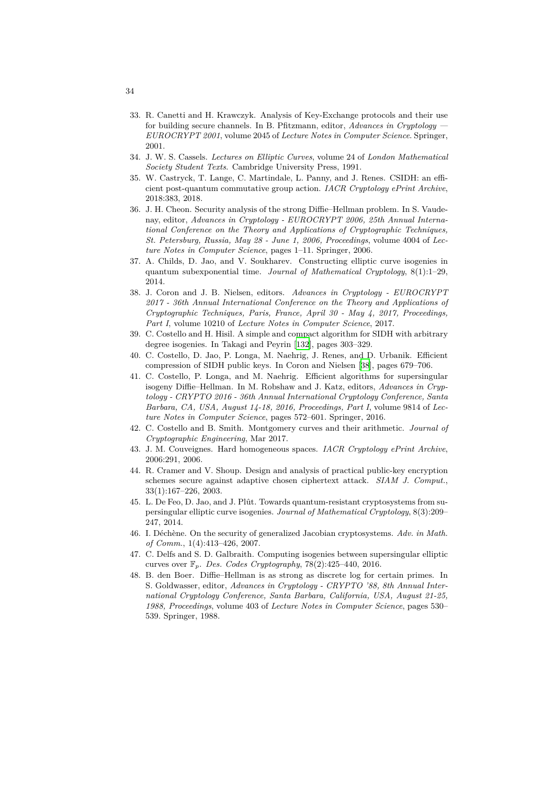- 33. R. Canetti and H. Krawczyk. Analysis of Key-Exchange protocols and their use for building secure channels. In B. Pfitzmann, editor, *Advances in Cryptology — EUROCRYPT 2001*, volume 2045 of *Lecture Notes in Computer Science*. Springer, 2001.
- <span id="page-33-0"></span>34. J. W. S. Cassels. *Lectures on Elliptic Curves*, volume 24 of *London Mathematical Society Student Texts*. Cambridge University Press, 1991.
- 35. W. Castryck, T. Lange, C. Martindale, L. Panny, and J. Renes. CSIDH: an efficient post-quantum commutative group action. *IACR Cryptology ePrint Archive*, 2018:383, 2018.
- <span id="page-33-9"></span><span id="page-33-4"></span>36. J. H. Cheon. Security analysis of the strong Diffie–Hellman problem. In S. Vaudenay, editor, *Advances in Cryptology - EUROCRYPT 2006, 25th Annual International Conference on the Theory and Applications of Cryptographic Techniques, St. Petersburg, Russia, May 28 - June 1, 2006, Proceedings*, volume 4004 of *Lecture Notes in Computer Science*, pages 1–11. Springer, 2006.
- <span id="page-33-10"></span>37. A. Childs, D. Jao, and V. Soukharev. Constructing elliptic curve isogenies in quantum subexponential time. *Journal of Mathematical Cryptology*, 8(1):1–29, 2014.
- <span id="page-33-8"></span>38. J. Coron and J. B. Nielsen, editors. *Advances in Cryptology - EUROCRYPT 2017 - 36th Annual International Conference on the Theory and Applications of Cryptographic Techniques, Paris, France, April 30 - May 4, 2017, Proceedings, Part I*, volume 10210 of *Lecture Notes in Computer Science*, 2017.
- <span id="page-33-15"></span>39. C. Costello and H. Hisil. A simple and compact algorithm for SIDH with arbitrary degree isogenies. In Takagi and Peyrin [132], pages 303–329.
- 40. C. Costello, D. Jao, P. Longa, M. Naehrig, J. Renes, and D. Urbanik. Efficient compression of SIDH public keys. In Coron and Nielsen [38], pages 679–706.
- <span id="page-33-14"></span><span id="page-33-12"></span>41. C. Costello, P. Longa, and M. Naehrig. Efficient algorithms for supersingular isogeny Diffie–Hellman. In M. Robshaw [and](#page-38-16) J. Katz, editors, *Advances in Cryptology - CRYPTO 2016 - 36th Annual International Cryptology Conference, Santa Barbara, CA, USA, August 14-18, 2016, Proceedings, Par[t I](#page-33-15)*, volume 9814 of *Lecture Notes in Computer Science*, pages 572–601. Springer, 2016.
- <span id="page-33-13"></span>42. C. Costello and B. Smith. Montgomery curves and their arithmetic. *Journal of Cryptographic Engineering*, Mar 2017.
- 43. J. M. Couveignes. Hard homogeneous spaces. *IACR Cryptology ePrint Archive*, 2006:291, 2006.
- <span id="page-33-6"></span>44. R. Cramer and V. Shoup. Design and analysis of practical public-key encryption schemes secure against adaptive chosen ciphertext attack. *SIAM J. Comput.*, 33(1):167–226, 2003.
- <span id="page-33-7"></span><span id="page-33-3"></span>45. L. De Feo, D. Jao, and J. Plût. Towards quantum-resistant cryptosystems from supersingular elliptic curve isogenies. *Journal of Mathematical Cryptology*, 8(3):209– 247, 2014.
- 46. I. Déchène. On the security of generalized Jacobian cryptosystems. *Adv. in Math. of Comm.*, 1(4):413–426, 2007.
- <span id="page-33-1"></span>47. C. Delfs and S. D. Galbraith. Computing isogenies between supersingular elliptic curves over F*p*. *Des. Codes Cryptography*, 78(2):425–440, 2016.
- <span id="page-33-11"></span><span id="page-33-5"></span><span id="page-33-2"></span>48. B. den Boer. Diffie–Hellman is as strong as discrete log for certain primes. In S. Goldwasser, editor, *Advances in Cryptology - CRYPTO '88, 8th Annual International Cryptology Conference, Santa Barbara, California, USA, August 21-25, 1988, Proceedings*, volume 403 of *Lecture Notes in Computer Science*, pages 530– 539. Springer, 1988.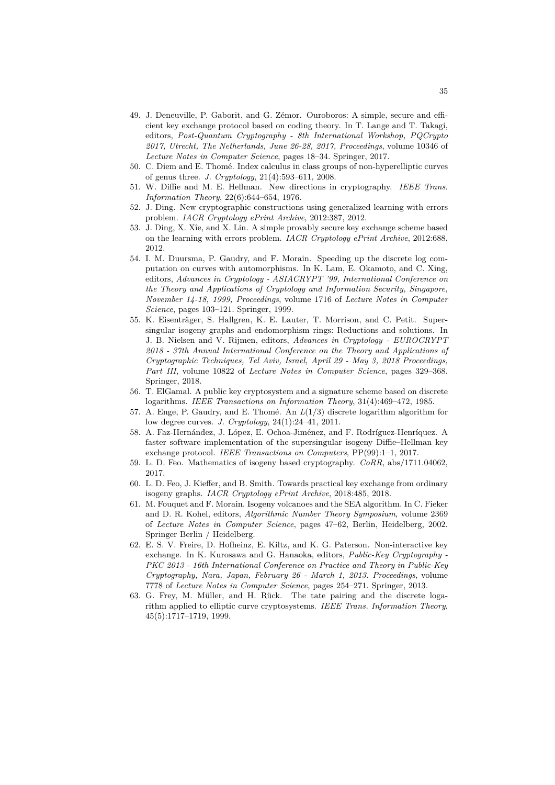- <span id="page-34-3"></span>49. J. Deneuville, P. Gaborit, and G. Zémor. Ouroboros: A simple, secure and efficient key exchange protocol based on coding theory. In T. Lange and T. Takagi, editors, *Post-Quantum Cryptography - 8th International Workshop, PQCrypto 2017, Utrecht, The Netherlands, June 26-28, 2017, Proceedings*, volume 10346 of *Lecture Notes in Computer Science*, pages 18–34. Springer, 2017.
- <span id="page-34-8"></span>50. C. Diem and E. Thomé. Index calculus in class groups of non-hyperelliptic curves of genus three. *J. Cryptology*, 21(4):593–611, 2008.
- <span id="page-34-0"></span>51. W. Diffie and M. E. Hellman. New directions in cryptography. *IEEE Trans. Information Theory*, 22(6):644–654, 1976.
- <span id="page-34-1"></span>52. J. Ding. New cryptographic constructions using generalized learning with errors problem. *IACR Cryptology ePrint Archive*, 2012:387, 2012.
- <span id="page-34-2"></span>53. J. Ding, X. Xîe, and X. Lin. A simple provably secure key exchange scheme based on the learning with errors problem. *IACR Cryptology ePrint Archive*, 2012:688, 2012.
- <span id="page-34-10"></span>54. I. M. Duursma, P. Gaudry, and F. Morain. Speeding up the discrete log computation on curves with automorphisms. In K. Lam, E. Okamoto, and C. Xing, editors, *Advances in Cryptology - ASIACRYPT '99, International Conference on the Theory and Applications of Cryptology and Information Security, Singapore, November 14-18, 1999, Proceedings*, volume 1716 of *Lecture Notes in Computer Science*, pages 103–121. Springer, 1999.
- <span id="page-34-14"></span>55. K. Eisenträger, S. Hallgren, K. E. Lauter, T. Morrison, and C. Petit. Supersingular isogeny graphs and endomorphism rings: Reductions and solutions. In J. B. Nielsen and V. Rijmen, editors, *Advances in Cryptology - EUROCRYPT 2018 - 37th Annual International Conference on the Theory and Applications of Cryptographic Techniques, Tel Aviv, Israel, April 29 - May 3, 2018 Proceedings, Part III*, volume 10822 of *Lecture Notes in Computer Science*, pages 329–368. Springer, 2018.
- <span id="page-34-6"></span>56. T. ElGamal. A public key cryptosystem and a signature scheme based on discrete logarithms. *IEEE Transactions on Information Theory*, 31(4):469–472, 1985.
- <span id="page-34-9"></span>57. A. Enge, P. Gaudry, and E. Thomé. An *L*(1/3) discrete logarithm algorithm for low degree curves. *J. Cryptology*, 24(1):24–41, 2011.
- <span id="page-34-13"></span>58. A. Faz-Hernández, J. López, E. Ochoa-Jiménez, and F. Rodríguez-Henríquez. A faster software implementation of the supersingular isogeny Diffie–Hellman key exchange protocol. *IEEE Transactions on Computers*, PP(99):1–1, 2017.
- <span id="page-34-11"></span>59. L. D. Feo. Mathematics of isogeny based cryptography. *CoRR*, abs/1711.04062, 2017.
- <span id="page-34-4"></span>60. L. D. Feo, J. Kieffer, and B. Smith. Towards practical key exchange from ordinary isogeny graphs. *IACR Cryptology ePrint Archive*, 2018:485, 2018.
- <span id="page-34-12"></span>61. M. Fouquet and F. Morain. Isogeny volcanoes and the SEA algorithm. In C. Fieker and D. R. Kohel, editors, *Algorithmic Number Theory Symposium*, volume 2369 of *Lecture Notes in Computer Science*, pages 47–62, Berlin, Heidelberg, 2002. Springer Berlin / Heidelberg.
- <span id="page-34-5"></span>62. E. S. V. Freire, D. Hofheinz, E. Kiltz, and K. G. Paterson. Non-interactive key exchange. In K. Kurosawa and G. Hanaoka, editors, *Public-Key Cryptography - PKC 2013 - 16th International Conference on Practice and Theory in Public-Key Cryptography, Nara, Japan, February 26 - March 1, 2013. Proceedings*, volume 7778 of *Lecture Notes in Computer Science*, pages 254–271. Springer, 2013.
- <span id="page-34-7"></span>63. G. Frey, M. Müller, and H. Rück. The tate pairing and the discrete logarithm applied to elliptic curve cryptosystems. *IEEE Trans. Information Theory*, 45(5):1717–1719, 1999.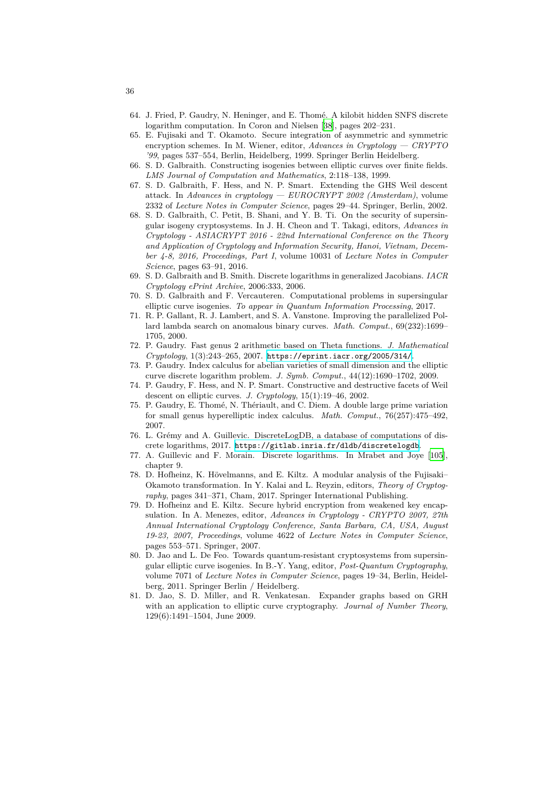- 64. J. Fried, P. Gaudry, N. Heninger, and E. Thomé. A kilobit hidden SNFS discrete logarithm computation. In Coron and Nielsen [38], pages 202–231.
- 65. E. Fujisaki and T. Okamoto. Secure integration of asymmetric and symmetric encryption schemes. In M. Wiener, editor, *Advances in Cryptology — CRYPTO '99*, pages 537–554, Berlin, Heidelberg, 1999. Springer Berlin Heidelberg.
- <span id="page-35-7"></span>66. S. D. Galbraith. Constructing isogenies between elliptic curves over finite fields. *LMS Journal of Computation and Mathematics*[, 2](#page-33-15):118–138, 1999.
- 67. S. D. Galbraith, F. Hess, and N. P. Smart. Extending the GHS Weil descent attack. In *Advances in cryptology — EUROCRYPT 2002 (Amsterdam)*, volume 2332 of *Lecture Notes in Computer Science*, pages 29–44. Springer, Berlin, 2002.
- <span id="page-35-11"></span><span id="page-35-10"></span>68. S. D. Galbraith, C. Petit, B. Shani, and Y. B. Ti. On the security of supersingular isogeny cryptosystems. In J. H. Cheon and T. Takagi, editors, *Advances in Cryptology - ASIACRYPT 2016 - 22nd International Conference on the Theory and Application of Cryptology and Information Security, Hanoi, Vietnam, December 4-8, 2016, Proceedings, Part I*, volume 10031 of *Lecture Notes in Computer Science*, pages 63–91, 2016.
- <span id="page-35-15"></span>69. S. D. Galbraith and B. Smith. Discrete logarithms in generalized Jacobians. *IACR Cryptology ePrint Archive*, 2006:333, 2006.
- 70. S. D. Galbraith and F. Vercauteren. Computational problems in supersingular elliptic curve isogenies. *To appear in Quantum Information Processing*, 2017.
- <span id="page-35-6"></span>71. R. P. Gallant, R. J. Lambert, and S. A. Vanstone. Improving the parallelized Pollard lambda search on anomalous binary curves. *Math. Comput.*, 69(232):1699– 1705, 2000.
- <span id="page-35-14"></span>72. P. Gaudry. Fast genus 2 arithmetic based on Theta functions. *J. Mathematical Cryptology*, 1(3):243–265, 2007. https://eprint.iacr.org/2005/314/.
- <span id="page-35-3"></span>73. P. Gaudry. Index calculus for abelian varieties of small dimension and the elliptic curve discrete logarithm problem. *J. Symb. Comput.*, 44(12):1690–1702, 2009.
- <span id="page-35-9"></span>74. P. Gaudry, F. Hess, and N. P. Smart. Constructive and destructive facets of Weil descent on elliptic curves. *J. Cryptology*, 15(1):19–46, 2002.
- <span id="page-35-5"></span>75. P. Gaudry, E. Thomé, N. Théria[ult, and C. Diem. A double large prime](https://eprint.iacr.org/2005/314/) variation for small genus hyperelliptic index calculus. *Math. Comput.*, 76(257):475–492, 2007.
- <span id="page-35-2"></span>76. L. Grémy and A. Guillevic. DiscreteLogDB, a database of computations of discrete logarithms, 2017. https://gitlab.inria.fr/dldb/discretelogdb.
- <span id="page-35-4"></span>77. A. Guillevic and F. Morain. Discrete logarithms. In Mrabet and Joye [105], chapter 9.
- <span id="page-35-8"></span>78. D. Hofheinz, K. Hövelmanns, and E. Kiltz. A modular analysis of the Fujisaki– Okamoto transformation. In Y. Kalai and L. Reyzin, editors, *Theory of Cryptography*, pages 341–371, [Cham, 2017. Springer International Publishing.](https://gitlab.inria.fr/dldb/discretelogdb)
- <span id="page-35-1"></span>79. D. Hofheinz and E. Kiltz. Secure hybrid encryption from weakened key e[ncap](#page-37-15)sulation. In A. Menezes, editor, *Advances in Cryptology - CRYPTO 2007, 27th Annual International Cryptology Conference, Santa Barbara, CA, USA, August 19-23, 2007, Proceedings*, volume 4622 of *Lecture Notes in Computer Science*, pages 553–571. Springer, 2007.
- <span id="page-35-0"></span>80. D. Jao and L. De Feo. Towards quantum-resistant cryptosystems from supersingular elliptic curve isogenies. In B.-Y. Yang, editor, *Post-Quantum Cryptography*, volume 7071 of *Lecture Notes in Computer Science*, pages 19–34, Berlin, Heidelberg, 2011. Springer Berlin / Heidelberg.
- <span id="page-35-13"></span><span id="page-35-12"></span>81. D. Jao, S. D. Miller, and R. Venkatesan. Expander graphs based on GRH with an application to elliptic curve cryptography. *Journal of Number Theory*, 129(6):1491–1504, June 2009.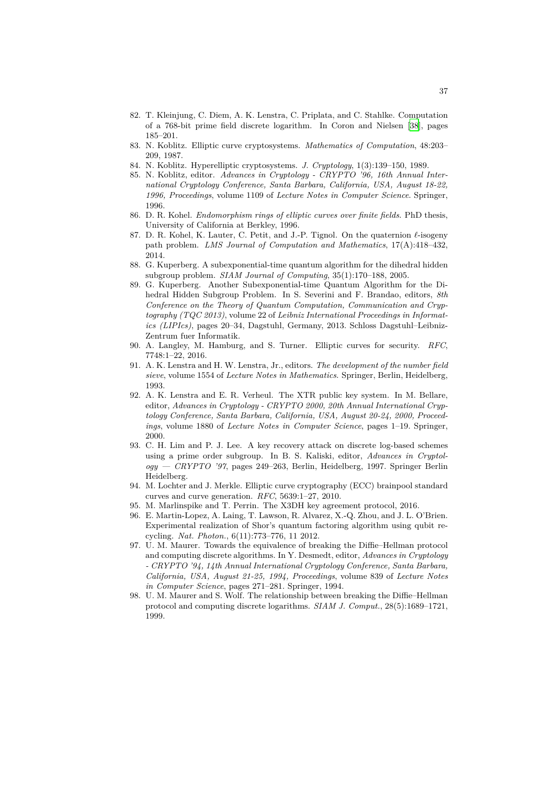- 82. T. Kleinjung, C. Diem, A. K. Lenstra, C. Priplata, and C. Stahlke. Computation of a 768-bit prime field discrete logarithm. In Coron and Nielsen [38], pages 185–201.
- 83. N. Koblitz. Elliptic curve cryptosystems. *Mathematics of Computation*, 48:203– 209, 1987.
- <span id="page-36-9"></span>84. N. Koblitz. Hyperelliptic cryptosystems. *J. Cryptology*, 1(3):139–150, 1989.
- <span id="page-36-7"></span>85. N. Koblitz, editor. *Advances in Cryptology - CRYPTO '96, 16th An[nua](#page-33-15)l International Cryptology Conference, Santa Barbara, California, USA, August 18-22, 1996, Proceedings*, volume 1109 of *Lecture Notes in Computer Science*. Springer, 1996.
- <span id="page-36-15"></span><span id="page-36-8"></span>86. D. R. Kohel. *Endomorphism rings of elliptic curves over finite fields*. PhD thesis, University of California at Berkley, 1996.
- 87. D. R. Kohel, K. Lauter, C. Petit, and J.-P. Tignol. On the quaternion *ℓ*-isogeny path problem. *LMS Journal of Computation and Mathematics*, 17(A):418–432, 2014.
- <span id="page-36-13"></span>88. G. Kuperberg. A subexponential-time quantum algorithm for the dihedral hidden subgroup problem. *SIAM Journal of Computing*, 35(1):170–188, 2005.
- <span id="page-36-14"></span>89. G. Kuperberg. Another Subexponential-time Quantum Algorithm for the Dihedral Hidden Subgroup Problem. In S. Severini and F. Brandao, editors, *8th Conference on the Theory of Quantum Computation, Communication and Cryptography (TQC 2013)*, volume 22 of *Leibniz International Proceedings in Informatics (LIPIcs)*, pages 20–34, Dagstuhl, Germany, 2013. Schloss Dagstuhl–Leibniz-Zentrum fuer Informatik.
- <span id="page-36-12"></span>90. A. Langley, M. Hamburg, and S. Turner. Elliptic curves for security. *RFC*, 7748:1–22, 2016.
- 91. A. K. Lenstra and H. W. Lenstra, Jr., editors. *The development of the number field sieve*, volume 1554 of *Lecture Notes in Mathematics*. Springer, Berlin, Heidelberg, 1993.
- <span id="page-36-11"></span><span id="page-36-5"></span>92. A. K. Lenstra and E. R. Verheul. The XTR public key system. In M. Bellare, editor, *Advances in Cryptology - CRYPTO 2000, 20th Annual International Cryptology Conference, Santa Barbara, California, USA, August 20-24, 2000, Proceedings*, volume 1880 of *Lecture Notes in Computer Science*, pages 1–19. Springer, 2000.
- <span id="page-36-6"></span>93. C. H. Lim and P. J. Lee. A key recovery attack on discrete log-based schemes using a prime order subgroup. In B. S. Kaliski, editor, *Advances in Cryptology — CRYPTO '97*, pages 249–263, Berlin, Heidelberg, 1997. Springer Berlin Heidelberg.
- <span id="page-36-4"></span>94. M. Lochter and J. Merkle. Elliptic curve cryptography (ECC) brainpool standard curves and curve generation. *RFC*, 5639:1–27, 2010.
- 95. M. Marlinspike and T. Perrin. The X3DH key agreement protocol, 2016.
- 96. E. Martin-Lopez, A. Laing, T. Lawson, R. Alvarez, X.-Q. Zhou, and J. L. O'Brien. Experimental realization of Shor's quantum factoring algorithm using qubit recycling. *Nat. Photon.*, 6(11):773–776, 11 2012.
- <span id="page-36-10"></span><span id="page-36-1"></span><span id="page-36-0"></span>97. U. M. Maurer. Towards the equivalence of breaking the Diffie–Hellman protocol and computing discrete algorithms. In Y. Desmedt, editor, *Advances in Cryptology - CRYPTO '94, 14th Annual International Cryptology Conference, Santa Barbara, California, USA, August 21-25, 1994, Proceedings*, volume 839 of *Lecture Notes in Computer Science*, pages 271–281. Springer, 1994.
- <span id="page-36-3"></span><span id="page-36-2"></span>98. U. M. Maurer and S. Wolf. The relationship between breaking the Diffie–Hellman protocol and computing discrete logarithms. *SIAM J. Comput.*, 28(5):1689–1721, 1999.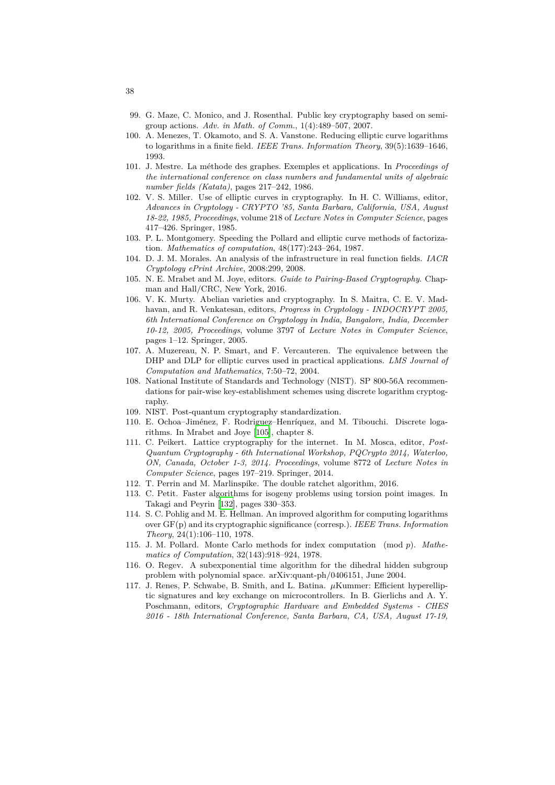- 99. G. Maze, C. Monico, and J. Rosenthal. Public key cryptography based on semigroup actions. *Adv. in Math. of Comm.*, 1(4):489–507, 2007.
- 100. A. Menezes, T. Okamoto, and S. A. Vanstone. Reducing elliptic curve logarithms to logarithms in a finite field. *IEEE Trans. Information Theory*, 39(5):1639–1646, 1993.
- <span id="page-37-6"></span>101. J. Mestre. La méthode des graphes. Exemples et applications. In *Proceedings of the international conference on class numbers and fundamental units of algebraic number fields (Katata)*, pages 217–242, 1986.
- <span id="page-37-13"></span>102. V. S. Miller. Use of elliptic curves in cryptography. In H. C. Williams, editor, *Advances in Cryptology - CRYPTO '85, Santa Barbara, California, USA, August 18-22, 1985, Proceedings*, volume 218 of *Lecture Notes in Computer Science*, pages 417–426. Springer, 1985.
- <span id="page-37-5"></span>103. P. L. Montgomery. Speeding the Pollard and elliptic curve methods of factorization. *Mathematics of computation*, 48(177):243–264, 1987.
- 104. D. J. M. Morales. An analysis of the infrastructure in real function fields. *IACR Cryptology ePrint Archive*, 2008:299, 2008.
- <span id="page-37-8"></span>105. N. E. Mrabet and M. Joye, editors. *Guide to Pairing-Based Cryptography*. Chapman and Hall/CRC, New York, 2016.
- <span id="page-37-15"></span><span id="page-37-12"></span>106. V. K. Murty. Abelian varieties and cryptography. In S. Maitra, C. E. V. Madhavan, and R. Venkatesan, editors, *Progress in Cryptology - INDOCRYPT 2005, 6th International Conference on Cryptology in India, Bangalore, India, December 10-12, 2005, Proceedings*, volume 3797 of *Lecture Notes in Computer Science*, pages 1–12. Springer, 2005.
- <span id="page-37-7"></span>107. A. Muzereau, N. P. Smart, and F. Vercauteren. The equivalence between the DHP and DLP for elliptic curves used in practical applications. *LMS Journal of Computation and Mathematics*, 7:50–72, 2004.
- <span id="page-37-4"></span>108. National Institute of Standards and Technology (NIST). SP 800-56A recommendations for pair-wise key-establishment schemes using discrete logarithm cryptography.
- 109. NIST. Post-quantum cryptography standardization.
- <span id="page-37-9"></span>110. E. Ochoa–Jiménez, F. Rodriguez–Henríquez, and M. Tibouchi. Discrete logarithms. In Mrabet and Joye [105], chapter 8.
- <span id="page-37-0"></span>111. C. Peikert. Lattice cryptography for the internet. In M. Mosca, editor, *Post-Quantum Cryptography - 6th International Workshop, PQCrypto 2014, Waterloo, ON, Canada, October 1-3, 2014. Proceedings*, volume 8772 of *Lecture Notes in Computer Science*, pages 197[–219](#page-37-15). Springer, 2014.
- <span id="page-37-1"></span>112. T. Perrin and M. Marlinspike. The double ratchet algorithm, 2016.
- 113. C. Petit. Faster algorithms for isogeny problems using torsion point images. In Takagi and Peyrin [132], pages 330–353.
- <span id="page-37-10"></span>114. S. C. Pohlig and M. E. Hellman. An improved algorithm for computing logarithms over GF(p) and its cryptographic significance (corresp.). *IEEE Trans. Information Theory*, 24(1):106–110, 1978.
- <span id="page-37-14"></span>115. J. M. Pollard. Mo[nte C](#page-38-16)arlo methods for index computation (mod *p*). *Mathematics of Computation*, 32(143):918–924, 1978.
- <span id="page-37-3"></span>116. O. Regev. A subexponential time algorithm for the dihedral hidden subgroup problem with polynomial space. arXiv:quant-ph/0406151, June 2004.
- <span id="page-37-11"></span><span id="page-37-2"></span>117. J. Renes, P. Schwabe, B. Smith, and L. Batina. *µ*Kummer: Efficient hyperelliptic signatures and key exchange on microcontrollers. In B. Gierlichs and A. Y. Poschmann, editors, *Cryptographic Hardware and Embedded Systems - CHES 2016 - 18th International Conference, Santa Barbara, CA, USA, August 17-19,*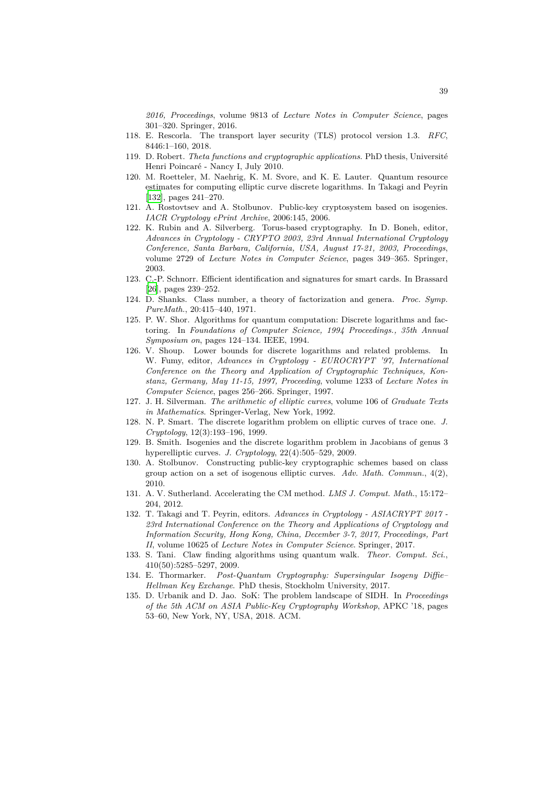*2016, Proceedings*, volume 9813 of *Lecture Notes in Computer Science*, pages 301–320. Springer, 2016.

- 118. E. Rescorla. The transport layer security (TLS) protocol version 1.3. *RFC*, 8446:1–160, 2018.
- 119. D. Robert. *Theta functions and cryptographic applications*. PhD thesis, Université Henri Poincaré - Nancy I, July 2010.
- <span id="page-38-1"></span>120. M. Roetteler, M. Naehrig, K. M. Svore, and K. E. Lauter. Quantum resource estimates for computing elliptic curve discrete logarithms. In Takagi and Peyrin [132], pages 241–270.
- <span id="page-38-5"></span>121. A. Rostovtsev and A. Stolbunov. Public-key cryptosystem based on isogenies. *IACR Cryptology ePrint Archive*, 2006:145, 2006.
- <span id="page-38-8"></span><span id="page-38-7"></span>122. K. Rubin and A. Silverberg. Torus-based cryptography. In D. Boneh, editor, *[Adva](#page-38-16)nces in Cryptology - CRYPTO 2003, 23rd Annual International Cryptology Conference, Santa Barbara, California, USA, August 17-21, 2003, Proceedings*, volume 2729 of *Lecture Notes in Computer Science*, pages 349–365. Springer, 2003.
- <span id="page-38-3"></span>123. C.-P. Schnorr. Efficient identification and signatures for smart cards. In Brassard [26], pages 239–252.
- 124. D. Shanks. Class number, a theory of factorization and genera. *Proc. Symp. PureMath.*, 20:415–440, 1971.
- <span id="page-38-9"></span>125. P. W. Shor. Algorithms for quantum computation: Discrete logarithms and fac[tori](#page-32-13)ng. In *Foundations of Computer Science, 1994 Proceedings., 35th Annual Symposium on*, pages 124–134. IEEE, 1994.
- <span id="page-38-2"></span><span id="page-38-0"></span>126. V. Shoup. Lower bounds for discrete logarithms and related problems. In W. Fumy, editor, *Advances in Cryptology - EUROCRYPT '97, International Conference on the Theory and Application of Cryptographic Techniques, Konstanz, Germany, May 11-15, 1997, Proceeding*, volume 1233 of *Lecture Notes in Computer Science*, pages 256–266. Springer, 1997.
- 127. J. H. Silverman. *The arithmetic of elliptic curves*, volume 106 of *Graduate Texts in Mathematics*. Springer-Verlag, New York, 1992.
- 128. N. P. Smart. The discrete logarithm problem on elliptic curves of trace one. *J. Cryptology*, 12(3):193–196, 1999.
- <span id="page-38-10"></span>129. B. Smith. Isogenies and the discrete logarithm problem in Jacobians of genus 3 hyperelliptic curves. *J. Cryptology*, 22(4):505–529, 2009.
- <span id="page-38-4"></span>130. A. Stolbunov. Constructing public-key cryptographic schemes based on class group action on a set of isogenous elliptic curves. *Adv. Math. Commun.*, 4(2), 2010.
- <span id="page-38-6"></span>131. A. V. Sutherland. Accelerating the CM method. *LMS J. Comput. Math.*, 15:172– 204, 2012.
- <span id="page-38-11"></span>132. T. Takagi and T. Peyrin, editors. *Advances in Cryptology - ASIACRYPT 2017 - 23rd International Conference on the Theory and Applications of Cryptology and Information Security, Hong Kong, China, December 3-7, 2017, Proceedings, Part II*, volume 10625 of *Lecture Notes in Computer Science*. Springer, 2017.
- <span id="page-38-16"></span><span id="page-38-12"></span>133. S. Tani. Claw finding algorithms using quantum walk. *Theor. Comput. Sci.*, 410(50):5285–5297, 2009.
- 134. E. Thormarker. *Post-Quantum Cryptography: Supersingular Isogeny Diffie– Hellman Key Exchange*. PhD thesis, Stockholm University, 2017.
- <span id="page-38-15"></span><span id="page-38-14"></span><span id="page-38-13"></span>135. D. Urbanik and D. Jao. SoK: The problem landscape of SIDH. In *Proceedings of the 5th ACM on ASIA Public-Key Cryptography Workshop*, APKC '18, pages 53–60, New York, NY, USA, 2018. ACM.